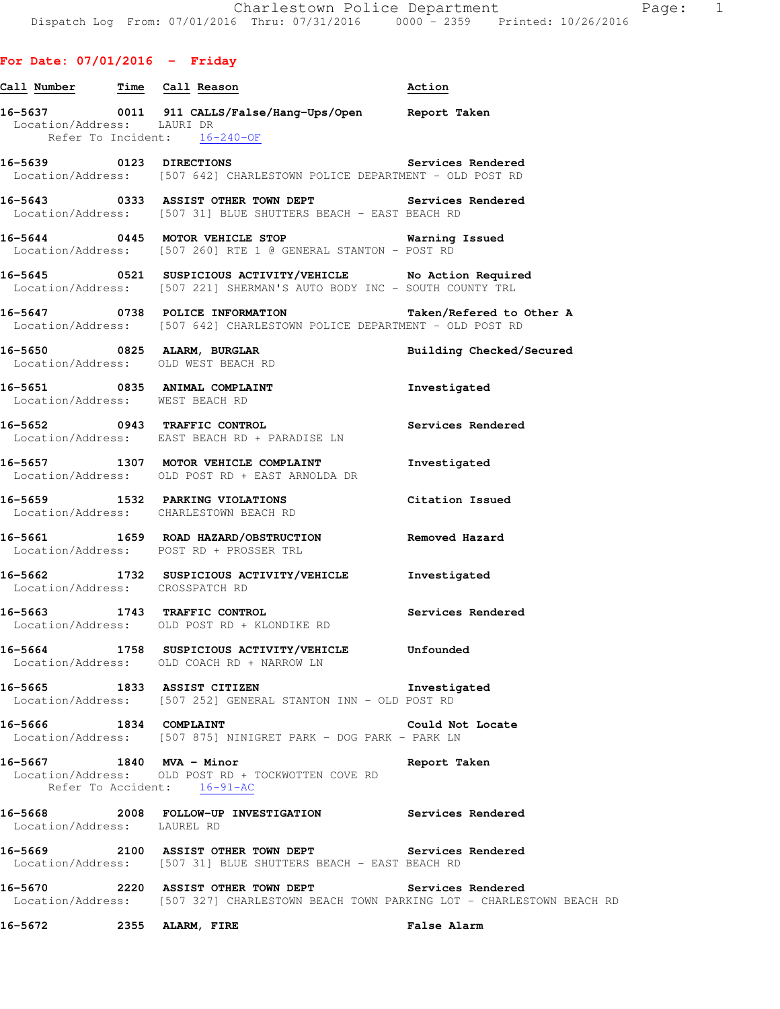## **For Date: 07/01/2016 - Friday**

| Call Number Time Call Reason |                                                                                                                                                | Action                   |
|------------------------------|------------------------------------------------------------------------------------------------------------------------------------------------|--------------------------|
| Location/Address: LAURI DR   | 16-5637 0011 911 CALLS/False/Hang-Ups/Open Report Taken<br>Refer To Incident: 16-240-OF                                                        |                          |
|                              | 16-5639 0123 DIRECTIONS Services Rendered<br>Location/Address: [507 642] CHARLESTOWN POLICE DEPARTMENT - OLD POST RD                           |                          |
|                              | 16-5643 0333 ASSIST OTHER TOWN DEPT Services Rendered Location/Address: [507 31] BLUE SHUTTERS BEACH - EAST BEACH RD                           |                          |
|                              | 16-5644 0445 MOTOR VEHICLE STOP Warning Issued<br>Location/Address: [507 260] RTE 1 @ GENERAL STANTON - POST RD                                |                          |
|                              | 16-5645 0521 SUSPICIOUS ACTIVITY/VEHICLE No Action Required<br>Location/Address: [507 221] SHERMAN'S AUTO BODY INC - SOUTH COUNTY TRL          |                          |
|                              | 16-5647 0738 POLICE INFORMATION Taken/Refered to Other A<br>Location/Address: [507 642] CHARLESTOWN POLICE DEPARTMENT - OLD POST RD            |                          |
|                              | 16-5650 0825 ALARM, BURGLAR<br>Location/Address: OLD WEST BEACH RD                                                                             | Building Checked/Secured |
|                              | 16-5651 0835 ANIMAL COMPLAINT<br>Location/Address: WEST BEACH RD                                                                               | Investigated             |
|                              | 16-5652 0943 TRAFFIC CONTROL <b>16-5652</b> Services Rendered<br>Location/Address: EAST BEACH RD + PARADISE LN                                 |                          |
|                              | 16-5657 1307 MOTOR VEHICLE COMPLAINT<br>Location/Address: OLD POST RD + EAST ARNOLDA DR                                                        | Investigated             |
|                              | 16-5659 1532 PARKING VIOLATIONS Citation Issued<br>Location/Address: CHARLESTOWN BEACH RD                                                      |                          |
|                              | 16-5661 1659 ROAD HAZARD/OBSTRUCTION Removed Hazard Location/Address: POST RD + PROSSER TRL                                                    |                          |
|                              | 16-5662 1732 SUSPICIOUS ACTIVITY/VEHICLE Investigated<br>Location/Address: CROSSPATCH RD                                                       |                          |
|                              | 16-5663 1743 TRAFFIC CONTROL<br>Location/Address: OLD POST RD + KLONDIKE RD                                                                    | Services Rendered        |
|                              | 16-5664 1758 SUSPICIOUS ACTIVITY/VEHICLE Unfounded<br>Location/Address: OLD COACH RD + NARROW LN                                               |                          |
|                              | 16-5665 1833 ASSIST CITIZEN Investigated<br>Location/Address: [507 252] GENERAL STANTON INN - OLD POST RD                                      |                          |
| 16-5666 1834 COMPLAINT       | Location/Address: [507 875] NINIGRET PARK - DOG PARK - PARK LN                                                                                 | Could Not Locate         |
|                              | 16-5667 1840 MVA - Minor<br>Location/Address: OLD POST RD + TOCKWOTTEN COVE RD<br>Refer To Accident: 16-91-AC                                  | Report Taken             |
| Location/Address: LAUREL RD  | 16-5668 2008 FOLLOW-UP INVESTIGATION Services Rendered                                                                                         |                          |
|                              | 16-5669 2100 ASSIST OTHER TOWN DEPT Services Rendered<br>Location/Address: [507 31] BLUE SHUTTERS BEACH - EAST BEACH RD                        |                          |
|                              | 16-5670 2220 ASSIST OTHER TOWN DEPT Services Rendered<br>Location/Address: [507 327] CHARLESTOWN BEACH TOWN PARKING LOT - CHARLESTOWN BEACH RD |                          |
| 16-5672                      | 2355 ALARM, FIRE                                                                                                                               | <b>False Alarm</b>       |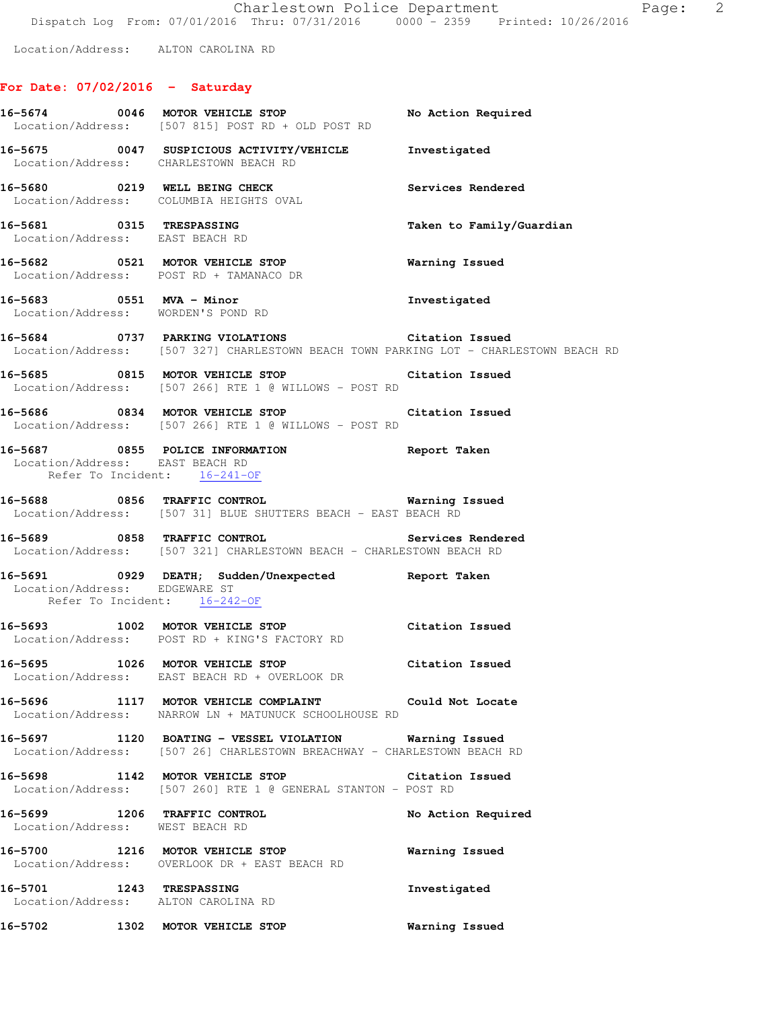Location/Address: ALTON CAROLINA RD

# **For Date: 07/02/2016 - Saturday**

|                                                             | 16-5674 0046 MOTOR VEHICLE STOP<br>Location/Address: [507 815] POST RD + OLD POST RD                                                     | No Action Required       |
|-------------------------------------------------------------|------------------------------------------------------------------------------------------------------------------------------------------|--------------------------|
|                                                             | 16-5675 0047 SUSPICIOUS ACTIVITY/VEHICLE Investigated<br>Location/Address: CHARLESTOWN BEACH RD                                          |                          |
|                                                             | 16-5680 0219 WELL BEING CHECK<br>Location/Address: COLUMBIA HEIGHTS OVAL                                                                 | Services Rendered        |
| 16-5681 0315 TRESPASSING<br>Location/Address: EAST BEACH RD |                                                                                                                                          | Taken to Family/Guardian |
|                                                             | 16-5682 0521 MOTOR VEHICLE STOP<br>Location/Address: POST RD + TAMANACO DR                                                               | <b>Warning Issued</b>    |
|                                                             | 16-5683 0551 MVA - Minor<br>Location/Address: WORDEN'S POND RD                                                                           | Investigated             |
|                                                             | 16-5684 0737 PARKING VIOLATIONS Citation Issued<br>Location/Address: [507 327] CHARLESTOWN BEACH TOWN PARKING LOT - CHARLESTOWN BEACH RD |                          |
|                                                             | 16-5685 0815 MOTOR VEHICLE STOP Citation Issued<br>Location/Address: [507 266] RTE 1 @ WILLOWS - POST RD                                 |                          |
|                                                             | 16-5686 0834 MOTOR VEHICLE STOP Citation Issued<br>Location/Address: [507 266] RTE 1 @ WILLOWS - POST RD                                 |                          |
| Location/Address: EAST BEACH RD                             | 16-5687 0855 POLICE INFORMATION 16-5687 Report Taken<br>Refer To Incident: 16-241-OF                                                     |                          |
|                                                             | 16-5688 0856 TRAFFIC CONTROL Warning Issued<br>Location/Address: [507 31] BLUE SHUTTERS BEACH - EAST BEACH RD                            |                          |
|                                                             | 16-5689 0858 TRAFFIC CONTROL Services Rendered<br>Location/Address: [507 321] CHARLESTOWN BEACH - CHARLESTOWN BEACH RD                   |                          |
|                                                             | 16-5691 0929 DEATH; Sudden/Unexpected Report Taken<br>Location/Address: EDGEWARE ST<br>Refer To Incident: 16-242-OF                      |                          |
|                                                             | 16-5693 1002 MOTOR VEHICLE STOP Citation Issued<br>Location/Address: POST RD + KING'S FACTORY RD                                         |                          |
|                                                             | 16-5695 1026 MOTOR VEHICLE STOP 6 Citation Issued<br>Location/Address: EAST BEACH RD + OVERLOOK DR                                       |                          |
|                                                             | 16-5696 1117 MOTOR VEHICLE COMPLAINT Could Not Locate<br>Location/Address: NARROW LN + MATUNUCK SCHOOLHOUSE RD                           |                          |
|                                                             | 16-5697 1120 BOATING - VESSEL VIOLATION Warning Issued<br>Location/Address: [507 26] CHARLESTOWN BREACHWAY - CHARLESTOWN BEACH RD        |                          |
|                                                             | 16-5698 1142 MOTOR VEHICLE STOP Citation Issued<br>Location/Address: [507 260] RTE 1 @ GENERAL STANTON - POST RD                         |                          |
| Location/Address: WEST BEACH RD                             | 16-5699 1206 TRAFFIC CONTROL                                                                                                             | No Action Required       |
|                                                             | 16-5700 1216 MOTOR VEHICLE STOP<br>Location/Address: OVERLOOK DR + EAST BEACH RD                                                         | Warning Issued           |
| 16-5701 1243 TRESPASSING                                    | Location/Address: ALTON CAROLINA RD                                                                                                      | Investigated             |
|                                                             | 16-5702 1302 MOTOR VEHICLE STOP                                                                                                          | Warning Issued           |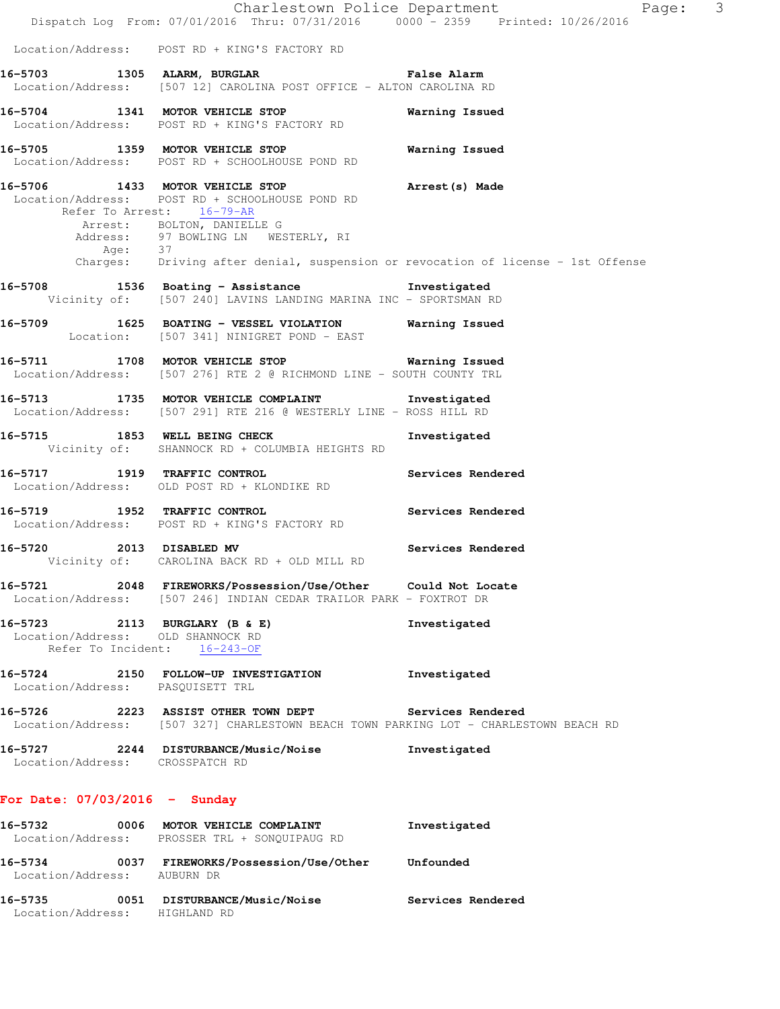|                                                                                                    | Dispatch Log From: 07/01/2016 Thru: 07/31/2016 0000 - 2359 Printed: 10/26/2016                                                                                                                                                                                                                             | Charlestown Police Department<br>Page: 3 |
|----------------------------------------------------------------------------------------------------|------------------------------------------------------------------------------------------------------------------------------------------------------------------------------------------------------------------------------------------------------------------------------------------------------------|------------------------------------------|
|                                                                                                    | Location/Address: POST RD + KING'S FACTORY RD                                                                                                                                                                                                                                                              |                                          |
|                                                                                                    | 16-5703 1305 ALARM, BURGLAR NET STATE BALARM Range and the set of the set of the set of the set of t<br>Location/Address: [507 12] CAROLINA POST OFFICE - ALTON CAROLINA RD                                                                                                                                |                                          |
|                                                                                                    | 16-5704 1341 MOTOR VEHICLE STOP<br>Location/Address: POST RD + KING'S FACTORY RD                                                                                                                                                                                                                           | Warning Issued                           |
|                                                                                                    | 16-5705 1359 MOTOR VEHICLE STOP<br>Location/Address: POST RD + SCHOOLHOUSE POND RD                                                                                                                                                                                                                         | Warning Issued                           |
|                                                                                                    | 16-5706 1433 MOTOR VEHICLE STOP <b>Arrest</b> (s) Made<br>Location/Address: POST RD + SCHOOLHOUSE POND RD<br>Refer To Arrest: 16-79-AR<br>Arrest: BOLTON, DANIELLE G<br>Address: 97 BOWLING LN WESTERLY, RI<br>Age: 37<br>Charges: Driving after denial, suspension or revocation of license - 1st Offense |                                          |
|                                                                                                    | 16-5708 1536 Boating - Assistance                                                                                                                                                                                                                                                                          | Investigated                             |
|                                                                                                    | Vicinity of: [507 240] LAVINS LANDING MARINA INC - SPORTSMAN RD                                                                                                                                                                                                                                            |                                          |
|                                                                                                    | 16-5709 1625 BOATING - VESSEL VIOLATION Warning Issued<br>Location: [507 341] NINIGRET POND - EAST                                                                                                                                                                                                         |                                          |
|                                                                                                    | 16-5711 1708 MOTOR VEHICLE STOP 10 Warning Issued<br>Location/Address: [507 276] RTE 2 @ RICHMOND LINE - SOUTH COUNTY TRL                                                                                                                                                                                  |                                          |
|                                                                                                    | 16-5713 1735 MOTOR VEHICLE COMPLAINT Threstigated<br>Location/Address: [507 291] RTE 216 @ WESTERLY LINE - ROSS HILL RD                                                                                                                                                                                    |                                          |
|                                                                                                    | 16-5715 1853 WELL BEING CHECK<br>Vicinity of: SHANNOCK RD + COLUMBIA HEIGHTS RD                                                                                                                                                                                                                            | Investigated                             |
|                                                                                                    | 16-5717 1919 TRAFFIC CONTROL<br>Location/Address: OLD POST RD + KLONDIKE RD                                                                                                                                                                                                                                | Services Rendered                        |
|                                                                                                    | 16-5719 1952 TRAFFIC CONTROL<br>Location/Address: POST RD + KING'S FACTORY RD                                                                                                                                                                                                                              | Services Rendered                        |
| 16-5720 2013 DISABLED MV                                                                           | Services Rendered<br>Vicinity of: CAROLINA BACK RD + OLD MILL RD                                                                                                                                                                                                                                           |                                          |
| 16–5721                                                                                            | 2048 FIREWORKS/Possession/Use/Other Could Not Locate<br>Location/Address: [507 246] INDIAN CEDAR TRAILOR PARK - FOXTROT DR                                                                                                                                                                                 |                                          |
| 16-5723 2113 BURGLARY (B & E)<br>Location/Address: OLD SHANNOCK RD<br>Refer To Incident: 16-243-OF |                                                                                                                                                                                                                                                                                                            | Investigated                             |
| Location/Address: PASOUISETT TRL                                                                   | 16-5724 2150 FOLLOW-UP INVESTIGATION                                                                                                                                                                                                                                                                       | Investigated                             |
|                                                                                                    | Location/Address: [507 327] CHARLESTOWN BEACH TOWN PARKING LOT - CHARLESTOWN BEACH RD                                                                                                                                                                                                                      | Services Rendered                        |
| Location/Address: CROSSPATCH RD                                                                    | 16-5727 2244 DISTURBANCE/Music/Noise                                                                                                                                                                                                                                                                       | Investigated                             |
| For Date: $07/03/2016$ - Sunday                                                                    |                                                                                                                                                                                                                                                                                                            |                                          |
| 16–5732                                                                                            | 0006 MOTOR VEHICLE COMPLAINT<br>Location/Address: PROSSER TRL + SONQUIPAUG RD                                                                                                                                                                                                                              | Investigated                             |
| 16-5734<br>Location/Address: AUBURN DR                                                             | 0037 FIREWORKS/Possession/Use/Other                                                                                                                                                                                                                                                                        | Unfounded                                |

**16-5735 0051 DISTURBANCE/Music/Noise Services Rendered**  Location/Address: HIGHLAND RD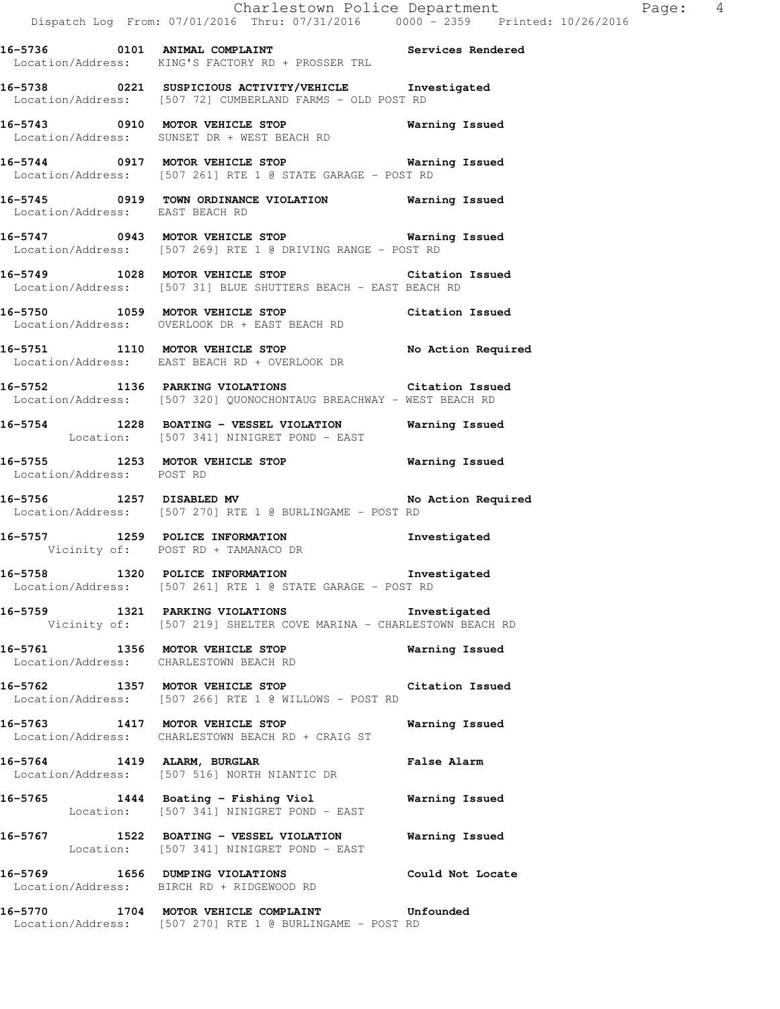**16-5736 0101 ANIMAL COMPLAINT Services Rendered**  Location/Address: KING'S FACTORY RD + PROSSER TRL

**16-5738 0221 SUSPICIOUS ACTIVITY/VEHICLE Investigated**  Location/Address: [507 72] CUMBERLAND FARMS - OLD POST RD

**16-5743 0910 MOTOR VEHICLE STOP Warning Issued**  Location/Address: SUNSET DR + WEST BEACH RD

**16-5744 0917 MOTOR VEHICLE STOP Warning Issued**  Location/Address: [507 261] RTE 1 @ STATE GARAGE - POST RD

**16-5745 0919 TOWN ORDINANCE VIOLATION Warning Issued**  Location/Address: EAST BEACH RD

**16-5747 0943 MOTOR VEHICLE STOP Warning Issued**  Location/Address: [507 269] RTE 1 @ DRIVING RANGE - POST RD

**16-5749 1028 MOTOR VEHICLE STOP Citation Issued**  Location/Address: [507 31] BLUE SHUTTERS BEACH - EAST BEACH RD

**16-5750 1059 MOTOR VEHICLE STOP Citation Issued**  Location/Address: OVERLOOK DR + EAST BEACH RD

**16-5751 1110 MOTOR VEHICLE STOP No Action Required**  Location/Address: EAST BEACH RD + OVERLOOK DR

**16-5752 1136 PARKING VIOLATIONS Citation Issued**  Location/Address: [507 320] QUONOCHONTAUG BREACHWAY - WEST BEACH RD

**16-5754 1228 BOATING - VESSEL VIOLATION Warning Issued**  Location: [507 341] NINIGRET POND - EAST

**16-5755 1253 MOTOR VEHICLE STOP Warning Issued**  Location/Address: POST RD

16-5756 1257 DISABLED MV **No Action Required** Location/Address: [507 270] RTE 1 @ BURLINGAME - POST RD

**16-5757 1259 POLICE INFORMATION Investigated**  Vicinity of: POST RD + TAMANACO DR

**16-5758 1320 POLICE INFORMATION Investigated**  Location/Address: [507 261] RTE 1 @ STATE GARAGE - POST RD

**16-5759 1321 PARKING VIOLATIONS Investigated**  Vicinity of: [507 219] SHELTER COVE MARINA - CHARLESTOWN BEACH RD

**16-5761 1356 MOTOR VEHICLE STOP Warning Issued**  Location/Address: CHARLESTOWN BEACH RD

**16-5762 1357 MOTOR VEHICLE STOP Citation Issued**  Location/Address: [507 266] RTE 1 @ WILLOWS - POST RD

**16-5763 1417 MOTOR VEHICLE STOP Warning Issued**  Location/Address: CHARLESTOWN BEACH RD + CRAIG ST

**16-5764 1419 ALARM, BURGLAR False Alarm**  Location/Address: [507 516] NORTH NIANTIC DR

**16-5765 1444 Boating - Fishing Viol Warning Issued**  Location: [507 341] NINIGRET POND - EAST

**16-5767 1522 BOATING - VESSEL VIOLATION Warning Issued**  Location: [507 341] NINIGRET POND - EAST

**16-5769 1656 DUMPING VIOLATIONS Could Not Locate**  Location/Address: BIRCH RD + RIDGEWOOD RD

**16-5770 1704 MOTOR VEHICLE COMPLAINT Unfounded**  Location/Address: [507 270] RTE 1 @ BURLINGAME - POST RD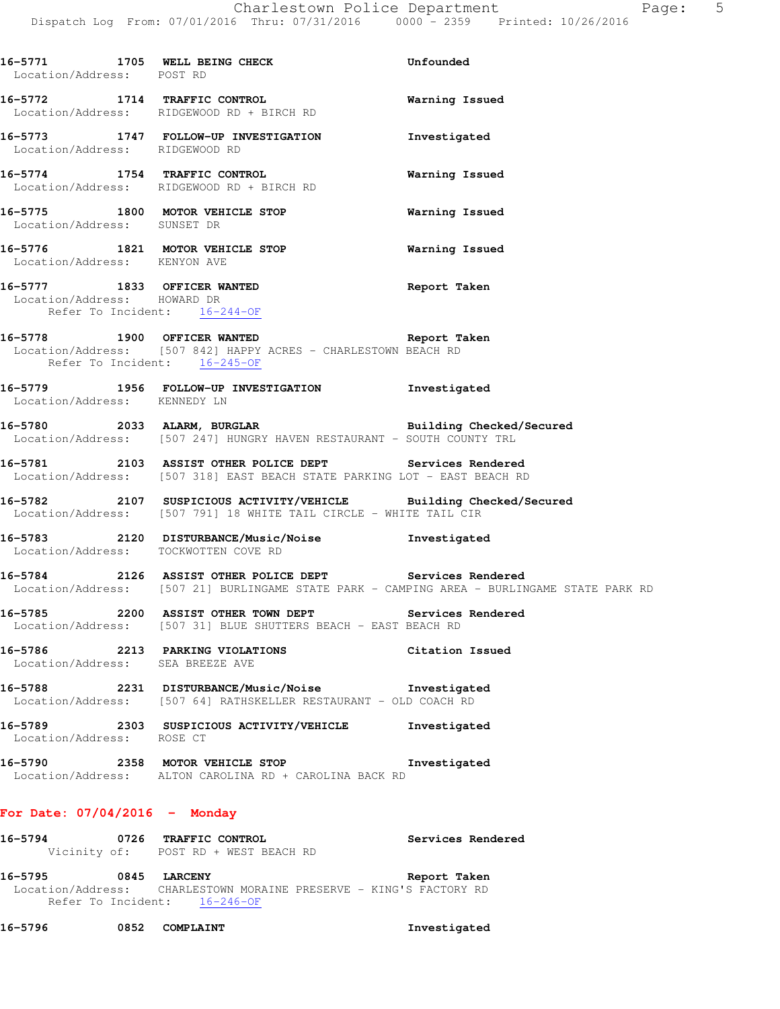| Location/Address: POST RD                                   | 16-5771 1705 WELL BEING CHECK                                                                                                                       | Unfounded                                                                                  |
|-------------------------------------------------------------|-----------------------------------------------------------------------------------------------------------------------------------------------------|--------------------------------------------------------------------------------------------|
|                                                             | 16-5772 1714 TRAFFIC CONTROL<br>Location/Address: RIDGEWOOD RD + BIRCH RD                                                                           | Warning Issued                                                                             |
| Location/Address: RIDGEWOOD RD                              | 16-5773 1747 FOLLOW-UP INVESTIGATION Investigated                                                                                                   |                                                                                            |
|                                                             | 16-5774 1754 TRAFFIC CONTROL<br>Location/Address: RIDGEWOOD RD + BIRCH RD                                                                           | Warning Issued                                                                             |
|                                                             | 16-5775 1800 MOTOR VEHICLE STOP<br>Location/Address: SUNSET DR                                                                                      | Warning Issued                                                                             |
|                                                             | 16-5776 1821 MOTOR VEHICLE STOP<br>Location/Address: KENYON AVE                                                                                     | Warning Issued                                                                             |
| Location/Address: HOWARD DR<br>Refer To Incident: 16-244-OF | 16-5777 1833 OFFICER WANTED                                                                                                                         | Report Taken                                                                               |
|                                                             | 16-5778 1900 OFFICER WANTED Report Taken<br>Location/Address: [507 842] HAPPY ACRES - CHARLESTOWN BEACH RD<br>Refer To Incident: 16-245-OF          |                                                                                            |
| Location/Address: KENNEDY LN                                | 16-5779 1956 FOLLOW-UP INVESTIGATION Investigated                                                                                                   |                                                                                            |
|                                                             | -<br>16-5780 16-5780 2033 ALARM, BURGLAR 16-5780 Building Checked/Secured<br>Location/Address: [507 247] HUNGRY HAVEN RESTAURANT - SOUTH COUNTY TRL |                                                                                            |
|                                                             | 16-5781 2103 ASSIST OTHER POLICE DEPT Services Rendered<br>Location/Address: [507 318] EAST BEACH STATE PARKING LOT - EAST BEACH RD                 |                                                                                            |
|                                                             | 16-5782 2107 SUSPICIOUS ACTIVITY/VEHICLE Building Checked/Secured<br>Location/Address: [507 791] 18 WHITE TAIL CIRCLE - WHITE TAIL CIR              |                                                                                            |
|                                                             | 16-5783 2120 DISTURBANCE/Music/Noise Investigated<br>Location/Address: TOCKWOTTEN COVE RD                                                           |                                                                                            |
|                                                             | 16-5784 2126 ASSIST OTHER POLICE DEPT Services Rendered                                                                                             | Location/Address: [507 21] BURLINGAME STATE PARK - CAMPING AREA - BURLINGAME STATE PARK RD |
|                                                             | 16-5785 2200 ASSIST OTHER TOWN DEPT Services Rendered<br>Location/Address: [507 31] BLUE SHUTTERS BEACH - EAST BEACH RD                             |                                                                                            |
| Location/Address: SEA BREEZE AVE                            | 16-5786 2213 PARKING VIOLATIONS Citation Issued                                                                                                     |                                                                                            |
|                                                             | 16-5788 2231 DISTURBANCE/Music/Noise Investigated<br>Location/Address: [507 64] RATHSKELLER RESTAURANT - OLD COACH RD                               |                                                                                            |
| Location/Address: ROSE CT                                   | 16-5789 2303 SUSPICIOUS ACTIVITY/VEHICLE Investigated                                                                                               |                                                                                            |
|                                                             | 16-5790<br>2358 MOTOR VEHICLE STOP Investigated Location/Address: ALTON CAROLINA RD + CAROLINA BACK RD                                              |                                                                                            |
| For Date: $07/04/2016$ - Monday                             |                                                                                                                                                     |                                                                                            |
|                                                             | 16-5794 0726 TRAFFIC CONTROL<br>Vicinity of: POST RD + WEST BEACH RD                                                                                | Services Rendered                                                                          |
| 16-5795 0845 LARCENY                                        | Location/Address: CHARLESTOWN MORAINE PRESERVE - KING'S FACTORY RD<br>Refer To Incident: 16-246-OF                                                  | Report Taken                                                                               |

**16-5796 0852 COMPLAINT Investigated**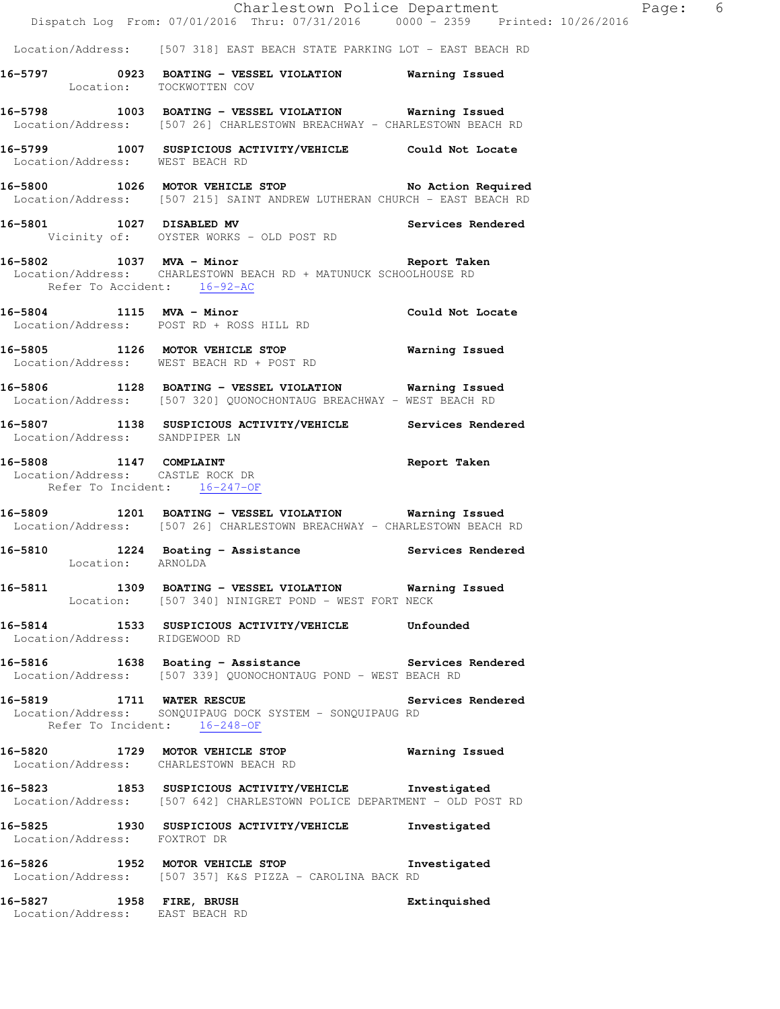Location/Address: [507 318] EAST BEACH STATE PARKING LOT - EAST BEACH RD

**16-5797 0923 BOATING - VESSEL VIOLATION Warning Issued**  Location: TOCKWOTTEN COV

**16-5798 1003 BOATING - VESSEL VIOLATION Warning Issued**  Location/Address: [507 26] CHARLESTOWN BREACHWAY - CHARLESTOWN BEACH RD

**16-5799 1007 SUSPICIOUS ACTIVITY/VEHICLE Could Not Locate**  Location/Address: WEST BEACH RD

**16-5800 1026 MOTOR VEHICLE STOP No Action Required**  Location/Address: [507 215] SAINT ANDREW LUTHERAN CHURCH - EAST BEACH RD

**16-5801 1027 DISABLED MV Services Rendered**  Vicinity of: OYSTER WORKS - OLD POST RD

#### **16-5802 1037 MVA - Minor Report Taken**  Location/Address: CHARLESTOWN BEACH RD + MATUNUCK SCHOOLHOUSE RD Refer To Accident: 16-92-AC

**16-5804 1115 MVA - Minor Could Not Locate**  Location/Address: POST RD + ROSS HILL RD

**16-5805 1126 MOTOR VEHICLE STOP Warning Issued**  Location/Address: WEST BEACH RD + POST RD

**16-5806 1128 BOATING - VESSEL VIOLATION Warning Issued**  Location/Address: [507 320] QUONOCHONTAUG BREACHWAY - WEST BEACH RD

**16-5807 1138 SUSPICIOUS ACTIVITY/VEHICLE Services Rendered**  Location/Address: SANDPIPER LN

**16-5808 1147 COMPLAINT Report Taken**  Location/Address: CASTLE ROCK DR Refer To Incident: 16-247-OF

**16-5809 1201 BOATING - VESSEL VIOLATION Warning Issued**  Location/Address: [507 26] CHARLESTOWN BREACHWAY - CHARLESTOWN BEACH RD

**16-5810 1224 Boating - Assistance Services Rendered**  Location: ARNOLDA

**16-5811 1309 BOATING - VESSEL VIOLATION Warning Issued**  Location: [507 340] NINIGRET POND - WEST FORT NECK

**16-5814 1533 SUSPICIOUS ACTIVITY/VEHICLE Unfounded**  Location/Address: RIDGEWOOD RD

**16-5816 1638 Boating - Assistance Services Rendered**  Location/Address: [507 339] QUONOCHONTAUG POND - WEST BEACH RD

**16-5819 1711 WATER RESCUE Services Rendered**  Location/Address: SONQUIPAUG DOCK SYSTEM - SONQUIPAUG RD Refer To Incident:  $16-248-OF$ 

**16-5820 1729 MOTOR VEHICLE STOP Warning Issued**  Location/Address: CHARLESTOWN BEACH RD

**16-5823 1853 SUSPICIOUS ACTIVITY/VEHICLE Investigated**  Location/Address: [507 642] CHARLESTOWN POLICE DEPARTMENT - OLD POST RD

**16-5825 1930 SUSPICIOUS ACTIVITY/VEHICLE Investigated**  Location/Address: FOXTROT DR

**16-5826 1952 MOTOR VEHICLE STOP Investigated**  Location/Address: [507 357] K&S PIZZA - CAROLINA BACK RD

**16-5827 1958 FIRE, BRUSH Extinquished**  Location/Address: EAST BEACH RD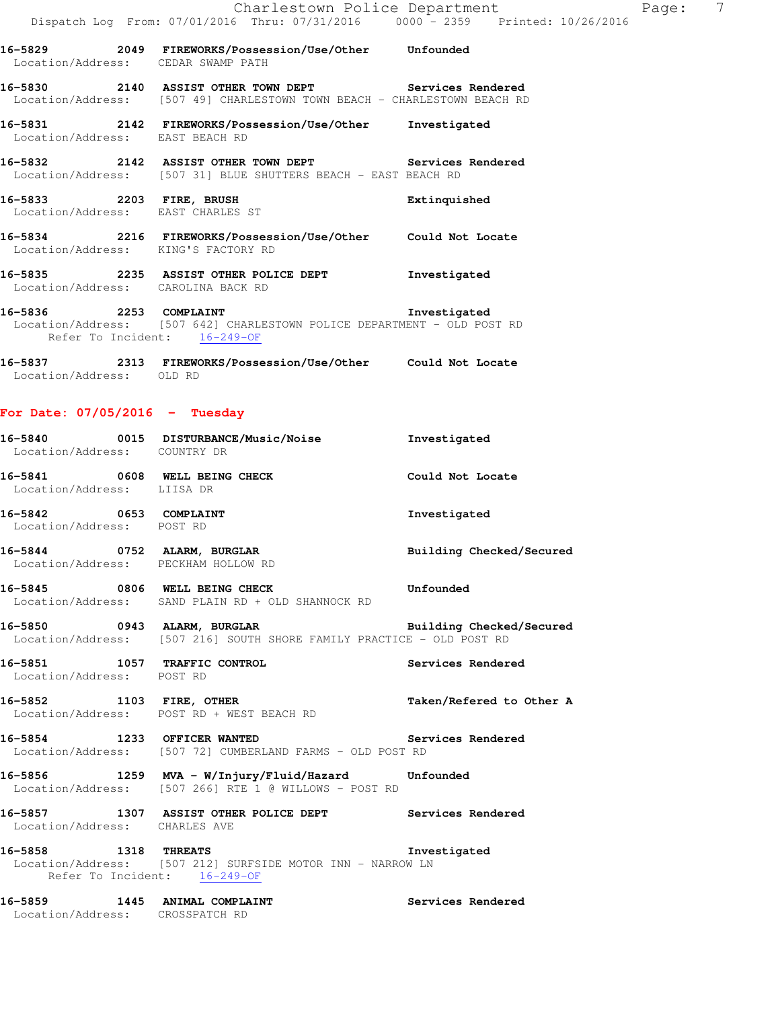|                                                     | Dispatch Log From: 07/01/2016 Thru: 07/31/2016 0000 - 2359 Printed: 10/                                                           |                          |
|-----------------------------------------------------|-----------------------------------------------------------------------------------------------------------------------------------|--------------------------|
|                                                     | 16-5829 2049 FIREWORKS/Possession/Use/Other Unfounded<br>Location/Address: CEDAR SWAMP PATH                                       |                          |
|                                                     | 16-5830 2140 ASSIST OTHER TOWN DEPT Services Rendered<br>Location/Address: [507 49] CHARLESTOWN TOWN BEACH - CHARLESTOWN BEACH RD |                          |
| Location/Address: EAST BEACH RD                     | 16-5831 2142 FIREWORKS/Possession/Use/Other Investigated                                                                          |                          |
|                                                     | 16-5832 2142 ASSIST OTHER TOWN DEPT Services Rendered<br>Location/Address: [507 31] BLUE SHUTTERS BEACH - EAST BEACH RD           |                          |
|                                                     | 16-5833 2203 FIRE, BRUSH<br>Location/Address: EAST CHARLES ST                                                                     | Extinquished             |
|                                                     | 16-5834 2216 FIREWORKS/Possession/Use/Other Could Not Locate<br>Location/Address: KING'S FACTORY RD                               |                          |
|                                                     | 16-5835 2235 ASSIST OTHER POLICE DEPT Threstigated<br>Location/Address: CAROLINA BACK RD                                          |                          |
|                                                     | 16-5836 2253 COMPLAINT<br>Location/Address: [507 642] CHARLESTOWN POLICE DEPARTMENT - OLD POST RD<br>Refer To Incident: 16-249-OF | Investigated             |
| Location/Address: OLD RD                            | 16-5837 2313 FIREWORKS/Possession/Use/Other Could Not Locate                                                                      |                          |
| For Date: $07/05/2016$ - Tuesday                    |                                                                                                                                   |                          |
| Location/Address: COUNTRY DR                        | 16-5840 0015 DISTURBANCE/Music/Noise 1nvestigated                                                                                 |                          |
| Location/Address: LIISA DR                          | 16-5841 0608 WELL BEING CHECK                                                                                                     | Could Not Locate         |
| 16-5842 0653 COMPLAINT<br>Location/Address: POST RD |                                                                                                                                   | Investigated             |
|                                                     | 16-5844 0752 ALARM, BURGLAR<br>Location/Address: PECKHAM HOLLOW RD                                                                | Building Checked/Secured |
|                                                     | 16-5845 0806 WELL BEING CHECK<br>Location/Address: SAND PLAIN RD + OLD SHANNOCK RD                                                | Unfounded                |
|                                                     | 16-5850 0943 ALARM, BURGLAR<br>Location/Address: [507 216] SOUTH SHORE FAMILY PRACTICE - OLD POST RD                              | Building Checked/Secured |
| Location/Address: POST RD                           | 16-5851 1057 TRAFFIC CONTROL                                                                                                      | Services Rendered        |
|                                                     | 16-5852 1103 FIRE, OTHER<br>Location/Address: POST RD + WEST BEACH RD                                                             | Taken/Refered to Other A |
| 16-5854 1233 OFFICER WANTED                         | Location/Address: [507 72] CUMBERLAND FARMS - OLD POST RD                                                                         | Services Rendered        |
| 12 F R                                              | $1000 - 355$ $174 - 400$                                                                                                          |                          |

**16-5856 1259 MVA - W/Injury/Fluid/Hazard Unfounded**  Location/Address: [507 266] RTE 1 @ WILLOWS - POST RD

## **16-5857 1307 ASSIST OTHER POLICE DEPT Services Rendered**  Location/Address: CHARLES AVE

**16-5858 1318 THREATS Investigated**  Location/Address: [507 212] SURFSIDE MOTOR INN - NARROW LN Refer To Incident:  $\frac{16-249-OF}{16}$ 

**16-5859 1445 ANIMAL COMPLAINT Services Rendered**  Location/Address: CROSSPATCH RD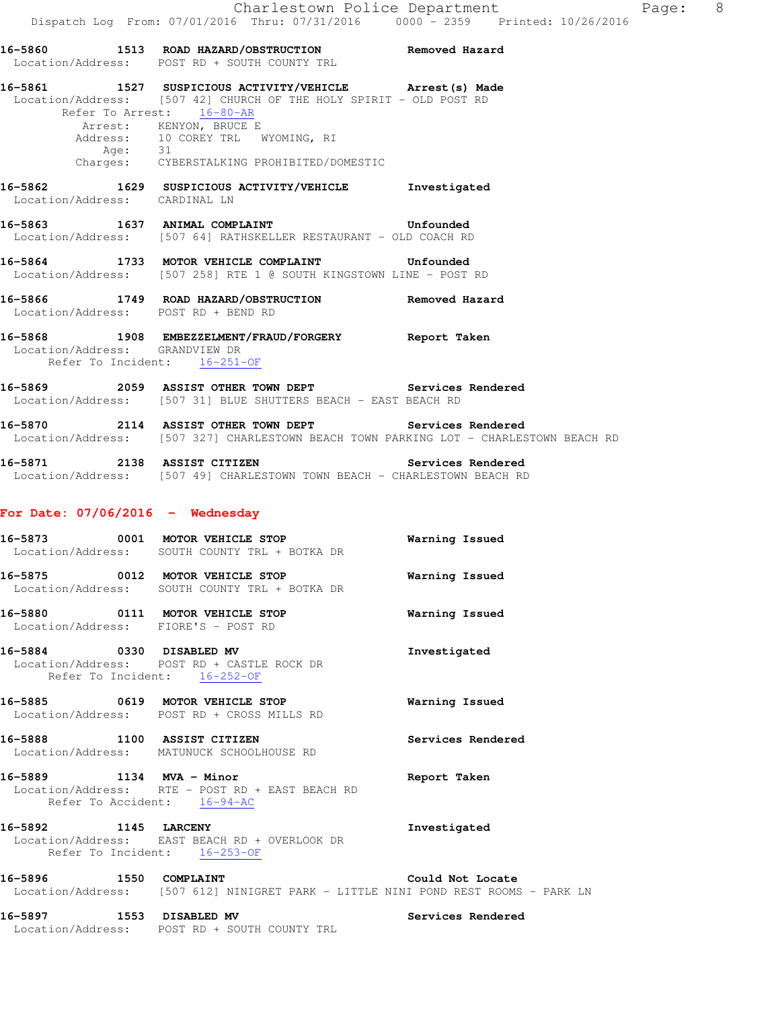|                                                                | 16-5860 1513 ROAD HAZARD/OBSTRUCTION Removed Hazard Location/Address: POST RD + SOUTH COUNTY TRL                                                                                                                                                        |  |
|----------------------------------------------------------------|---------------------------------------------------------------------------------------------------------------------------------------------------------------------------------------------------------------------------------------------------------|--|
| Refer To Arrest: 16-80-AR                                      | 16-5861 1527 SUSPICIOUS ACTIVITY/VEHICLE Arrest (s) Made<br>Location/Address: [507 42] CHURCH OF THE HOLY SPIRIT - OLD POST RD<br>Arrest: KENYON, BRUCE E<br>Address: 10 COREY TRL WYOMING, RI<br>Age: 31<br>Charges: CYBERSTALKING PROHIBITED/DOMESTIC |  |
| Location/Address: CARDINAL LN                                  | 16-5862 1629 SUSPICIOUS ACTIVITY/VEHICLE Investigated                                                                                                                                                                                                   |  |
|                                                                | 16-5863 1637 ANIMAL COMPLAINT 16-5863 Unfounded<br>Location/Address: [507 64] RATHSKELLER RESTAURANT - OLD COACH RD                                                                                                                                     |  |
|                                                                | 16-5864 1733 MOTOR VEHICLE COMPLAINT Unfounded<br>Location/Address: [507 258] RTE 1 @ SOUTH KINGSTOWN LINE - POST RD                                                                                                                                    |  |
|                                                                | 16-5866 1749 ROAD HAZARD/OBSTRUCTION Removed Hazard<br>Location/Address: POST RD + BEND RD                                                                                                                                                              |  |
| Location/Address: GRANDVIEW DR<br>Refer To Incident: 16-251-OF | 16-5868 1908 EMBEZZELMENT/FRAUD/FORGERY Report Taken                                                                                                                                                                                                    |  |
|                                                                | 16-5869 2059 ASSIST OTHER TOWN DEPT Services Rendered<br>Location/Address: [507 31] BLUE SHUTTERS BEACH - EAST BEACH RD                                                                                                                                 |  |
|                                                                | 16-5870 2114 ASSIST OTHER TOWN DEPT Services Rendered<br>Location/Address: [507 327] CHARLESTOWN BEACH TOWN PARKING LOT - CHARLESTOWN BEACH RD                                                                                                          |  |
|                                                                | Location/Address: [507 49] CHARLESTOWN TOWN BEACH - CHARLESTOWN BEACH RD                                                                                                                                                                                |  |
| For Date: $07/06/2016$ - Wednesday                             |                                                                                                                                                                                                                                                         |  |

- **16-5873 0001 MOTOR VEHICLE STOP Warning Issued**  Location/Address: SOUTH COUNTY TRL + BOTKA DR **16-5875 0012 MOTOR VEHICLE STOP Warning Issued**
- Location/Address: SOUTH COUNTY TRL + BOTKA DR **16-5880 0111 MOTOR VEHICLE STOP Warning Issued**  Location/Address: FIORE'S - POST RD
- **16-5884 0330 DISABLED MV Investigated**  Location/Address: POST RD + CASTLE ROCK DR Refer To Incident: 16-252-OF
- **16-5885 0619 MOTOR VEHICLE STOP Warning Issued**  Location/Address: POST RD + CROSS MILLS RD
- **16-5888 1100 ASSIST CITIZEN Services Rendered**  Location/Address: MATUNUCK SCHOOLHOUSE RD
- **16-5889 1134 MVA Minor Report Taken**  Location/Address: RTE - POST RD + EAST BEACH RD Refer To Accident: 16-94-AC
- **16-5892 1145 LARCENY Investigated**  Location/Address: EAST BEACH RD + OVERLOOK DR Refer To Incident: 16-253-OF
- **16-5896 1550 COMPLAINT Could Not Locate**  Location/Address: [507 612] NINIGRET PARK - LITTLE NINI POND REST ROOMS - PARK LN
- 16-5897 **1553** DISABLED MV **16-5897** Services Rendered Location/Address: POST RD + SOUTH COUNTY TRL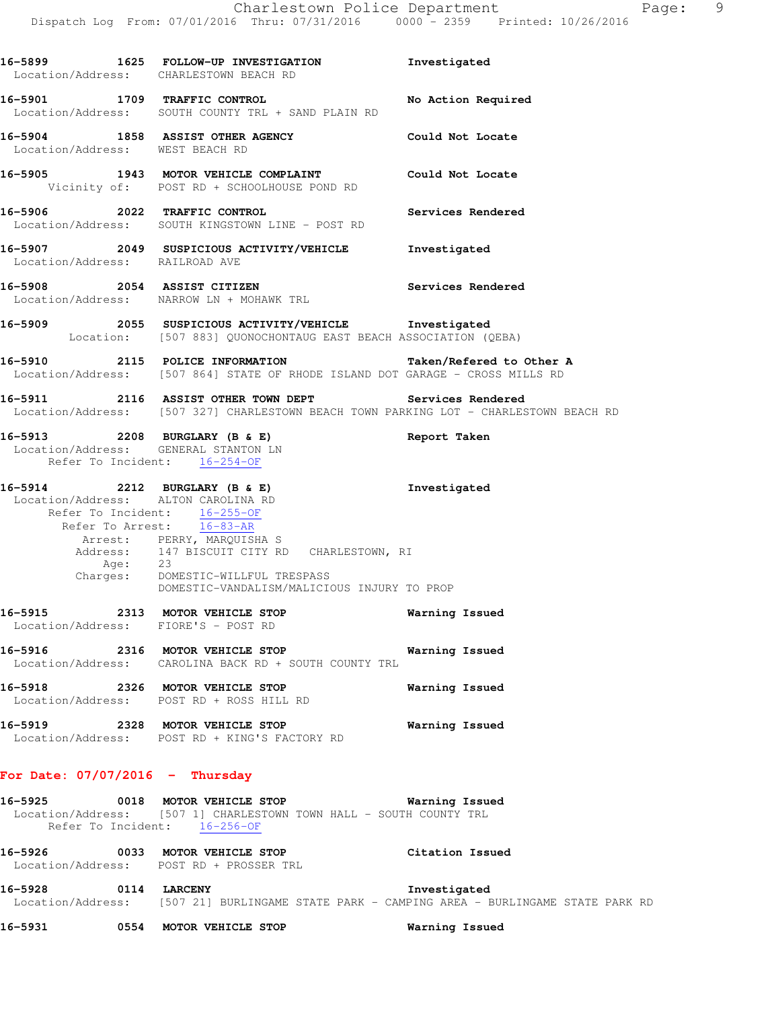|                                   | 16-5899 1625 FOLLOW-UP INVESTIGATION 1nvestigated<br>Location/Address: CHARLESTOWN BEACH RD                                                                                                                                                                                                                     |                       |
|-----------------------------------|-----------------------------------------------------------------------------------------------------------------------------------------------------------------------------------------------------------------------------------------------------------------------------------------------------------------|-----------------------|
|                                   | 16-5901 1709 TRAFFIC CONTROL No Action Required<br>Location/Address: SOUTH COUNTY TRL + SAND PLAIN RD                                                                                                                                                                                                           |                       |
| Location/Address: WEST BEACH RD   | 16-5904 1858 ASSIST OTHER AGENCY Could Not Locate                                                                                                                                                                                                                                                               |                       |
|                                   | 16-5905 1943 MOTOR VEHICLE COMPLAINT Could Not Locate<br>Vicinity of: POST RD + SCHOOLHOUSE POND RD                                                                                                                                                                                                             |                       |
|                                   | 16-5906 2022 TRAFFIC CONTROL<br>Location/Address: SOUTH KINGSTOWN LINE - POST RD                                                                                                                                                                                                                                | Services Rendered     |
| Location/Address: RAILROAD AVE    | 16-5907 2049 SUSPICIOUS ACTIVITY/VEHICLE <b>Investigated</b>                                                                                                                                                                                                                                                    |                       |
|                                   | 16-5908 2054 ASSIST CITIZEN<br>Location/Address: NARROW LN + MOHAWK TRL                                                                                                                                                                                                                                         | Services Rendered     |
|                                   | 16-5909 2055 SUSPICIOUS ACTIVITY/VEHICLE 1nvestigated<br>Location: [507 883] QUONOCHONTAUG EAST BEACH ASSOCIATION (QEBA)                                                                                                                                                                                        |                       |
|                                   | 16-5910 2115 POLICE INFORMATION Taken/Refered to Other A<br>Location/Address: [507 864] STATE OF RHODE ISLAND DOT GARAGE - CROSS MILLS RD                                                                                                                                                                       |                       |
|                                   | 16-5911 2116 ASSIST OTHER TOWN DEPT Services Rendered<br>Location/Address: [507 327] CHARLESTOWN BEACH TOWN PARKING LOT - CHARLESTOWN BEACH RD                                                                                                                                                                  |                       |
|                                   | 16-5913 2208 BURGLARY (B & E)<br>Location/Address: GENERAL STANTON LN<br>Refer To Incident: 16-254-OF                                                                                                                                                                                                           | Report Taken          |
|                                   | 16-5914 2212 BURGLARY (B & E)<br>Location/Address: ALTON CAROLINA RD<br>Refer To Incident: 16-255-OF<br>Refer To Arrest: 16-83-AR<br>Arrest: PERRY, MARQUISHA S<br>Address: 147 BISCUIT CITY RD CHARLESTOWN, RI<br>Age: 23<br>Charges: DOMESTIC-WILLFUL TRESPASS<br>DOMESTIC-VANDALISM/MALICIOUS INJURY TO PROP | Investigated          |
|                                   | 16-5915 2313 MOTOR VEHICLE STOP<br>Location/Address: FIORE'S - POST RD                                                                                                                                                                                                                                          | Warning Issued        |
|                                   | 16-5916 2316 MOTOR VEHICLE STOP<br>Location/Address: CAROLINA BACK RD + SOUTH COUNTY TRL                                                                                                                                                                                                                        | Warning Issued        |
|                                   | 16-5918 2326 MOTOR VEHICLE STOP<br>Location/Address: POST RD + ROSS HILL RD                                                                                                                                                                                                                                     | Warning Issued        |
|                                   | 16-5919 2328 MOTOR VEHICLE STOP<br>Location/Address: POST RD + KING'S FACTORY RD                                                                                                                                                                                                                                | <b>Warning Issued</b> |
| For Date: $07/07/2016$ - Thursday |                                                                                                                                                                                                                                                                                                                 |                       |
|                                   | 16-5925 0018 MOTOR VEHICLE STOP<br>Location/Address: [507 1] CHARLESTOWN TOWN HALL - SOUTH COUNTY TRL<br>Refer To Incident: 16-256-OF                                                                                                                                                                           | Warning Issued        |
|                                   | 16-5926 0033 MOTOR VEHICLE STOP<br>Location/Address: POST RD + PROSSER TRL                                                                                                                                                                                                                                      | Citation Issued       |

**16-5928 0114 LARCENY Investigated**  Location/Address: [507 21] BURLINGAME STATE PARK - CAMPING AREA - BURLINGAME STATE PARK RD

**16-5931 0554 MOTOR VEHICLE STOP Warning Issued**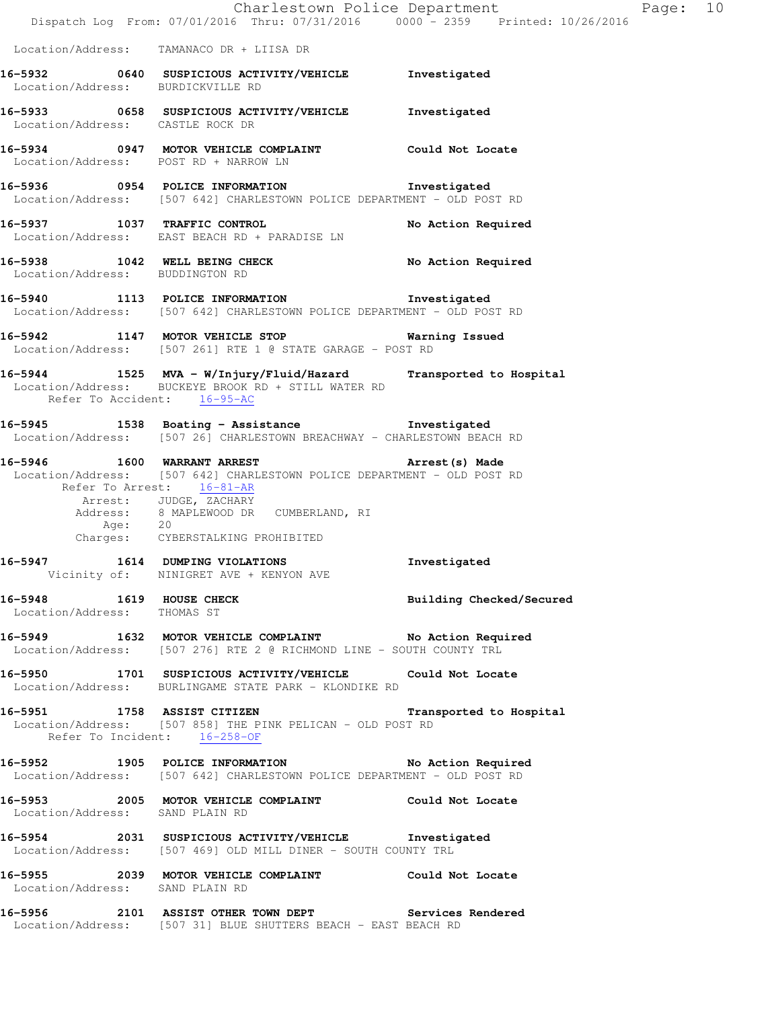|                                                         | Dispatch Log From: 07/01/2016 Thru: 07/31/2016 0000 - 2359 Printed: 10/26/2016                                                                                                                                                              | Charlestown Police Department | Page: 10 |
|---------------------------------------------------------|---------------------------------------------------------------------------------------------------------------------------------------------------------------------------------------------------------------------------------------------|-------------------------------|----------|
|                                                         | Location/Address: TAMANACO DR + LIISA DR                                                                                                                                                                                                    |                               |          |
| Location/Address: BURDICKVILLE RD                       | 16-5932 0640 SUSPICIOUS ACTIVITY/VEHICLE Investigated                                                                                                                                                                                       |                               |          |
| Location/Address: CASTLE ROCK DR                        | 16-5933 0658 SUSPICIOUS ACTIVITY/VEHICLE Investigated                                                                                                                                                                                       |                               |          |
| Location/Address: POST RD + NARROW LN                   | 16-5934 0947 MOTOR VEHICLE COMPLAINT Could Not Locate                                                                                                                                                                                       |                               |          |
|                                                         | 16-5936 0954 POLICE INFORMATION 1nvestigated<br>Location/Address: [507 642] CHARLESTOWN POLICE DEPARTMENT - OLD POST RD                                                                                                                     |                               |          |
| 16-5937 1037 TRAFFIC CONTROL                            | Location/Address: EAST BEACH RD + PARADISE LN                                                                                                                                                                                               | No Action Required            |          |
| Location/Address: BUDDINGTON RD                         | 16-5938 1042 WELL BEING CHECK                                                                                                                                                                                                               | No Action Required            |          |
|                                                         | 16-5940 1113 POLICE INFORMATION Investigated<br>Location/Address: [507 642] CHARLESTOWN POLICE DEPARTMENT - OLD POST RD                                                                                                                     |                               |          |
|                                                         | 16-5942 1147 MOTOR VEHICLE STOP 6 Warning Issued<br>Location/Address: [507 261] RTE 1 @ STATE GARAGE - POST RD                                                                                                                              |                               |          |
| Refer To Accident: 16-95-AC                             | 16-5944 1525 MVA - W/Injury/Fluid/Hazard Transported to Hospital<br>Location/Address: BUCKEYE BROOK RD + STILL WATER RD                                                                                                                     |                               |          |
|                                                         | 16-5945 1538 Boating - Assistance Manuel Investigated<br>Location/Address: [507 26] CHARLESTOWN BREACHWAY - CHARLESTOWN BEACH RD                                                                                                            |                               |          |
| 16-5946 1600 WARRANT ARREST                             | Arrest (s) Made<br>Location/Address: [507 642] CHARLESTOWN POLICE DEPARTMENT - OLD POST RD<br>Refer To Arrest: 16-81-AR<br>Arrest: JUDGE, ZACHARY<br>Address: 8 MAPLEWOOD DR CUMBERLAND, RI<br>Age: 20<br>Charges: CYBERSTALKING PROHIBITED |                               |          |
| 16-5947                                                 | 1614 DUMPING VIOLATIONS<br>Vicinity of: NINIGRET AVE + KENYON AVE                                                                                                                                                                           | Investigated                  |          |
| 16-5948 1619 HOUSE CHECK<br>Location/Address: THOMAS ST |                                                                                                                                                                                                                                             | Building Checked/Secured      |          |
|                                                         | 16-5949 1632 MOTOR VEHICLE COMPLAINT No Action Required<br>Location/Address: [507 276] RTE 2 @ RICHMOND LINE - SOUTH COUNTY TRL                                                                                                             |                               |          |
|                                                         | 16-5950 1701 SUSPICIOUS ACTIVITY/VEHICLE Could Not Locate<br>Location/Address: BURLINGAME STATE PARK - KLONDIKE RD                                                                                                                          |                               |          |
|                                                         | 16-5951 1758 ASSIST CITIZEN Transported to Hospital<br>Location/Address: [507 858] THE PINK PELICAN - OLD POST RD<br>Refer To Incident: 16-258-OF                                                                                           |                               |          |
|                                                         | 16-5952 1905 POLICE INFORMATION No Action Required<br>Location/Address: [507 642] CHARLESTOWN POLICE DEPARTMENT - OLD POST RD                                                                                                               |                               |          |
| Location/Address: SAND PLAIN RD                         | 16-5953 2005 MOTOR VEHICLE COMPLAINT Could Not Locate                                                                                                                                                                                       |                               |          |
|                                                         | 16-5954 2031 SUSPICIOUS ACTIVITY/VEHICLE Investigated<br>Location/Address: [507 469] OLD MILL DINER - SOUTH COUNTY TRL                                                                                                                      |                               |          |
| Location/Address: SAND PLAIN RD                         | 16-5955 2039 MOTOR VEHICLE COMPLAINT Could Not Locate                                                                                                                                                                                       |                               |          |
|                                                         | 16-5956 2101 ASSIST OTHER TOWN DEPT Services Rendered<br>Location/Address: [507 31] BLUE SHUTTERS BEACH - EAST BEACH RD                                                                                                                     |                               |          |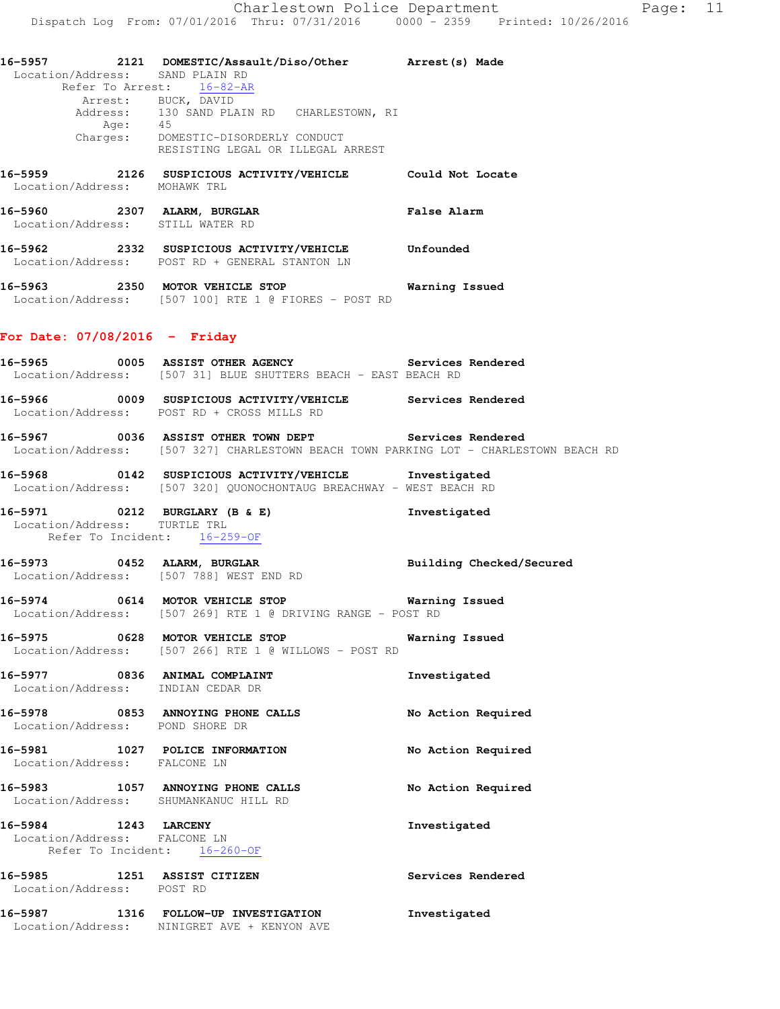| 16–5957 | 2121 | DOMESTIC/Assault/Diso/Other     | Arrest (s) Made |  |
|---------|------|---------------------------------|-----------------|--|
|         |      | Location/Address: SAND PLAIN RD |                 |  |
|         |      | Refer To Arrest: 16-82-AR       |                 |  |

 Arrest: BUCK, DAVID Address: 130 SAND PLAIN RD CHARLESTOWN, RI Age: 45 Charges: DOMESTIC-DISORDERLY CONDUCT RESISTING LEGAL OR ILLEGAL ARREST

- **16-5959 2126 SUSPICIOUS ACTIVITY/VEHICLE Could Not Locate**  Location/Address: MOHAWK TRL **16-5960 2307 ALARM, BURGLAR False Alarm**  Location/Address: STILL WATER RD
- **16-5962 2332 SUSPICIOUS ACTIVITY/VEHICLE Unfounded**  Location/Address: POST RD + GENERAL STANTON LN
- **16-5963 2350 MOTOR VEHICLE STOP Warning Issued**  Location/Address: [507 100] RTE 1 @ FIORES - POST RD

## **For Date: 07/08/2016 - Friday**

- **16-5965 0005 ASSIST OTHER AGENCY Services Rendered**  Location/Address: [507 31] BLUE SHUTTERS BEACH - EAST BEACH RD **16-5966 0009 SUSPICIOUS ACTIVITY/VEHICLE Services Rendered**
- Location/Address: POST RD + CROSS MILLS RD
- **16-5967 0036 ASSIST OTHER TOWN DEPT Services Rendered**  Location/Address: [507 327] CHARLESTOWN BEACH TOWN PARKING LOT - CHARLESTOWN BEACH RD
- **16-5968 0142 SUSPICIOUS ACTIVITY/VEHICLE Investigated**  Location/Address: [507 320] QUONOCHONTAUG BREACHWAY - WEST BEACH RD
- **16-5971 0212 BURGLARY (B & E) Investigated**  Location/Address: TURTLE TRL Refer To Incident: 16-259-OF
- **16-5973 0452 ALARM, BURGLAR Building Checked/Secured**  Location/Address: [507 788] WEST END RD
- **16-5974 0614 MOTOR VEHICLE STOP Warning Issued**  Location/Address: [507 269] RTE 1 @ DRIVING RANGE - POST RD
- **16-5975 0628 MOTOR VEHICLE STOP Warning Issued**  Location/Address: [507 266] RTE 1 @ WILLOWS - POST RD
- **16-5977 0836 ANIMAL COMPLAINT Investigated**  Location/Address: INDIAN CEDAR DR
- **16-5978 0853 ANNOYING PHONE CALLS No Action Required**  Location/Address: POND SHORE DR **16-5981 1027 POLICE INFORMATION No Action Required**  Location/Address: FALCONE LN
- **16-5983 1057 ANNOYING PHONE CALLS No Action Required**  Location/Address: SHUMANKANUC HILL RD
- **16-5984 1243 LARCENY Investigated**  Location/Address: FALCONE LN Refer To Incident: 16-260-OF
- **16-5985 1251 ASSIST CITIZEN Services Rendered**  Location/Address: POST RD
- **16-5987 1316 FOLLOW-UP INVESTIGATION Investigated**  Location/Address: NINIGRET AVE + KENYON AVE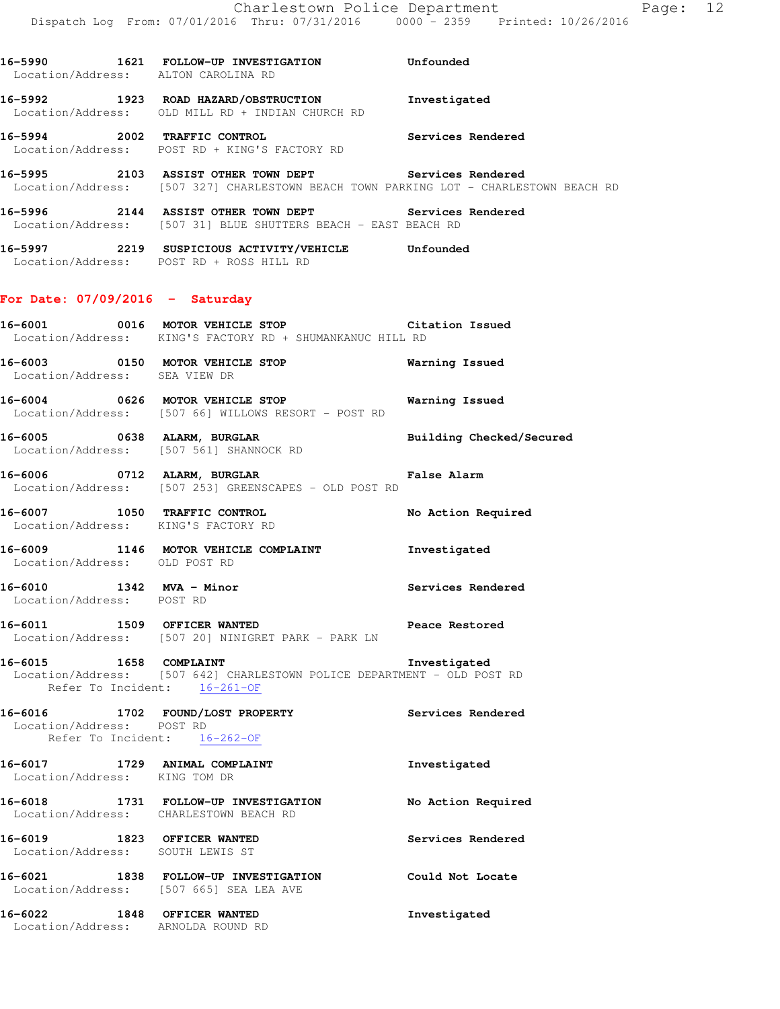**16-5990 1621 FOLLOW-UP INVESTIGATION Unfounded**  Location/Address: ALTON CAROLINA RD **16-5992 1923 ROAD HAZARD/OBSTRUCTION Investigated**  Location/Address: OLD MILL RD + INDIAN CHURCH RD **16-5994 2002 TRAFFIC CONTROL Services Rendered**  Location/Address: POST RD + KING'S FACTORY RD

**16-5995 2103 ASSIST OTHER TOWN DEPT Services Rendered**  Location/Address: [507 327] CHARLESTOWN BEACH TOWN PARKING LOT - CHARLESTOWN BEACH RD

- **16-5996 2144 ASSIST OTHER TOWN DEPT Services Rendered**  Location/Address: [507 31] BLUE SHUTTERS BEACH - EAST BEACH RD
- **16-5997 2219 SUSPICIOUS ACTIVITY/VEHICLE Unfounded**  Location/Address: POST RD + ROSS HILL RD

## **For Date: 07/09/2016 - Saturday**

**16-6001 0016 MOTOR VEHICLE STOP Citation Issued**  Location/Address: KING'S FACTORY RD + SHUMANKANUC HILL RD

- **16-6003 0150 MOTOR VEHICLE STOP Warning Issued**  Location/Address: SEA VIEW DR
- **16-6004 0626 MOTOR VEHICLE STOP Warning Issued**  Location/Address: [507 66] WILLOWS RESORT - POST RD
- **16-6005 0638 ALARM, BURGLAR Building Checked/Secured**  Location/Address: [507 561] SHANNOCK RD
- **16-6006 0712 ALARM, BURGLAR False Alarm**  Location/Address: [507 253] GREENSCAPES - OLD POST RD
- **16-6007 1050 TRAFFIC CONTROL No Action Required**  Location/Address: KING'S FACTORY RD
- **16-6009 1146 MOTOR VEHICLE COMPLAINT Investigated**  Location/Address: OLD POST RD
- 16-6010 1342 MVA Minor **Services Rendered** Location/Address: POST RD
- **16-6011 1509 OFFICER WANTED Peace Restored**  Location/Address: [507 20] NINIGRET PARK - PARK LN
- **16-6015 1658 COMPLAINT Investigated**  Location/Address: [507 642] CHARLESTOWN POLICE DEPARTMENT - OLD POST RD Refer To Incident: 16-261-OF
- **16-6016 1702 FOUND/LOST PROPERTY Services Rendered**  Location/Address: POST RD Refer To Incident: 16-262-OF **16-6017 1729 ANIMAL COMPLAINT Investigated**  Location/Address: KING TOM DR **16-6018 1731 FOLLOW-UP INVESTIGATION No Action Required**  Location/Address: CHARLESTOWN BEACH RD **16-6019 1823 OFFICER WANTED Services Rendered**  Location/Address: SOUTH LEWIS ST **16-6021 1838 FOLLOW-UP INVESTIGATION Could Not Locate**  Location/Address: [507 665] SEA LEA AVE
- **16-6022 1848 OFFICER WANTED Investigated**  Location/Address: ARNOLDA ROUND RD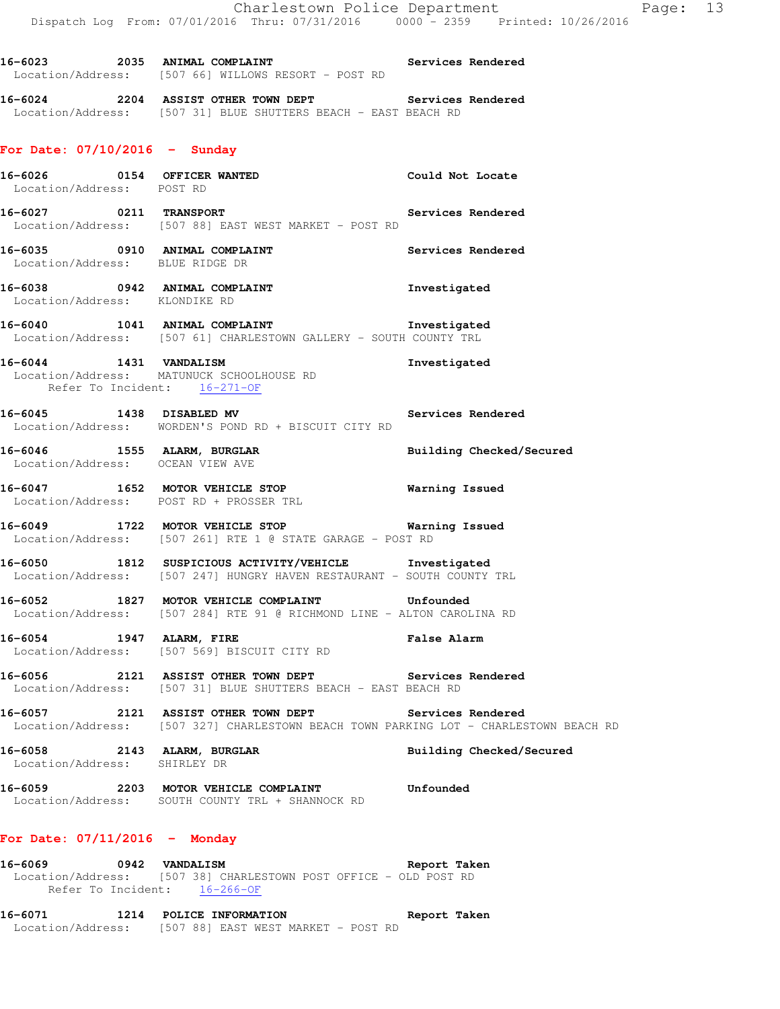16-6023 2035 ANIMAL COMPLAINT **Services Rendered** 

**16-6024 2204 ASSIST OTHER TOWN DEPT Services Rendered** 

Location/Address: [507 66] WILLOWS RESORT - POST RD

Location/Address: [507 31] BLUE SHUTTERS BEACH - EAST BEACH RD **For Date: 07/10/2016 - Sunday 16-6026 0154 OFFICER WANTED Could Not Locate**  Location/Address: POST RD **16-6027 0211 TRANSPORT Services Rendered**  Location/Address: [507 88] EAST WEST MARKET - POST RD **16-6035 0910 ANIMAL COMPLAINT Services Rendered**  Location/Address: BLUE RIDGE DR **16-6038 0942 ANIMAL COMPLAINT Investigated**  Location/Address: KLONDIKE RD **16-6040 1041 ANIMAL COMPLAINT Investigated**  Location/Address: [507 61] CHARLESTOWN GALLERY - SOUTH COUNTY TRL **16-6044 1431 VANDALISM Investigated**  Location/Address: MATUNUCK SCHOOLHOUSE RD Refer To Incident: 16-271-OF **16-6045 1438 DISABLED MV Services Rendered**  Location/Address: WORDEN'S POND RD + BISCUIT CITY RD **16-6046 1555 ALARM, BURGLAR Building Checked/Secured**  Location/Address: OCEAN VIEW AVE **16-6047 1652 MOTOR VEHICLE STOP Warning Issued**  Location/Address: POST RD + PROSSER TRL **16-6049 1722 MOTOR VEHICLE STOP Warning Issued**  Location/Address: [507 261] RTE 1 @ STATE GARAGE - POST RD **16-6050 1812 SUSPICIOUS ACTIVITY/VEHICLE Investigated**  Location/Address: [507 247] HUNGRY HAVEN RESTAURANT - SOUTH COUNTY TRL **16-6052 1827 MOTOR VEHICLE COMPLAINT Unfounded**  Location/Address: [507 284] RTE 91 @ RICHMOND LINE - ALTON CAROLINA RD **16-6054 1947 ALARM, FIRE False Alarm**  Location/Address: [507 569] BISCUIT CITY RD **16-6056 2121 ASSIST OTHER TOWN DEPT Services Rendered**  Location/Address: [507 31] BLUE SHUTTERS BEACH - EAST BEACH RD **16-6057 2121 ASSIST OTHER TOWN DEPT Services Rendered**  Location/Address: [507 327] CHARLESTOWN BEACH TOWN PARKING LOT - CHARLESTOWN BEACH RD **16-6058 2143 ALARM, BURGLAR Building Checked/Secured**  Location/Address: SHIRLEY DR

**16-6059 2203 MOTOR VEHICLE COMPLAINT Unfounded**  Location/Address: SOUTH COUNTY TRL + SHANNOCK RD

#### **For Date: 07/11/2016 - Monday**

**16-6069 0942 VANDALISM Report Taken**  Location/Address: [507 38] CHARLESTOWN POST OFFICE - OLD POST RD Refer To Incident: 16-266-OF

**16-6071 1214 POLICE INFORMATION Report Taken**  Location/Address: [507 88] EAST WEST MARKET - POST RD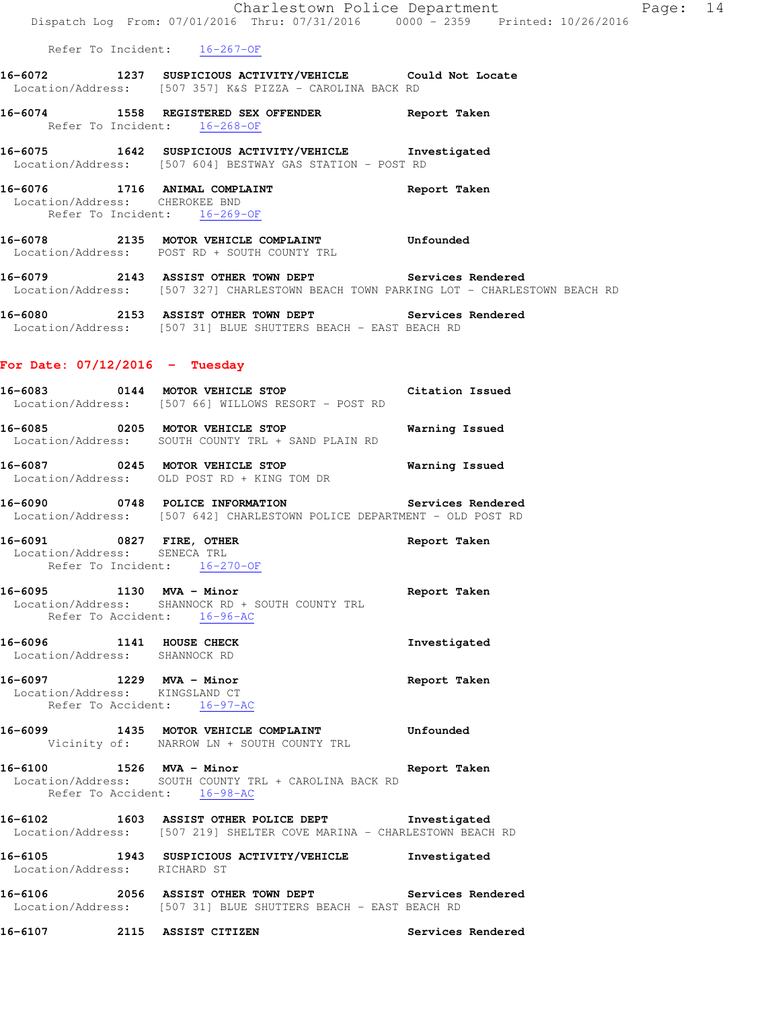|                                                               | Dispatch Log From: 07/01/2016 Thru: 07/31/2016 0000 - 2359 Printed: 10/26/2016                                                                 | Charlestown Police Department Fage: 14 |  |
|---------------------------------------------------------------|------------------------------------------------------------------------------------------------------------------------------------------------|----------------------------------------|--|
|                                                               | Refer To Incident: 16-267-OF                                                                                                                   |                                        |  |
|                                                               | 16-6072 1237 SUSPICIOUS ACTIVITY/VEHICLE Could Not Locate<br>Location/Address: [507 357] K&S PIZZA - CAROLINA BACK RD                          |                                        |  |
|                                                               | 16-6074 1558 REGISTERED SEX OFFENDER Report Taken<br>Refer To Incident: 16-268-OF                                                              |                                        |  |
|                                                               | 16-6075 1642 SUSPICIOUS ACTIVITY/VEHICLE Investigated<br>Location/Address: [507 604] BESTWAY GAS STATION - POST RD                             |                                        |  |
| Location/Address: CHEROKEE BND                                | 16-6076 1716 ANIMAL COMPLAINT Report Taken<br>Refer To Incident: 16-269-OF                                                                     |                                        |  |
|                                                               | 16-6078 2135 MOTOR VEHICLE COMPLAINT Unfounded<br>Location/Address: POST RD + SOUTH COUNTY TRL                                                 |                                        |  |
|                                                               | 16-6079 2143 ASSIST OTHER TOWN DEPT Services Rendered<br>Location/Address: [507 327] CHARLESTOWN BEACH TOWN PARKING LOT - CHARLESTOWN BEACH RD |                                        |  |
|                                                               | 16-6080 2153 ASSIST OTHER TOWN DEPT Services Rendered<br>Location/Address: [507 31] BLUE SHUTTERS BEACH - EAST BEACH RD                        |                                        |  |
| For Date: $07/12/2016$ - Tuesday                              |                                                                                                                                                |                                        |  |
|                                                               | 16-6083 0144 MOTOR VEHICLE STOP Citation Issued<br>Location/Address: [507 66] WILLOWS RESORT - POST RD                                         |                                        |  |
|                                                               | 16-6085 0205 MOTOR VEHICLE STOP 60 Warning Issued<br>Location/Address: SOUTH COUNTY TRL + SAND PLAIN RD                                        |                                        |  |
|                                                               | 16-6087 0245 MOTOR VEHICLE STOP <b>WATER WATER</b><br>Location/Address: OLD POST RD + KING TOM DR                                              |                                        |  |
|                                                               | 16-6090 0748 POLICE INFORMATION Services Rendered<br>Location/Address: [507 642] CHARLESTOWN POLICE DEPARTMENT - OLD POST RD                   |                                        |  |
| Location/Address: SENECA TRL                                  | 16-6091 0827 FIRE, OTHER<br>Refer To Incident: 16-270-OF                                                                                       | Report Taken                           |  |
| 16-6095 1130 MVA - Minor                                      | Location/Address: SHANNOCK RD + SOUTH COUNTY TRL<br>Refer To Accident: 16-96-AC                                                                | Report Taken                           |  |
| 16-6096 1141 HOUSE CHECK<br>Location/Address: SHANNOCK RD     |                                                                                                                                                | Investigated                           |  |
| Location/Address: KINGSLAND CT<br>Refer To Accident: 16-97-AC | 16-6097 1229 MVA - Minor                                                                                                                       | Report Taken                           |  |
|                                                               | 16-6099 1435 MOTOR VEHICLE COMPLAINT Unfounded<br>Vicinity of: NARROW LN + SOUTH COUNTY TRL                                                    |                                        |  |
|                                                               | 16-6100 1526 MVA - Minor Changes and Report Taken<br>Location/Address: SOUTH COUNTY TRL + CAROLINA BACK RD<br>Refer To Accident: 16-98-AC      |                                        |  |
|                                                               | 16-6102 1603 ASSIST OTHER POLICE DEPT 1nvestigated<br>Location/Address: [507 219] SHELTER COVE MARINA - CHARLESTOWN BEACH RD                   |                                        |  |
|                                                               | 16-6105   1943   SUSPICIOUS ACTIVITY/VEHICLE   Investigated Location/Address:   RICHARD ST                                                     |                                        |  |
|                                                               | 16-6106 2056 ASSIST OTHER TOWN DEPT Services Rendered<br>Location/Address: [507 31] BLUE SHUTTERS BEACH - EAST BEACH RD                        |                                        |  |
|                                                               | 16-6107 2115 ASSIST CITIZEN                                                                                                                    | Services Rendered                      |  |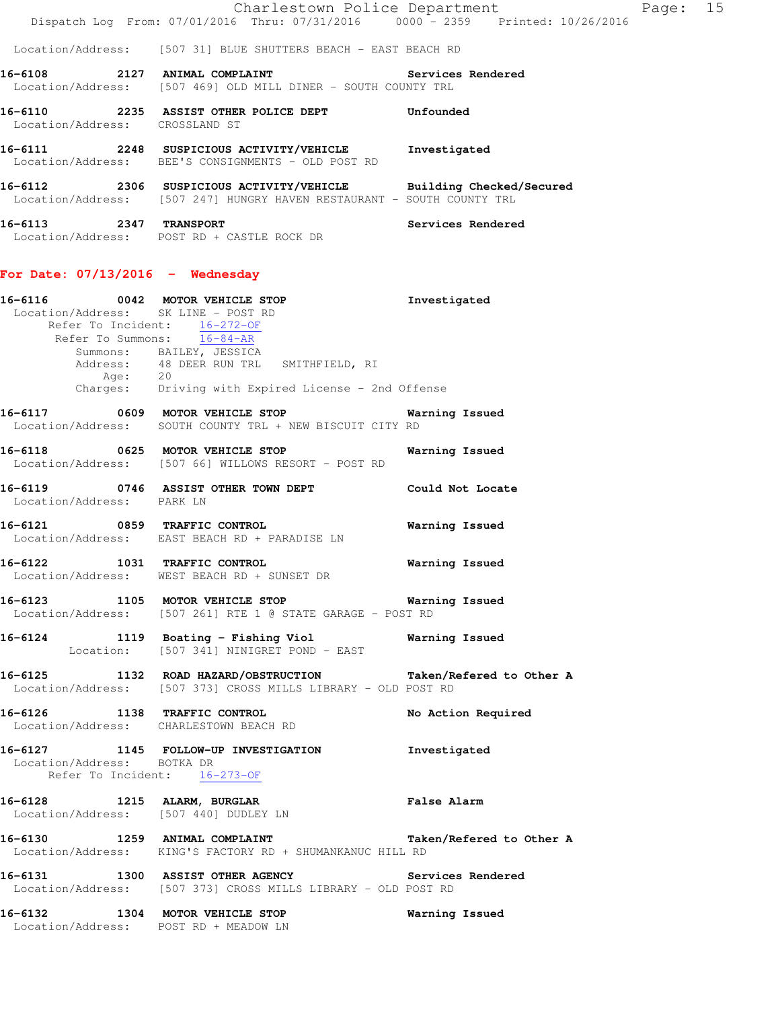|                                      | Charlestown Police Department                                                     |                   | Page: | 15 |
|--------------------------------------|-----------------------------------------------------------------------------------|-------------------|-------|----|
|                                      | Dispatch Log From: 07/01/2016 Thru: 07/31/2016 0000 - 2359 Printed: 10/26/2016    |                   |       |    |
|                                      | Location/Address: [507 31] BLUE SHUTTERS BEACH - EAST BEACH RD                    |                   |       |    |
| 16-6108<br>2127                      | ANIMAL COMPLAINT<br>Location/Address: [507 469] OLD MILL DINER - SOUTH COUNTY TRL | Services Rendered |       |    |
| 16-6110<br>2235<br>Location/Address: | ASSIST OTHER POLICE DEPT<br>CROSSLAND ST                                          | Unfounded         |       |    |
| 16-6111<br>2248<br>Location/Address: | SUSPICIOUS ACTIVITY/VEHICLE<br>BEE'S CONSIGNMENTS - OLD POST RD                   | Investigated      |       |    |

| 16-6112           | 2306 |  | SUSPICIOUS ACTIVITY/VEHICLE |                                                      |  | Building Checked/Secured |
|-------------------|------|--|-----------------------------|------------------------------------------------------|--|--------------------------|
| Location/Address: |      |  |                             | [507 247] HUNGRY HAVEN RESTAURANT - SOUTH COUNTY TRL |  |                          |

**16-6113 2347 TRANSPORT Services Rendered**  Location/Address: POST RD + CASTLE ROCK DR

## **For Date: 07/13/2016 - Wednesday**

|                           | Age: 20 | 16-6116 0042 MOTOR VEHICLE STOP<br>Location/Address: SK LINE - POST RD<br>Refer To Incident: 16-272-OF<br>Refer To Summons: 16-84-AR<br>Summons: BAILEY, JESSICA<br>Address: 48 DEER RUN TRL SMITHFIELD, RI<br>Charges: Driving with Expired License - 2nd Offense | Investigated       |
|---------------------------|---------|--------------------------------------------------------------------------------------------------------------------------------------------------------------------------------------------------------------------------------------------------------------------|--------------------|
|                           |         | 16-6117 0609 MOTOR VEHICLE STOP 600 Warning Issued<br>Location/Address: SOUTH COUNTY TRL + NEW BISCUIT CITY RD                                                                                                                                                     |                    |
|                           |         | 16-6118 0625 MOTOR VEHICLE STOP<br>Location/Address: [507 66] WILLOWS RESORT - POST RD                                                                                                                                                                             | Warning Issued     |
| Location/Address: PARK LN |         | 16-6119 0746 ASSIST OTHER TOWN DEPT Could Not Locate                                                                                                                                                                                                               |                    |
|                           |         | 16-6121 0859 TRAFFIC CONTROL<br>Location/Address: EAST BEACH RD + PARADISE LN                                                                                                                                                                                      | Warning Issued     |
|                           |         | 16-6122 1031 TRAFFIC CONTROL 100 Warning Issued<br>Location/Address: WEST BEACH RD + SUNSET DR                                                                                                                                                                     |                    |
|                           |         | 16-6123 1105 MOTOR VEHICLE STOP 6123 Warning Issued<br>Location/Address: [507 261] RTE 1 @ STATE GARAGE - POST RD                                                                                                                                                  |                    |
|                           |         | 16-6124 1119 Boating - Fishing Viol Narning Issued<br>Location: [507 341] NINIGRET POND - EAST                                                                                                                                                                     |                    |
|                           |         | 16-6125 1132 ROAD HAZARD/OBSTRUCTION Taken/Refered to Other A<br>Location/Address: [507 373] CROSS MILLS LIBRARY - OLD POST RD                                                                                                                                     |                    |
|                           |         | 16-6126 1138 TRAFFIC CONTROL<br>Location/Address: CHARLESTOWN BEACH RD                                                                                                                                                                                             | No Action Required |

**16-6127 1145 FOLLOW-UP INVESTIGATION Investigated**  Location/Address: BOTKA DR Refer To Incident: 16-273-OF

**16-6128 1215 ALARM, BURGLAR False Alarm**  Location/Address: [507 440] DUDLEY LN

**16-6130 1259 ANIMAL COMPLAINT Taken/Refered to Other A**  Location/Address: KING'S FACTORY RD + SHUMANKANUC HILL RD

**16-6131 1300 ASSIST OTHER AGENCY Services Rendered**  Location/Address: [507 373] CROSS MILLS LIBRARY - OLD POST RD

## **16-6132 1304 MOTOR VEHICLE STOP Warning Issued**  Location/Address: POST RD + MEADOW LN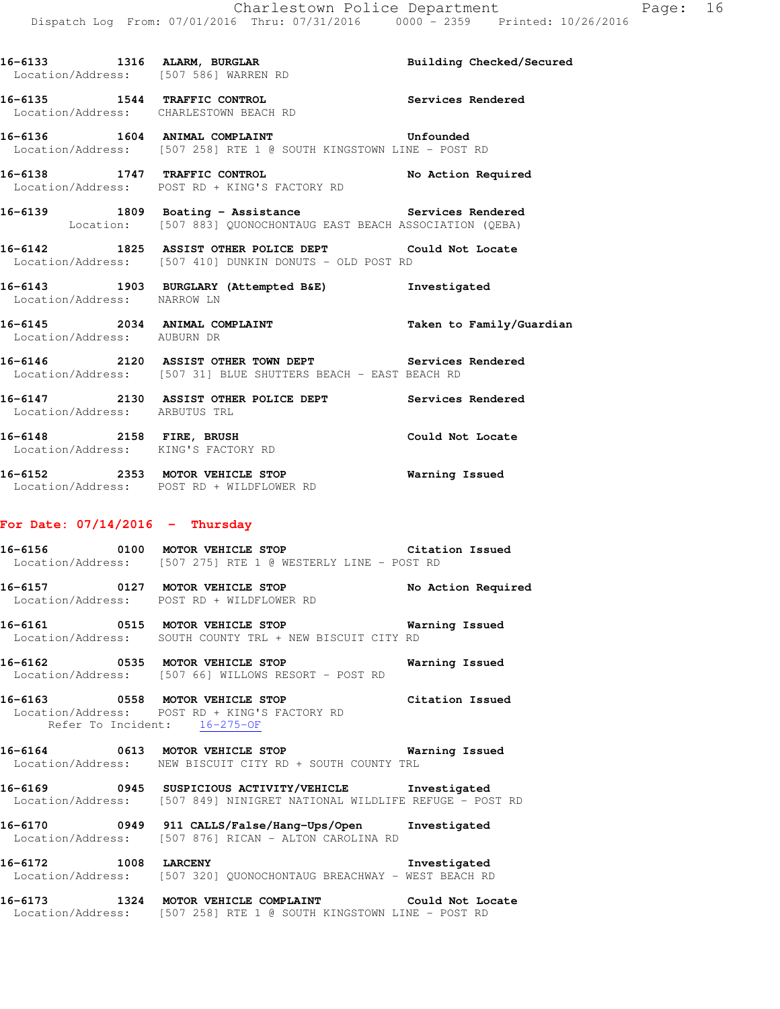Location/Address: [507 586] WARREN RD **16-6135 1544 TRAFFIC CONTROL Services Rendered**  Location/Address: CHARLESTOWN BEACH RD **16-6136 1604 ANIMAL COMPLAINT Unfounded**  Location/Address: [507 258] RTE 1 @ SOUTH KINGSTOWN LINE - POST RD **16-6138 1747 TRAFFIC CONTROL No Action Required**  Location/Address: POST RD + KING'S FACTORY RD **16-6139 1809 Boating - Assistance Services Rendered**  Location: [507 883] QUONOCHONTAUG EAST BEACH ASSOCIATION (QEBA) **16-6142 1825 ASSIST OTHER POLICE DEPT Could Not Locate**  Location/Address: [507 410] DUNKIN DONUTS - OLD POST RD **16-6143 1903 BURGLARY (Attempted B&E) Investigated**  Location/Address: NARROW LN **16-6145 2034 ANIMAL COMPLAINT Taken to Family/Guardian**  Location/Address: AUBURN DR **16-6146 2120 ASSIST OTHER TOWN DEPT Services Rendered**  Location/Address: [507 31] BLUE SHUTTERS BEACH - EAST BEACH RD **16-6147 2130 ASSIST OTHER POLICE DEPT Services Rendered**  Location/Address: ARBUTUS TRL **16-6148 2158 FIRE, BRUSH Could Not Locate**  Location/Address: KING'S FACTORY RD **16-6152 2353 MOTOR VEHICLE STOP Warning Issued**  Location/Address: POST RD + WILDFLOWER RD

16-6133 1316 ALARM, BURGLAR **Building Checked/Secured** 

#### **For Date: 07/14/2016 - Thursday**

**16-6156 0100 MOTOR VEHICLE STOP Citation Issued**  Location/Address: [507 275] RTE 1 @ WESTERLY LINE - POST RD

**16-6157 0127 MOTOR VEHICLE STOP No Action Required**  Location/Address: POST RD + WILDFLOWER RD

**16-6161 0515 MOTOR VEHICLE STOP Warning Issued**  Location/Address: SOUTH COUNTY TRL + NEW BISCUIT CITY RD

**16-6162 0535 MOTOR VEHICLE STOP Warning Issued**  Location/Address: [507 66] WILLOWS RESORT - POST RD

**16-6163 0558 MOTOR VEHICLE STOP Citation Issued**  Location/Address: POST RD + KING'S FACTORY RD Refer To Incident: 16-275-OF

**16-6164 0613 MOTOR VEHICLE STOP Warning Issued**  Location/Address: NEW BISCUIT CITY RD + SOUTH COUNTY TRL

**16-6169 0945 SUSPICIOUS ACTIVITY/VEHICLE Investigated**  Location/Address: [507 849] NINIGRET NATIONAL WILDLIFE REFUGE - POST RD

**16-6170 0949 911 CALLS/False/Hang-Ups/Open Investigated**  Location/Address: [507 876] RICAN - ALTON CAROLINA RD

**16-6172 1008 LARCENY Investigated**  Location/Address: [507 320] QUONOCHONTAUG BREACHWAY - WEST BEACH RD

**16-6173 1324 MOTOR VEHICLE COMPLAINT Could Not Locate**  Location/Address: [507 258] RTE 1 @ SOUTH KINGSTOWN LINE - POST RD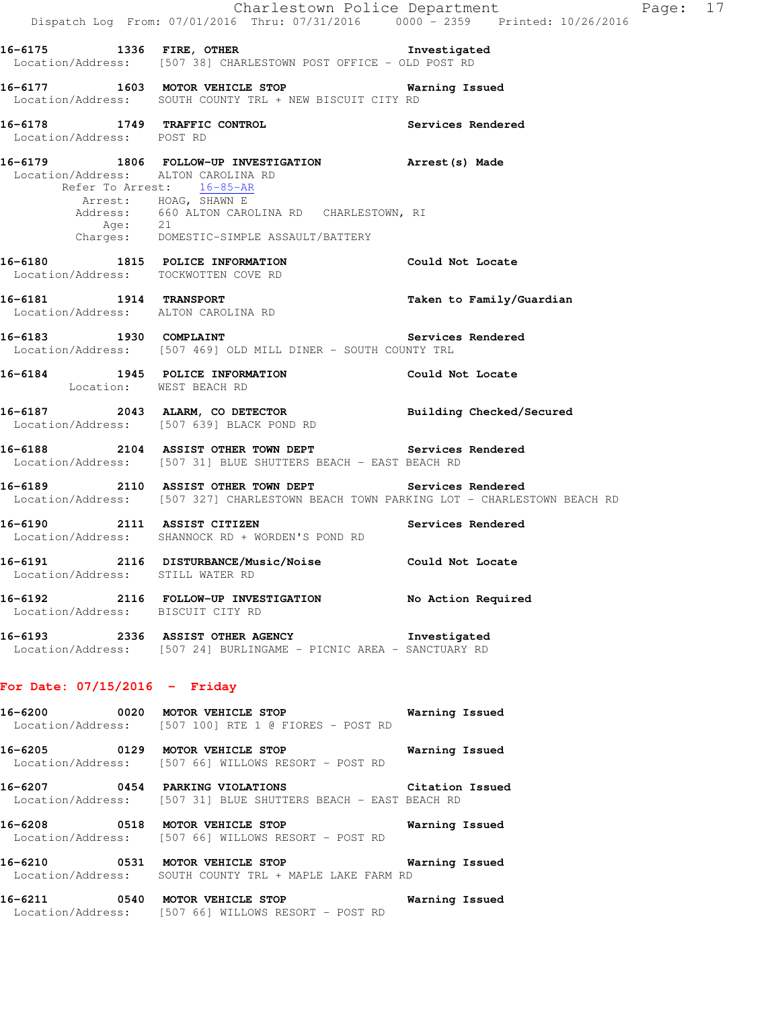Charlestown Police Department Fage: 17 Dispatch Log From: 07/01/2016 Thru: 07/31/2016 0000 - 2359 Printed: 10/26/2016 **16-6175 1336 FIRE, OTHER Investigated**  Location/Address: [507 38] CHARLESTOWN POST OFFICE - OLD POST RD **16-6177 1603 MOTOR VEHICLE STOP Warning Issued**  Location/Address: SOUTH COUNTY TRL + NEW BISCUIT CITY RD **16-6178 1749 TRAFFIC CONTROL Services Rendered**  Location/Address: POST RD **16-6179 1806 FOLLOW-UP INVESTIGATION Arrest(s) Made**  Location/Address: ALTON CAROLINA RD<br>Refer To Arrest:  $16-85-AR$ Refer To Arrest: Arrest: HOAG, SHAWN E Address: 660 ALTON CAROLINA RD CHARLESTOWN, RI Age: 21 Charges: DOMESTIC-SIMPLE ASSAULT/BATTERY **16-6180 1815 POLICE INFORMATION Could Not Locate**  Location/Address: TOCKWOTTEN COVE RD **16-6181 1914 TRANSPORT Taken to Family/Guardian**  Location/Address: ALTON CAROLINA RD **16-6183 1930 COMPLAINT Services Rendered**  Location/Address: [507 469] OLD MILL DINER - SOUTH COUNTY TRL **16-6184 1945 POLICE INFORMATION Could Not Locate**  Location: WEST BEACH RD **16-6187 2043 ALARM, CO DETECTOR Building Checked/Secured**  Location/Address: [507 639] BLACK POND RD **16-6188 2104 ASSIST OTHER TOWN DEPT Services Rendered**  Location/Address: [507 31] BLUE SHUTTERS BEACH - EAST BEACH RD **16-6189 2110 ASSIST OTHER TOWN DEPT Services Rendered**  Location/Address: [507 327] CHARLESTOWN BEACH TOWN PARKING LOT - CHARLESTOWN BEACH RD **16-6190 2111 ASSIST CITIZEN Services Rendered**  Location/Address: SHANNOCK RD + WORDEN'S POND RD **16-6191 2116 DISTURBANCE/Music/Noise Could Not Locate**  Location/Address: STILL WATER RD **16-6192 2116 FOLLOW-UP INVESTIGATION No Action Required**  Location/Address: BISCUIT CITY RD **16-6193 2336 ASSIST OTHER AGENCY Investigated**  Location/Address: [507 24] BURLINGAME - PICNIC AREA - SANCTUARY RD **For Date: 07/15/2016 - Friday 16-6200 0020 MOTOR VEHICLE STOP Warning Issued**  Location/Address: [507 100] RTE 1 @ FIORES - POST RD **16-6205 0129 MOTOR VEHICLE STOP Warning Issued**  Location/Address: [507 66] WILLOWS RESORT - POST RD **16-6207 0454 PARKING VIOLATIONS Citation Issued**  Location/Address: [507 31] BLUE SHUTTERS BEACH - EAST BEACH RD **16-6208 0518 MOTOR VEHICLE STOP Warning Issued**  Location/Address: [507 66] WILLOWS RESORT - POST RD **16-6210 0531 MOTOR VEHICLE STOP Warning Issued**  Location/Address: SOUTH COUNTY TRL + MAPLE LAKE FARM RD **16-6211 0540 MOTOR VEHICLE STOP Warning Issued** 

Location/Address: [507 66] WILLOWS RESORT - POST RD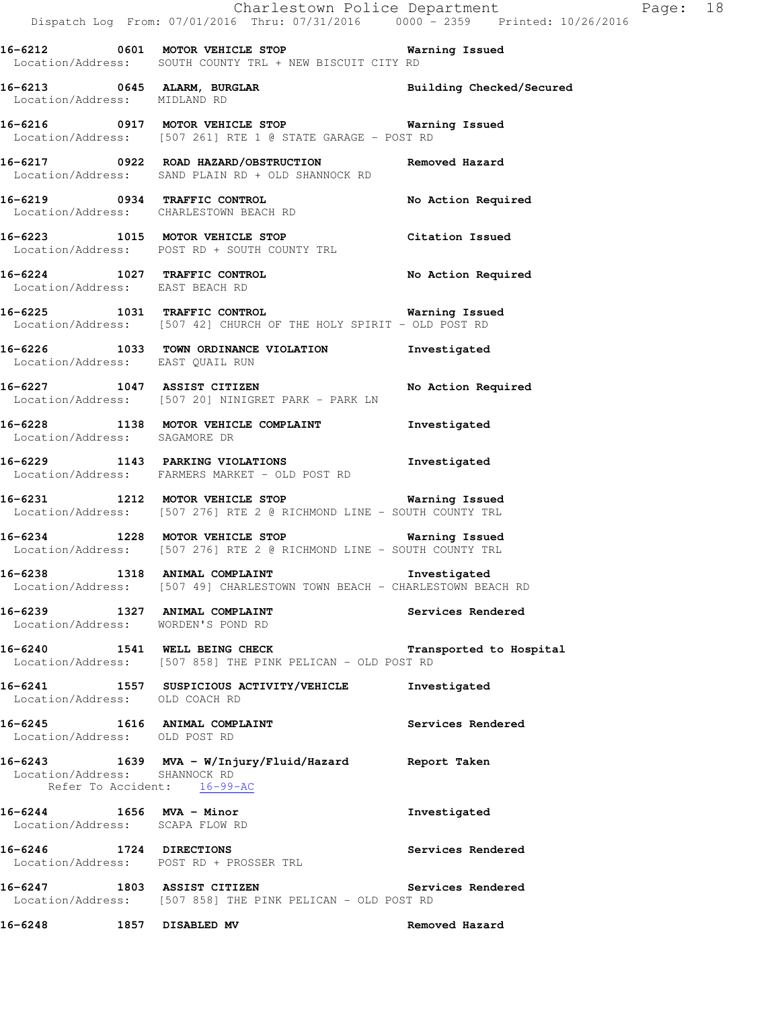|                                  | 16-6212 0601 MOTOR VEHICLE STOP <b>WATER</b> Warning Issued<br>Location/Address: SOUTH COUNTY TRL + NEW BISCUIT CITY RD                                      |                          |
|----------------------------------|--------------------------------------------------------------------------------------------------------------------------------------------------------------|--------------------------|
| Location/Address: MIDLAND RD     | 16-6213 0645 ALARM, BURGLAR<br>Location/Address: MIDLAND RD                                                                                                  | Building Checked/Secured |
|                                  | 16-6216 		 0917 MOTOR VEHICLE STOP 		 Warning Issued<br>Location/Address: [507 261] RTE 1 @ STATE GARAGE - POST RD                                           |                          |
|                                  | 16-6217 0922 ROAD HAZARD/OBSTRUCTION Removed Hazard<br>Location/Address: SAND PLAIN RD + OLD SHANNOCK RD                                                     |                          |
|                                  | 16-6219 		 0934 TRAFFIC CONTROL 			 No Action Required<br>Location/Address: CHARLESTOWN BEACH RD                                                             |                          |
|                                  | 16-6223 1015 MOTOR VEHICLE STOP Citation Issued<br>Location/Address: POST RD + SOUTH COUNTY TRL                                                              |                          |
|                                  | 16-6224 1027 TRAFFIC CONTROL No Action Required<br>Location/Address: EAST BEACH RD                                                                           |                          |
|                                  | 16-6225 1031 TRAFFIC CONTROL <b>16-6225</b> Warning Issued<br>Location/Address: [507 42] CHURCH OF THE HOLY SPIRIT - OLD POST RD                             |                          |
| Location/Address: EAST QUAIL RUN | 16-6226 1033 TOWN ORDINANCE VIOLATION Investigated                                                                                                           |                          |
|                                  | <br> 16-6227                1047     ASSIST CITIZEN                                 No Action Required<br>Location/Address: [507 20] NINIGRET PARK - PARK LN |                          |
| Location/Address: SAGAMORE DR    | 16-6228 1138 MOTOR VEHICLE COMPLAINT 1nvestigated                                                                                                            |                          |
|                                  | 16-6229 1143 PARKING VIOLATIONS<br>Location/Address: FARMERS MARKET - OLD POST RD                                                                            | Investigated             |
|                                  | 16-6231 1212 MOTOR VEHICLE STOP <b>Warning Issued</b><br>Location/Address: [507 276] RTE 2 @ RICHMOND LINE - SOUTH COUNTY TRL                                |                          |
|                                  | 16-6234 1228 MOTOR VEHICLE STOP 6234 Warning Issued<br>Location/Address: [507 276] RTE 2 @ RICHMOND LINE - SOUTH COUNTY TRL                                  |                          |
|                                  | 16-6238 1318 ANIMAL COMPLAINT 1000 Investigated<br>Location/Address: [507 49] CHARLESTOWN TOWN BEACH - CHARLESTOWN BEACH RD                                  |                          |
| 16-6239                          | 1327 ANIMAL COMPLAINT<br>Location/Address: WORDEN'S POND RD                                                                                                  | Services Rendered        |
|                                  | 16-6240 1541 WELL BEING CHECK Transported to Hospital<br>Location/Address: [507 858] THE PINK PELICAN - OLD POST RD                                          |                          |
| Location/Address: OLD COACH RD   | 16-6241 1557 SUSPICIOUS ACTIVITY/VEHICLE Investigated                                                                                                        |                          |
| Location/Address: OLD POST RD    | 16-6245 1616 ANIMAL COMPLAINT                                                                                                                                | Services Rendered        |
| Location/Address: SHANNOCK RD    | 16-6243 1639 MVA - W/Injury/Fluid/Hazard Report Taken<br>Refer To Accident: 16-99-AC                                                                         |                          |
| 16-6244 1656 MVA - Minor         | Location/Address: SCAPA FLOW RD                                                                                                                              | Investigated             |
|                                  | 16-6246 1724 DIRECTIONS<br>Location/Address: POST RD + PROSSER TRL                                                                                           | Services Rendered        |
| 16-6247 1803 ASSIST CITIZEN      | Location/Address: [507 858] THE PINK PELICAN - OLD POST RD                                                                                                   | Services Rendered        |
| 16-6248                          | 1857 DISABLED MV                                                                                                                                             | Removed Hazard           |

Charlestown Police Department Page: 18

Dispatch Log From: 07/01/2016 Thru: 07/31/2016 0000 - 2359 Printed: 10/26/2016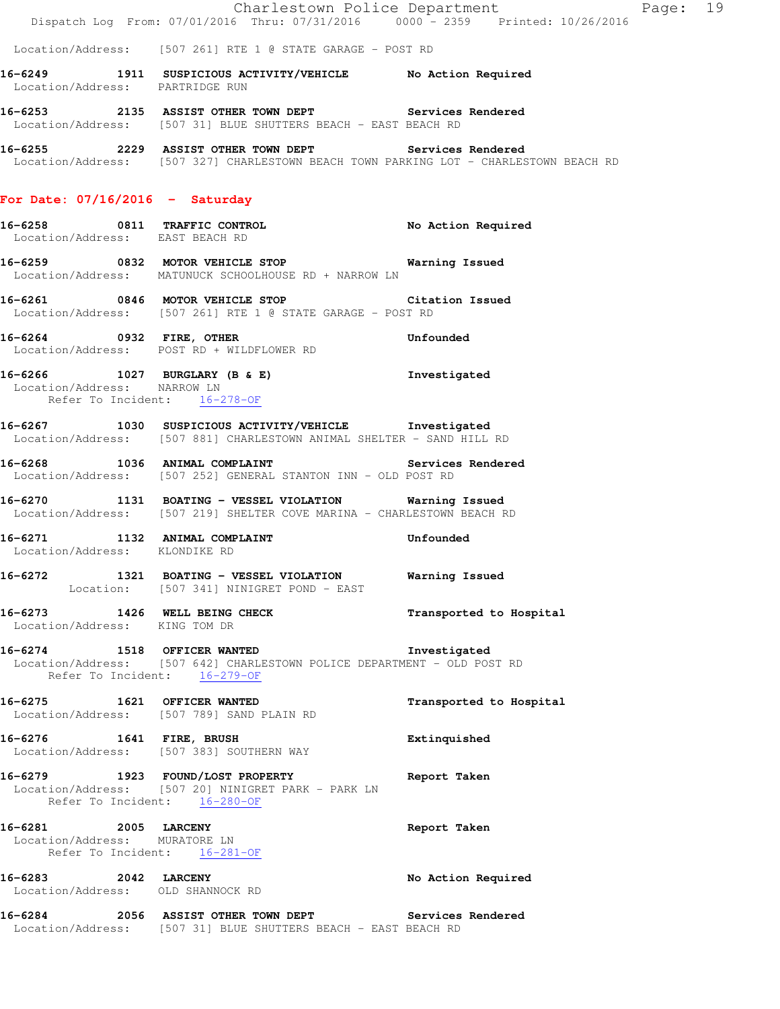Location/Address: [507 261] RTE 1 @ STATE GARAGE - POST RD

**16-6249 1911 SUSPICIOUS ACTIVITY/VEHICLE No Action Required**  Location/Address: PARTRIDGE RUN

**16-6253 2135 ASSIST OTHER TOWN DEPT Services Rendered**  Location/Address: [507 31] BLUE SHUTTERS BEACH - EAST BEACH RD

**16-6255 2229 ASSIST OTHER TOWN DEPT Services Rendered**  Location/Address: [507 327] CHARLESTOWN BEACH TOWN PARKING LOT - CHARLESTOWN BEACH RD

#### **For Date: 07/16/2016 - Saturday**

**16-6258 0811 TRAFFIC CONTROL No Action Required**  Location/Address: EAST BEACH RD

**16-6259 0832 MOTOR VEHICLE STOP Warning Issued**  Location/Address: MATUNUCK SCHOOLHOUSE RD + NARROW LN

**16-6261 0846 MOTOR VEHICLE STOP Citation Issued**  Location/Address: [507 261] RTE 1 @ STATE GARAGE - POST RD

**16-6264 0932 FIRE, OTHER Unfounded**  Location/Address: POST RD + WILDFLOWER RD

**16-6266 1027 BURGLARY (B & E) Investigated**  Location/Address: NARROW LN Refer To Incident: 16-278-OF

**16-6267 1030 SUSPICIOUS ACTIVITY/VEHICLE Investigated**  Location/Address: [507 881] CHARLESTOWN ANIMAL SHELTER - SAND HILL RD

**16-6268 1036 ANIMAL COMPLAINT Services Rendered**  Location/Address: [507 252] GENERAL STANTON INN - OLD POST RD

**16-6270 1131 BOATING - VESSEL VIOLATION Warning Issued**  Location/Address: [507 219] SHELTER COVE MARINA - CHARLESTOWN BEACH RD

**16-6271 1132 ANIMAL COMPLAINT Unfounded**  Location/Address: KLONDIKE RD

**16-6272 1321 BOATING - VESSEL VIOLATION Warning Issued**  Location: [507 341] NINIGRET POND - EAST

**16-6273 1426 WELL BEING CHECK Transported to Hospital**  Location/Address: KING TOM DR

**16-6274 1518 OFFICER WANTED Investigated**  Location/Address: [507 642] CHARLESTOWN POLICE DEPARTMENT - OLD POST RD Refer To Incident: 16-279-OF

**16-6275 1621 OFFICER WANTED Transported to Hospital**  Location/Address: [507 789] SAND PLAIN RD **16-6276 1641 FIRE, BRUSH Extinquished**  Location/Address: [507 383] SOUTHERN WAY

**16-6279 1923 FOUND/LOST PROPERTY Report Taken**  Location/Address: [507 20] NINIGRET PARK - PARK LN Refer To Incident: 16-280-OF

**16-6281 2005 LARCENY Report Taken**  Location/Address: MURATORE LN Refer To Incident: 16-281-OF

**16-6283 2042 LARCENY No Action Required**  Location/Address: OLD SHANNOCK RD

**16-6284 2056 ASSIST OTHER TOWN DEPT Services Rendered**  Location/Address: [507 31] BLUE SHUTTERS BEACH - EAST BEACH RD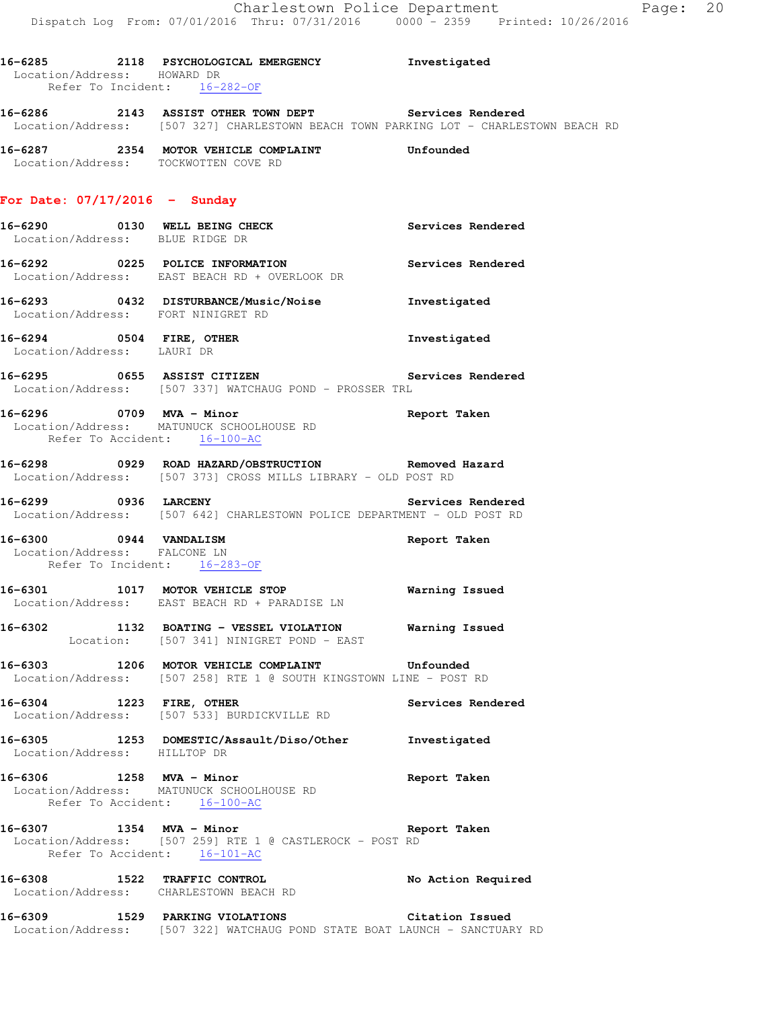Investigated

| 16-6285           | 2118               |           |                 | PSYCHOLOGICAL EMERGENCY |
|-------------------|--------------------|-----------|-----------------|-------------------------|
| Location/Address: |                    | howard dr |                 |                         |
|                   | Refer To Incident: |           | $16 - 282 - 0F$ |                         |

**16-6286 2143 ASSIST OTHER TOWN DEPT Services Rendered**  Location/Address: [507 327] CHARLESTOWN BEACH TOWN PARKING LOT - CHARLESTOWN BEACH RD

**16-6287 2354 MOTOR VEHICLE COMPLAINT Unfounded**  Location/Address: TOCKWOTTEN COVE RD

#### **For Date: 07/17/2016 - Sunday**

- **16-6290 0130 WELL BEING CHECK Services Rendered**  Location/Address: BLUE RIDGE DR **16-6292 0225 POLICE INFORMATION Services Rendered**
- Location/Address: EAST BEACH RD + OVERLOOK DR
- **16-6293 0432 DISTURBANCE/Music/Noise Investigated**  Location/Address: FORT NINIGRET RD
- **16-6294 0504 FIRE, OTHER Investigated**  Location/Address: LAURI DR
- **16-6295 0655 ASSIST CITIZEN Services Rendered**  Location/Address: [507 337] WATCHAUG POND - PROSSER TRL
- **16-6296 0709 MVA Minor Report Taken**  Location/Address: MATUNUCK SCHOOLHOUSE RD Refer To Accident: 16-100-AC
- **16-6298 0929 ROAD HAZARD/OBSTRUCTION Removed Hazard**  Location/Address: [507 373] CROSS MILLS LIBRARY - OLD POST RD
- **16-6299 0936 LARCENY Services Rendered**  Location/Address: [507 642] CHARLESTOWN POLICE DEPARTMENT - OLD POST RD
- **16-6300 0944 VANDALISM Report Taken**  Location/Address: FALCONE LN Refer To Incident: 16-283-OF
- **16-6301 1017 MOTOR VEHICLE STOP Warning Issued**  Location/Address: EAST BEACH RD + PARADISE LN
- **16-6302 1132 BOATING VESSEL VIOLATION Warning Issued**  Location: [507 341] NINIGRET POND - EAST
- **16-6303 1206 MOTOR VEHICLE COMPLAINT Unfounded**  Location/Address: [507 258] RTE 1 @ SOUTH KINGSTOWN LINE - POST RD
- **16-6304 1223 FIRE, OTHER Services Rendered**  Location/Address: [507 533] BURDICKVILLE RD
- **16-6305 1253 DOMESTIC/Assault/Diso/Other Investigated**  Location/Address: HILLTOP DR
- **16-6306 1258 MVA Minor Report Taken**  Location/Address: MATUNUCK SCHOOLHOUSE RD Refer To Accident: 16-100-AC
- **16-6307 1354 MVA Minor Report Taken**  Location/Address: [507 259] RTE 1 @ CASTLEROCK - POST RD Refer To Accident: 16-101-AC
- **16-6308 1522 TRAFFIC CONTROL No Action Required**  Location/Address: CHARLESTOWN BEACH RD
- **16-6309 1529 PARKING VIOLATIONS Citation Issued**  Location/Address: [507 322] WATCHAUG POND STATE BOAT LAUNCH - SANCTUARY RD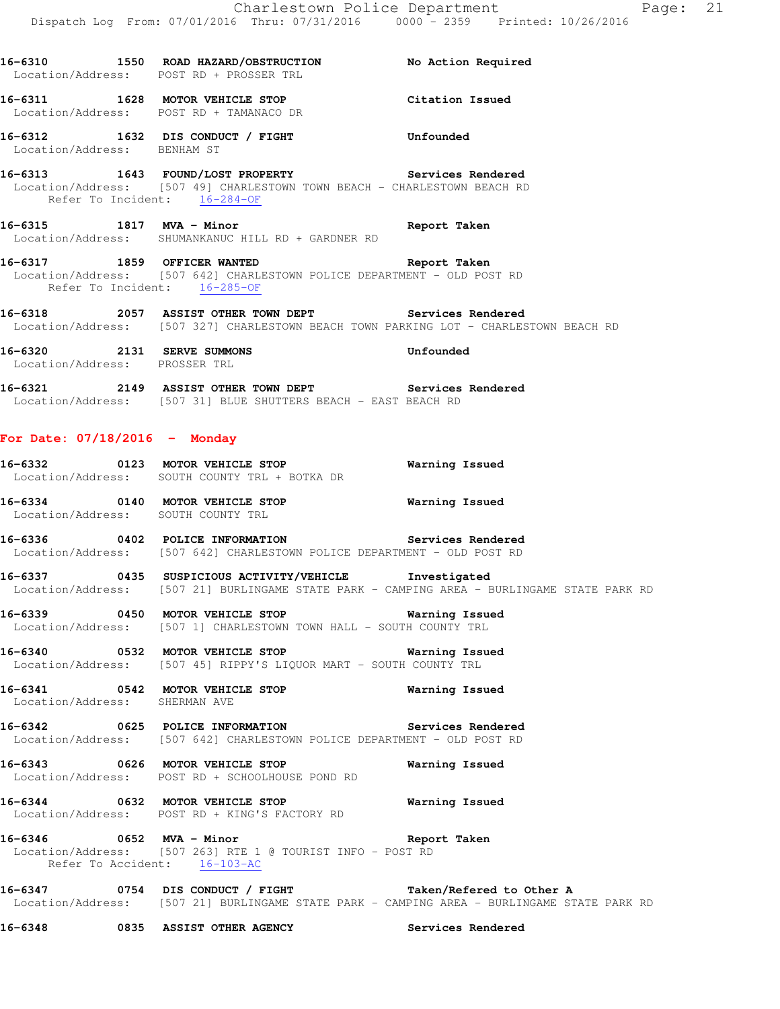**16-6310 1550 ROAD HAZARD/OBSTRUCTION No Action Required**  Location/Address: POST RD + PROSSER TRL **16-6311 1628 MOTOR VEHICLE STOP Citation Issued**  Location/Address: POST RD + TAMANACO DR **16-6312 1632 DIS CONDUCT / FIGHT Unfounded**  Location/Address: BENHAM ST **16-6313 1643 FOUND/LOST PROPERTY Services Rendered**  Location/Address: [507 49] CHARLESTOWN TOWN BEACH - CHARLESTOWN BEACH RD Refer To Incident: 16-284-OF **16-6315 1817 MVA - Minor Report Taken**  Location/Address: SHUMANKANUC HILL RD + GARDNER RD **16-6317 1859 OFFICER WANTED Report Taken**  Location/Address: [507 642] CHARLESTOWN POLICE DEPARTMENT - OLD POST RD Refer To Incident: 16-285-OF **16-6318 2057 ASSIST OTHER TOWN DEPT Services Rendered**  Location/Address: [507 327] CHARLESTOWN BEACH TOWN PARKING LOT - CHARLESTOWN BEACH RD **16-6320 2131 SERVE SUMMONS Unfounded**  Location/Address: PROSSER TRL **16-6321 2149 ASSIST OTHER TOWN DEPT Services Rendered**  Location/Address: [507 31] BLUE SHUTTERS BEACH - EAST BEACH RD **For Date: 07/18/2016 - Monday 16-6332 0123 MOTOR VEHICLE STOP Warning Issued**  Location/Address: SOUTH COUNTY TRL + BOTKA DR **16-6334 0140 MOTOR VEHICLE STOP Warning Issued**  Location/Address: SOUTH COUNTY TRL **16-6336 0402 POLICE INFORMATION Services Rendered**  Location/Address: [507 642] CHARLESTOWN POLICE DEPARTMENT - OLD POST RD **16-6337 0435 SUSPICIOUS ACTIVITY/VEHICLE Investigated**  Location/Address: [507 21] BURLINGAME STATE PARK - CAMPING AREA - BURLINGAME STATE PARK RD **16-6339 0450 MOTOR VEHICLE STOP Warning Issued**  Location/Address: [507 1] CHARLESTOWN TOWN HALL - SOUTH COUNTY TRL **16-6340 0532 MOTOR VEHICLE STOP Warning Issued**  Location/Address: [507 45] RIPPY'S LIQUOR MART - SOUTH COUNTY TRL **16-6341 0542 MOTOR VEHICLE STOP Warning Issued**  Location/Address: SHERMAN AVE **16-6342 0625 POLICE INFORMATION Services Rendered**  Location/Address: [507 642] CHARLESTOWN POLICE DEPARTMENT - OLD POST RD **16-6343 0626 MOTOR VEHICLE STOP Warning Issued**  Location/Address: POST RD + SCHOOLHOUSE POND RD **16-6344 0632 MOTOR VEHICLE STOP Warning Issued**  Location/Address: POST RD + KING'S FACTORY RD **16-6346 0652 MVA - Minor Report Taken**  Location/Address: [507 263] RTE 1 @ TOURIST INFO - POST RD Refer To Accident: 16-103-AC **16-6347 0754 DIS CONDUCT / FIGHT Taken/Refered to Other A**  Location/Address: [507 21] BURLINGAME STATE PARK - CAMPING AREA - BURLINGAME STATE PARK RD

**16-6348 0835 ASSIST OTHER AGENCY Services Rendered**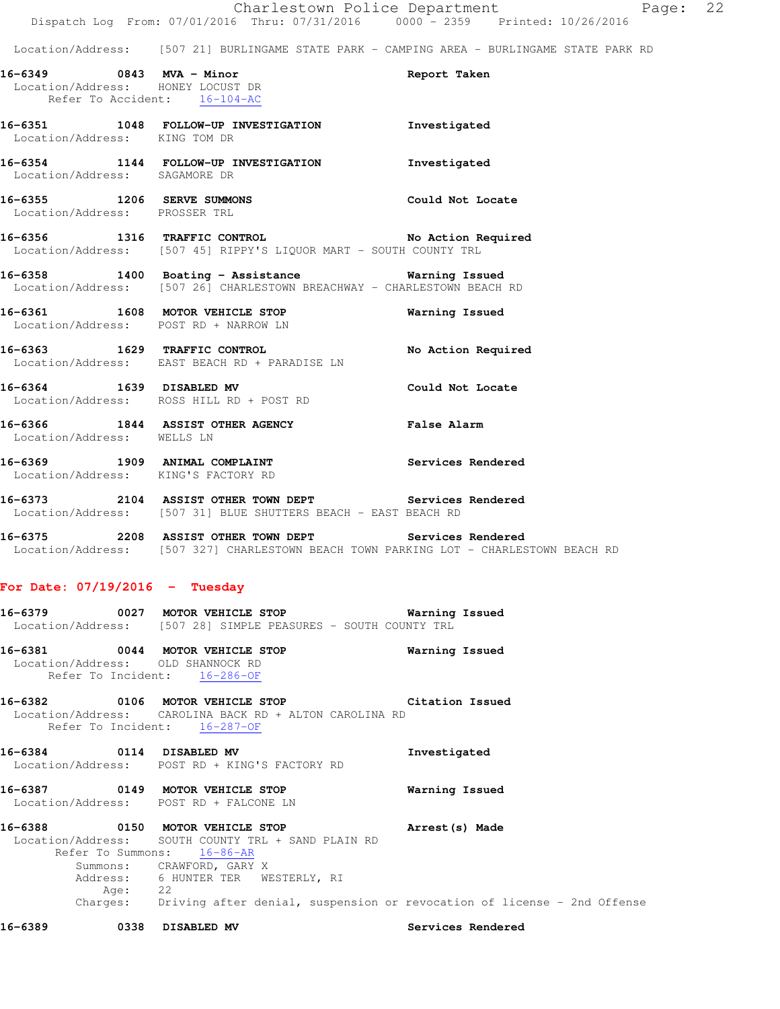|                            |         | Charlestown Police Department<br>Dispatch Log From: 07/01/2016 Thru: 07/31/2016 0000 - 2359 Printed: 10/26/2016                                                                        |                    | Page: 22 |  |
|----------------------------|---------|----------------------------------------------------------------------------------------------------------------------------------------------------------------------------------------|--------------------|----------|--|
|                            |         | Location/Address: [507 21] BURLINGAME STATE PARK - CAMPING AREA - BURLINGAME STATE PARK RD                                                                                             |                    |          |  |
|                            |         | 16-6349 0843 MVA - Minor<br>Location/Address: HONEY LOCUST DR<br>Refer To Accident: 16-104-AC                                                                                          | Report Taken       |          |  |
|                            |         | 16-6351 1048 FOLLOW-UP INVESTIGATION Threstigated<br>Location/Address: KING TOM DR                                                                                                     |                    |          |  |
|                            |         | 16-6354 1144 FOLLOW-UP INVESTIGATION<br>Location/Address: SAGAMORE DR                                                                                                                  | Investigated       |          |  |
|                            |         | 16-6355 1206 SERVE SUMMONS<br>Location/Address: PROSSER TRL                                                                                                                            | Could Not Locate   |          |  |
|                            |         | 16-6356 1316 TRAFFIC CONTROL No Action Required<br>Location/Address: [507 45] RIPPY'S LIQUOR MART - SOUTH COUNTY TRL                                                                   |                    |          |  |
|                            |         | 16-6358 1400 Boating - Assistance Marning Issued<br>Location/Address: [507 26] CHARLESTOWN BREACHWAY - CHARLESTOWN BEACH RD                                                            |                    |          |  |
|                            |         | 16-6361 1608 MOTOR VEHICLE STOP<br>Location/Address: POST RD + NARROW LN                                                                                                               | Warning Issued     |          |  |
|                            |         | 16-6363 1629 TRAFFIC CONTROL<br>Location/Address: EAST BEACH RD + PARADISE LN                                                                                                          | No Action Required |          |  |
|                            |         | 16-6364 1639 DISABLED MV<br>Location/Address: ROSS HILL RD + POST RD                                                                                                                   | Could Not Locate   |          |  |
| Location/Address: WELLS LN |         | 16-6366 1844 ASSIST OTHER AGENCY                                                                                                                                                       | <b>False Alarm</b> |          |  |
|                            |         | 16-6369 1909 ANIMAL COMPLAINT<br>Location/Address: KING'S FACTORY RD                                                                                                                   | Services Rendered  |          |  |
|                            |         | 16-6373 2104 ASSIST OTHER TOWN DEPT Services Rendered<br>Location/Address: [507 31] BLUE SHUTTERS BEACH - EAST BEACH RD                                                                |                    |          |  |
|                            |         | 16-6375 2208 ASSIST OTHER TOWN DEPT<br>Location/Address: [507 327] CHARLESTOWN BEACH TOWN PARKING LOT - CHARLESTOWN BEACH RD                                                           | Services Rendered  |          |  |
|                            |         | For Date: $07/19/2016$ - Tuesday                                                                                                                                                       |                    |          |  |
|                            |         | 16-6379 		 0027 MOTOR VEHICLE STOP 		 Warning Issued<br>Location/Address: [507 28] SIMPLE PEASURES - SOUTH COUNTY TRL                                                                  |                    |          |  |
|                            |         | 16-6381 0044 MOTOR VEHICLE STOP<br>Location/Address: OLD SHANNOCK RD<br>Refer To Incident: 16-286-OF                                                                                   | Warning Issued     |          |  |
|                            |         | 16-6382 0106 MOTOR VEHICLE STOP Citation Issued<br>Location/Address: CAROLINA BACK RD + ALTON CAROLINA RD<br>Refer To Incident: 16-287-OF                                              |                    |          |  |
|                            |         | 16-6384 0114 DISABLED MV<br>Location/Address: POST RD + KING'S FACTORY RD                                                                                                              | Investigated       |          |  |
|                            |         | 16-6387 0149 MOTOR VEHICLE STOP<br>Location/Address: POST RD + FALCONE LN                                                                                                              | Warning Issued     |          |  |
|                            | Age: 22 | 16-6388 0150 MOTOR VEHICLE STOP<br>Location/Address: SOUTH COUNTY TRL + SAND PLAIN RD<br>Refer To Summons: 16-86-AR<br>Summons: CRAWFORD, GARY X<br>Address: 6 HUNTER TER WESTERLY, RI | Arrest(s) Made     |          |  |
|                            |         | Charges: Driving after denial, suspension or revocation of license - 2nd Offense                                                                                                       |                    |          |  |
| 16-6389                    |         | 0338 DISABLED MV                                                                                                                                                                       | Services Rendered  |          |  |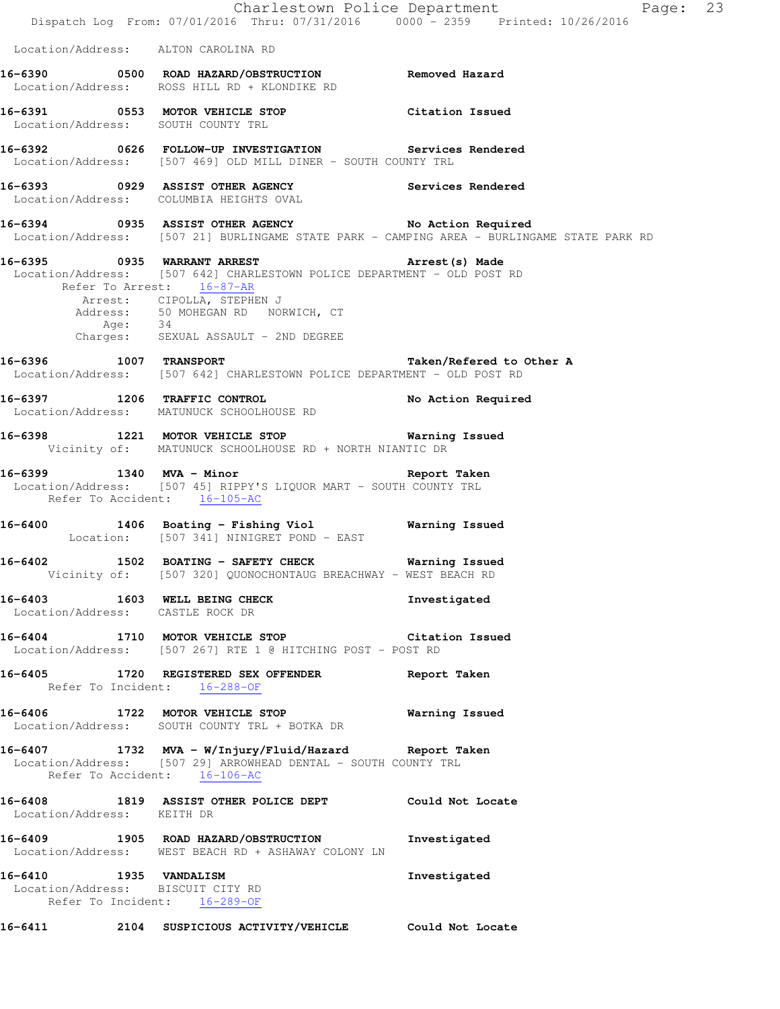|                                                             | Dispatch Log From: 07/01/2016 Thru: 07/31/2016 0000 - 2359 Printed: 10/26/2016                                                                                                                                                                                                | Charlestown Police Department<br>Page: 23                                                  |  |
|-------------------------------------------------------------|-------------------------------------------------------------------------------------------------------------------------------------------------------------------------------------------------------------------------------------------------------------------------------|--------------------------------------------------------------------------------------------|--|
| Location/Address: ALTON CAROLINA RD                         |                                                                                                                                                                                                                                                                               |                                                                                            |  |
|                                                             | Location/Address: ROSS HILL RD + KLONDIKE RD                                                                                                                                                                                                                                  |                                                                                            |  |
| Location/Address: SOUTH COUNTY TRL                          | 16-6391 		 0553 MOTOR VEHICLE STOP 		 Citation Issued                                                                                                                                                                                                                         |                                                                                            |  |
|                                                             | 16-6392 		 0626 FOLLOW-UP INVESTIGATION Services Rendered<br>Location/Address: [507 469] OLD MILL DINER - SOUTH COUNTY TRL                                                                                                                                                    |                                                                                            |  |
|                                                             | 16-6393  0929  ASSIST OTHER AGENCY    Services Rendered<br>Location/Address: COLUMBIA HEIGHTS OVAL                                                                                                                                                                            |                                                                                            |  |
|                                                             | 16-6394 0935 ASSIST OTHER AGENCY No Action Required                                                                                                                                                                                                                           | Location/Address: [507 21] BURLINGAME STATE PARK - CAMPING AREA - BURLINGAME STATE PARK RD |  |
|                                                             | 16-6395 (0935 WARRANT ARREST ) Arrest (s) Made<br>Location/Address: [507 642] CHARLESTOWN POLICE DEPARTMENT - OLD POST RD<br>Refer To Arrest: 16-87-AR<br>Arrest: CIPOLLA, STEPHEN J<br>Address: 50 MOHEGAN RD NORWICH, CT<br>Age: 34<br>Charges: SEXUAL ASSAULT - 2ND DEGREE |                                                                                            |  |
| 16-6396 1007 TRANSPORT                                      | Location/Address: [507 642] CHARLESTOWN POLICE DEPARTMENT - OLD POST RD                                                                                                                                                                                                       | Taken/Refered to Other A                                                                   |  |
|                                                             | 16-6397 1206 TRAFFIC CONTROL<br>Location/Address: MATUNUCK SCHOOLHOUSE RD                                                                                                                                                                                                     | No Action Required                                                                         |  |
|                                                             | 16-6398 1221 MOTOR VEHICLE STOP 6 Warning Issued<br>Vicinity of: MATUNUCK SCHOOLHOUSE RD + NORTH NIANTIC DR                                                                                                                                                                   |                                                                                            |  |
| Refer To Accident: 16-105-AC                                | 16-6399 1340 MVA - Minor Ninor Neport Taken<br>Location/Address: [507 45] RIPPY'S LIQUOR MART - SOUTH COUNTY TRL                                                                                                                                                              |                                                                                            |  |
|                                                             | 16-6400 1406 Boating - Fishing Viol<br>Location: [507 341] NINIGRET POND - EAST                                                                                                                                                                                               | Warning Issued                                                                             |  |
|                                                             | 16-6402 1502 BOATING - SAFETY CHECK Warning Issued<br>Vicinity of: [507 320] QUONOCHONTAUG BREACHWAY - WEST BEACH RD                                                                                                                                                          |                                                                                            |  |
| Location/Address: CASTLE ROCK DR                            | 16-6403 1603 WELL BEING CHECK                                                                                                                                                                                                                                                 | Investigated                                                                               |  |
|                                                             | 16-6404 1710 MOTOR VEHICLE STOP 16-6404 Citation Issued<br>Location/Address: [507 267] RTE 1 @ HITCHING POST - POST RD                                                                                                                                                        |                                                                                            |  |
| Refer To Incident: 16-288-OF                                | 16-6405 1720 REGISTERED SEX OFFENDER Report Taken                                                                                                                                                                                                                             |                                                                                            |  |
|                                                             | 16-6406 1722 MOTOR VEHICLE STOP <b>Warning Issued</b><br>Location/Address: SOUTH COUNTY TRL + BOTKA DR                                                                                                                                                                        |                                                                                            |  |
| Refer To Accident: 16-106-AC                                | 16-6407 1732 MVA - W/Injury/Fluid/Hazard Report Taken<br>Location/Address: [507 29] ARROWHEAD DENTAL - SOUTH COUNTY TRL                                                                                                                                                       |                                                                                            |  |
|                                                             | 16-6408 1819 ASSIST OTHER POLICE DEPT Could Not Locate Location/Address: KEITH DR                                                                                                                                                                                             |                                                                                            |  |
|                                                             | 16-6409 1905 ROAD HAZARD/OBSTRUCTION<br>Location/Address: WEST BEACH RD + ASHAWAY COLONY LN                                                                                                                                                                                   | Investigated                                                                               |  |
| 16-6410 1935 VANDALISM<br>Location/Address: BISCUIT CITY RD | Refer To Incident: 16-289-OF                                                                                                                                                                                                                                                  | Investigated                                                                               |  |
|                                                             | 16-6411  2104 SUSPICIOUS ACTIVITY/VEHICLE  Could Not Locate                                                                                                                                                                                                                   |                                                                                            |  |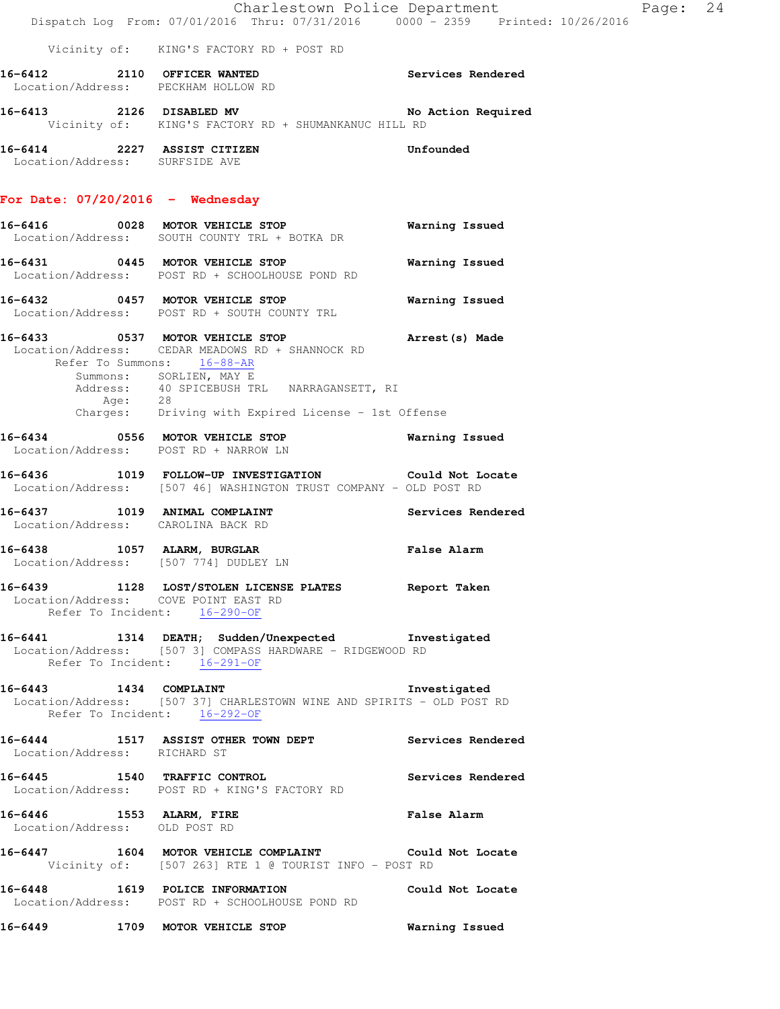|                                                           | Dispatch Log From: 07/01/2016 Thru: 07/31/2016 0000 <sup>-</sup> 2359 Printed: 10/26/2016                                                                                                                                                                                         | Charlestown Police Department | Page: | 24 |
|-----------------------------------------------------------|-----------------------------------------------------------------------------------------------------------------------------------------------------------------------------------------------------------------------------------------------------------------------------------|-------------------------------|-------|----|
|                                                           | Vicinity of: KING'S FACTORY RD + POST RD                                                                                                                                                                                                                                          |                               |       |    |
|                                                           | 16-6412 2110 OFFICER WANTED<br>Location/Address: PECKHAM HOLLOW RD                                                                                                                                                                                                                | <b>Services Rendered</b>      |       |    |
|                                                           | 16-6413 2126 DISABLED MV No Action Required<br>Vicinity of: KING'S FACTORY RD + SHUMANKANUC HILL RD                                                                                                                                                                               |                               |       |    |
| Location/Address: SURFSIDE AVE                            | 16-6414 2227 ASSIST CITIZEN                                                                                                                                                                                                                                                       | Unfounded                     |       |    |
| For Date: 07/20/2016 - Wednesday                          |                                                                                                                                                                                                                                                                                   |                               |       |    |
|                                                           | 16-6416 0028 MOTOR VEHICLE STOP<br>Location/Address: SOUTH COUNTY TRL + BOTKA DR                                                                                                                                                                                                  | <b>Warning Issued</b>         |       |    |
|                                                           | 16-6431 0445 MOTOR VEHICLE STOP<br>Location/Address: POST RD + SCHOOLHOUSE POND RD                                                                                                                                                                                                | Warning Issued                |       |    |
|                                                           | 16-6432 0457 MOTOR VEHICLE STOP<br>Location/Address: POST RD + SOUTH COUNTY TRL                                                                                                                                                                                                   | <b>Warning Issued</b>         |       |    |
|                                                           | 16-6433 6537 MOTOR VEHICLE STOP 1991 Arrest (s) Made<br>Location/Address: CEDAR MEADOWS RD + SHANNOCK RD<br>Refer To Summons: 16-88-AR<br>Summons: SORLIEN, MAY E<br>Address: 40 SPICEBUSH TRL NARRAGANSETT, RI<br>Age: 28<br>Charges: Driving with Expired License - 1st Offense |                               |       |    |
|                                                           | 16-6434 0556 MOTOR VEHICLE STOP<br>Location/Address: POST RD + NARROW LN                                                                                                                                                                                                          | Warning Issued                |       |    |
|                                                           | 16-6436 1019 FOLLOW-UP INVESTIGATION Could Not Locate<br>Location/Address: [507 46] WASHINGTON TRUST COMPANY - OLD POST RD                                                                                                                                                        |                               |       |    |
| Location/Address: CAROLINA BACK RD                        | 16-6437 1019 ANIMAL COMPLAINT                                                                                                                                                                                                                                                     | Services Rendered             |       |    |
|                                                           | 16-6438 1057 ALARM, BURGLAR<br>Location/Address: [507 774] DUDLEY LN                                                                                                                                                                                                              | False Alarm                   |       |    |
|                                                           | 16-6439 1128 LOST/STOLEN LICENSE PLATES Report Taken<br>Location/Address: COVE POINT EAST RD<br>Refer To Incident: $16-290-OF$                                                                                                                                                    |                               |       |    |
|                                                           | 16-6441 1314 DEATH; Sudden/Unexpected Investigated<br>Location/Address: [507 3] COMPASS HARDWARE - RIDGEWOOD RD<br>Refer To Incident: 16-291-OF                                                                                                                                   |                               |       |    |
| 16-6443 1434 COMPLAINT<br>Refer To Incident: 16-292-OF    | Location/Address: [507 37] CHARLESTOWN WINE AND SPIRITS - OLD POST RD                                                                                                                                                                                                             | Investigated                  |       |    |
| Location/Address: RICHARD ST                              | 16-6444 1517 ASSIST OTHER TOWN DEPT Services Rendered                                                                                                                                                                                                                             |                               |       |    |
|                                                           | 16-6445 1540 TRAFFIC CONTROL<br>Location/Address: POST RD + KING'S FACTORY RD                                                                                                                                                                                                     | Services Rendered             |       |    |
| 16-6446 1553 ALARM, FIRE<br>Location/Address: OLD POST RD |                                                                                                                                                                                                                                                                                   | False Alarm                   |       |    |
|                                                           | 16-6447 1604 MOTOR VEHICLE COMPLAINT Could Not Locate<br>Vicinity of: [507 263] RTE 1 @ TOURIST INFO - POST RD                                                                                                                                                                    |                               |       |    |
|                                                           | 16-6448 1619 POLICE INFORMATION Could Not Locate<br>Location/Address: POST RD + SCHOOLHOUSE POND RD                                                                                                                                                                               |                               |       |    |
|                                                           |                                                                                                                                                                                                                                                                                   |                               |       |    |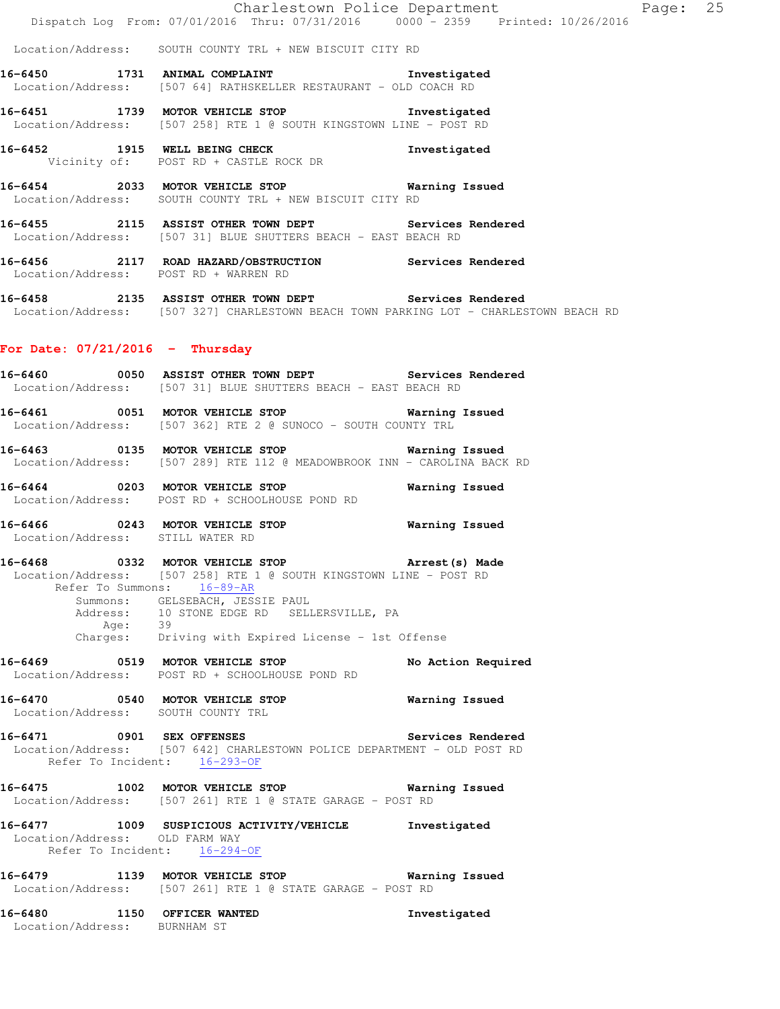Location/Address: SOUTH COUNTY TRL + NEW BISCUIT CITY RD

- **16-6450 1731 ANIMAL COMPLAINT Investigated**  Location/Address: [507 64] RATHSKELLER RESTAURANT - OLD COACH RD
- **16-6451 1739 MOTOR VEHICLE STOP Investigated**  Location/Address: [507 258] RTE 1 @ SOUTH KINGSTOWN LINE - POST RD
- **16-6452 1915 WELL BEING CHECK Investigated**  Vicinity of: POST RD + CASTLE ROCK DR
- **16-6454 2033 MOTOR VEHICLE STOP Warning Issued**  Location/Address: SOUTH COUNTY TRL + NEW BISCUIT CITY RD
- **16-6455 2115 ASSIST OTHER TOWN DEPT Services Rendered**  Location/Address: [507 31] BLUE SHUTTERS BEACH - EAST BEACH RD
- **16-6456 2117 ROAD HAZARD/OBSTRUCTION Services Rendered**  Location/Address: POST RD + WARREN RD
- **16-6458 2135 ASSIST OTHER TOWN DEPT Services Rendered**  Location/Address: [507 327] CHARLESTOWN BEACH TOWN PARKING LOT - CHARLESTOWN BEACH RD

#### **For Date: 07/21/2016 - Thursday**

- **16-6460 0050 ASSIST OTHER TOWN DEPT Services Rendered**  Location/Address: [507 31] BLUE SHUTTERS BEACH - EAST BEACH RD
- **16-6461 0051 MOTOR VEHICLE STOP Warning Issued**  Location/Address: [507 362] RTE 2 @ SUNOCO - SOUTH COUNTY TRL
- **16-6463 0135 MOTOR VEHICLE STOP Warning Issued**  Location/Address: [507 289] RTE 112 @ MEADOWBROOK INN - CAROLINA BACK RD
- **16-6464 0203 MOTOR VEHICLE STOP Warning Issued**  Location/Address: POST RD + SCHOOLHOUSE POND RD
- **16-6466 0243 MOTOR VEHICLE STOP Warning Issued**  Location/Address: STILL WATER RD
- **16-6468 0332 MOTOR VEHICLE STOP Arrest(s) Made**  Location/Address: [507 258] RTE 1 @ SOUTH KINGSTOWN LINE - POST RD Refer To Summons: 16-89-AR Summons: GELSEBACH, JESSIE PAUL Address: 10 STONE EDGE RD SELLERSVILLE, PA Age: 39
- Charges: Driving with Expired License 1st Offense
- **16-6469 0519 MOTOR VEHICLE STOP No Action Required**  Location/Address: POST RD + SCHOOLHOUSE POND RD
- **16-6470 0540 MOTOR VEHICLE STOP Warning Issued**  Location/Address: SOUTH COUNTY TRL
- **16-6471 0901 SEX OFFENSES Services Rendered**  Location/Address: [507 642] CHARLESTOWN POLICE DEPARTMENT - OLD POST RD Refer To Incident: 16-293-OF
- **16-6475 1002 MOTOR VEHICLE STOP Warning Issued**  Location/Address: [507 261] RTE 1 @ STATE GARAGE - POST RD
- **16-6477 1009 SUSPICIOUS ACTIVITY/VEHICLE Investigated**  Location/Address: OLD FARM WAY Refer To Incident: 16-294-OF
- **16-6479 1139 MOTOR VEHICLE STOP Warning Issued**  Location/Address: [507 261] RTE 1 @ STATE GARAGE - POST RD
- **16-6480 1150 OFFICER WANTED Investigated**  Location/Address: BURNHAM ST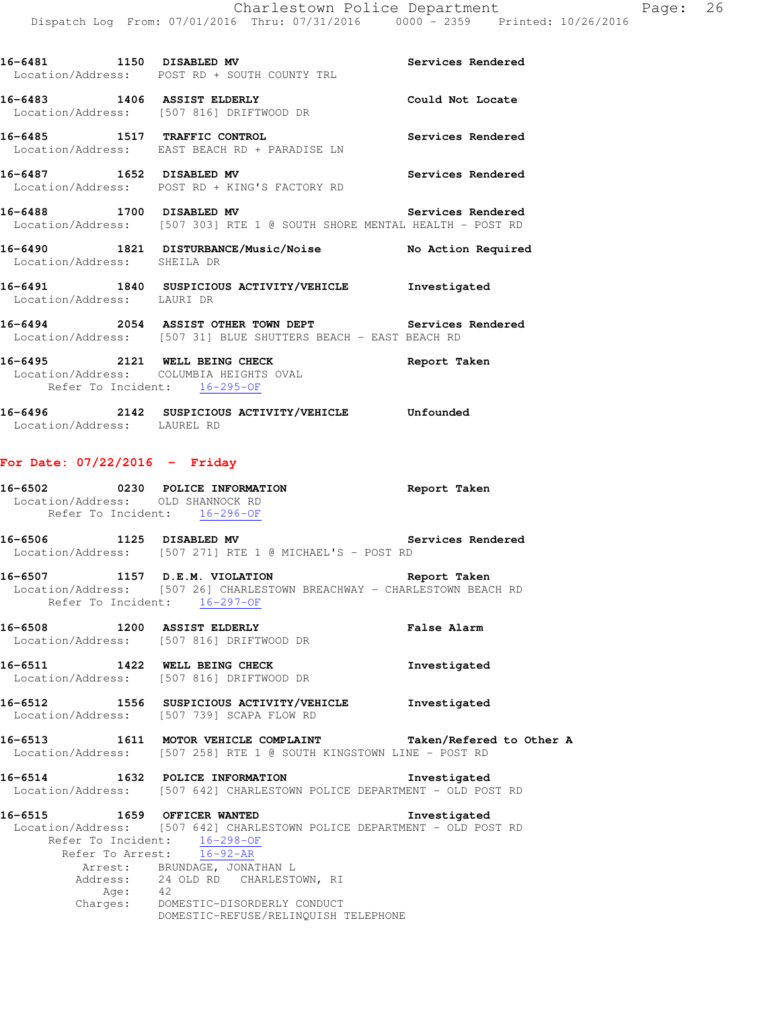|                                                                   | 16-6481 1150 DISABLED MV                                                                                                                                 | Services Rendered        |
|-------------------------------------------------------------------|----------------------------------------------------------------------------------------------------------------------------------------------------------|--------------------------|
|                                                                   | Location/Address: POST RD + SOUTH COUNTY TRL                                                                                                             |                          |
|                                                                   | 16-6483 1406 ASSIST ELDERLY<br>Location/Address: [507 816] DRIFTWOOD DR                                                                                  | Could Not Locate         |
| 16-6485 1517 TRAFFIC CONTROL                                      | Services Rendered<br>Location/Address: EAST BEACH RD + PARADISE LN                                                                                       |                          |
|                                                                   | 16-6487 1652 DISABLED MV<br>Location/Address: POST RD + KING'S FACTORY RD                                                                                | Services Rendered        |
|                                                                   | 16-6488 1700 DISABLED MV<br>Location/Address: [507 303] RTE 1 @ SOUTH SHORE MENTAL HEALTH - POST RD                                                      | Services Rendered        |
| Location/Address: SHEILA DR                                       | 16-6490 1821 DISTURBANCE/Music/Noise No Action Required                                                                                                  |                          |
| Location/Address: LAURI DR                                        | 16-6491 1840 SUSPICIOUS ACTIVITY/VEHICLE Investigated                                                                                                    |                          |
|                                                                   | 16-6494 2054 ASSIST OTHER TOWN DEPT Services Rendered<br>Location/Address: [507 31] BLUE SHUTTERS BEACH - EAST BEACH RD                                  |                          |
| Refer To Incident: 16-295-OF                                      | 16-6495 2121 WELL BEING CHECK Report Taken<br>Location/Address: COLUMBIA HEIGHTS OVAL                                                                    |                          |
| Location/Address: LAUREL RD                                       | 16-6496 2142 SUSPICIOUS ACTIVITY/VEHICLE Unfounded                                                                                                       |                          |
| For Date: $07/22/2016$ - Friday                                   |                                                                                                                                                          |                          |
| Location/Address: OLD SHANNOCK RD<br>Refer To Incident: 16-296-OF | 16-6502 0230 POLICE INFORMATION CONTRESS Report Taken                                                                                                    |                          |
|                                                                   | 16-6506 1125 DISABLED MV Services Rendered<br>Location/Address: [507 271] RTE 1 @ MICHAEL'S - POST RD                                                    |                          |
| Refer To Incident: 16-297-OF                                      | Location/Address: [507 26] CHARLESTOWN BREACHWAY - CHARLESTOWN BEACH RD                                                                                  |                          |
| 16-6508 1200 ASSIST ELDERLY                                       | Location/Address: [507 816] DRIFTWOOD DR                                                                                                                 | False Alarm              |
| 16-6511 1422 WELL BEING CHECK                                     | Location/Address: [507 816] DRIFTWOOD DR                                                                                                                 | Investigated             |
| 16-6512                                                           | 1556 SUSPICIOUS ACTIVITY/VEHICLE<br>Location/Address: [507 739] SCAPA FLOW RD                                                                            | Investigated             |
|                                                                   | 16-6513 1611 MOTOR VEHICLE COMPLAINT<br>Location/Address: [507 258] RTE 1 @ SOUTH KINGSTOWN LINE - POST RD                                               | Taken/Refered to Other A |
| 16-6514                                                           | 1632 POLICE INFORMATION<br>Location/Address: [507 642] CHARLESTOWN POLICE DEPARTMENT - OLD POST RD                                                       | Investigated             |
| 16-6515<br>Refer To Incident:                                     | 1659 OFFICER WANTED<br>Location/Address: [507 642] CHARLESTOWN POLICE DEPARTMENT - OLD POST RD<br>$16 - 298 - OF$<br>Refer To Arrest: 16-92-AR           | Investigated             |
| Age:                                                              | Arrest: BRUNDAGE, JONATHAN L<br>Address: 24 OLD RD CHARLESTOWN, RI<br>42<br>Charges: DOMESTIC-DISORDERLY CONDUCT<br>DOMESTIC-REFUSE/RELINQUISH TELEPHONE |                          |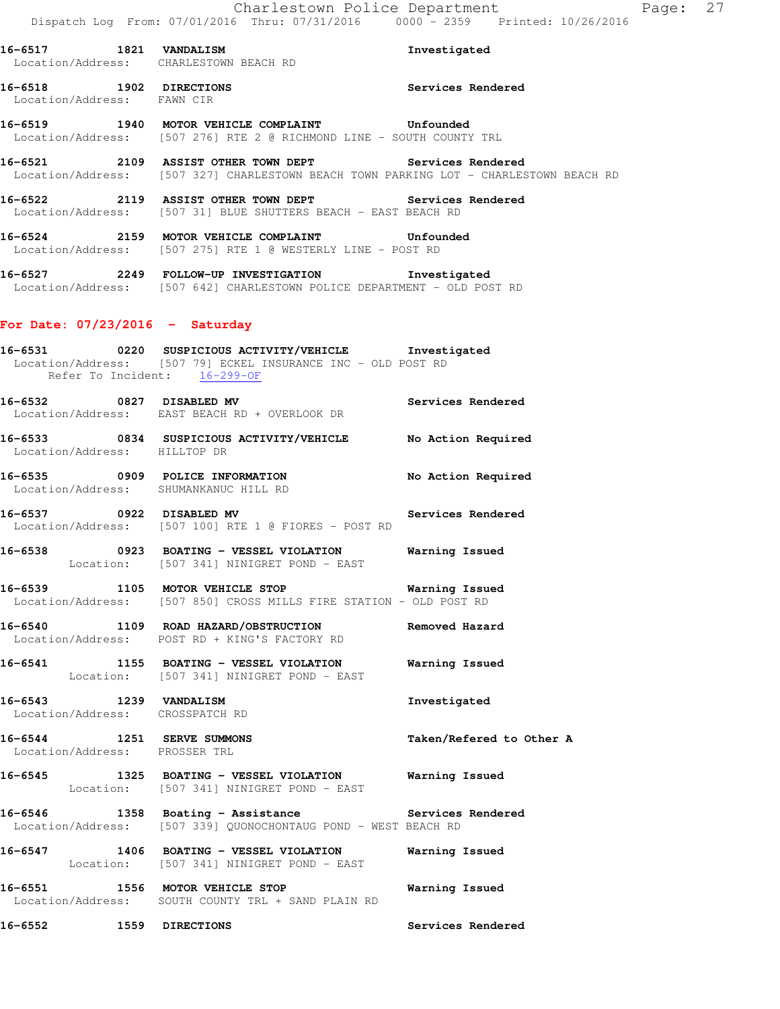**16-6517 1821 VANDALISM Investigated**  Location/Address: CHARLESTOWN BEACH RD **16-6518 1902 DIRECTIONS Services Rendered** 

**16-6519 1940 MOTOR VEHICLE COMPLAINT Unfounded**  Location/Address: [507 276] RTE 2 @ RICHMOND LINE - SOUTH COUNTY TRL

**16-6521 2109 ASSIST OTHER TOWN DEPT Services Rendered**  Location/Address: [507 327] CHARLESTOWN BEACH TOWN PARKING LOT - CHARLESTOWN BEACH RD

**16-6522 2119 ASSIST OTHER TOWN DEPT Services Rendered**  Location/Address: [507 31] BLUE SHUTTERS BEACH - EAST BEACH RD

**16-6524 2159 MOTOR VEHICLE COMPLAINT Unfounded**  Location/Address: [507 275] RTE 1 @ WESTERLY LINE - POST RD

**16-6527 2249 FOLLOW-UP INVESTIGATION Investigated**  Location/Address: [507 642] CHARLESTOWN POLICE DEPARTMENT - OLD POST RD

#### **For Date: 07/23/2016 - Saturday**

Location/Address: FAWN CIR

**16-6531 0220 SUSPICIOUS ACTIVITY/VEHICLE Investigated**  Location/Address: [507 79] ECKEL INSURANCE INC - OLD POST RD Refer To Incident: 16-299-OF

**16-6532 0827 DISABLED MV Services Rendered**  Location/Address: EAST BEACH RD + OVERLOOK DR

**16-6533 0834 SUSPICIOUS ACTIVITY/VEHICLE No Action Required**  Location/Address: HILLTOP DR

**16-6535 0909 POLICE INFORMATION No Action Required**  Location/Address: SHUMANKANUC HILL RD

**16-6537 0922 DISABLED MV Services Rendered**  Location/Address: [507 100] RTE 1 @ FIORES - POST RD

**16-6538 0923 BOATING - VESSEL VIOLATION Warning Issued**  Location: [507 341] NINIGRET POND - EAST

**16-6539 1105 MOTOR VEHICLE STOP Warning Issued**  Location/Address: [507 850] CROSS MILLS FIRE STATION - OLD POST RD

**16-6540 1109 ROAD HAZARD/OBSTRUCTION Removed Hazard**  Location/Address: POST RD + KING'S FACTORY RD

**16-6541 1155 BOATING - VESSEL VIOLATION Warning Issued**  Location: [507 341] NINIGRET POND - EAST

**16-6543 1239 VANDALISM Investigated**  Location/Address: CROSSPATCH RD

**16-6544 1251 SERVE SUMMONS Taken/Refered to Other A**  Location/Address: PROSSER TRL

**16-6545 1325 BOATING - VESSEL VIOLATION Warning Issued**  Location: [507 341] NINIGRET POND - EAST

16-6546 **1358** Boating - Assistance **Services** Rendered Location/Address: [507 339] QUONOCHONTAUG POND - WEST BEACH RD

**16-6547 1406 BOATING - VESSEL VIOLATION Warning Issued**  Location: [507 341] NINIGRET POND - EAST

**16-6551 1556 MOTOR VEHICLE STOP Warning Issued**  Location/Address: SOUTH COUNTY TRL + SAND PLAIN RD

**16-6552 1559 DIRECTIONS Services Rendered**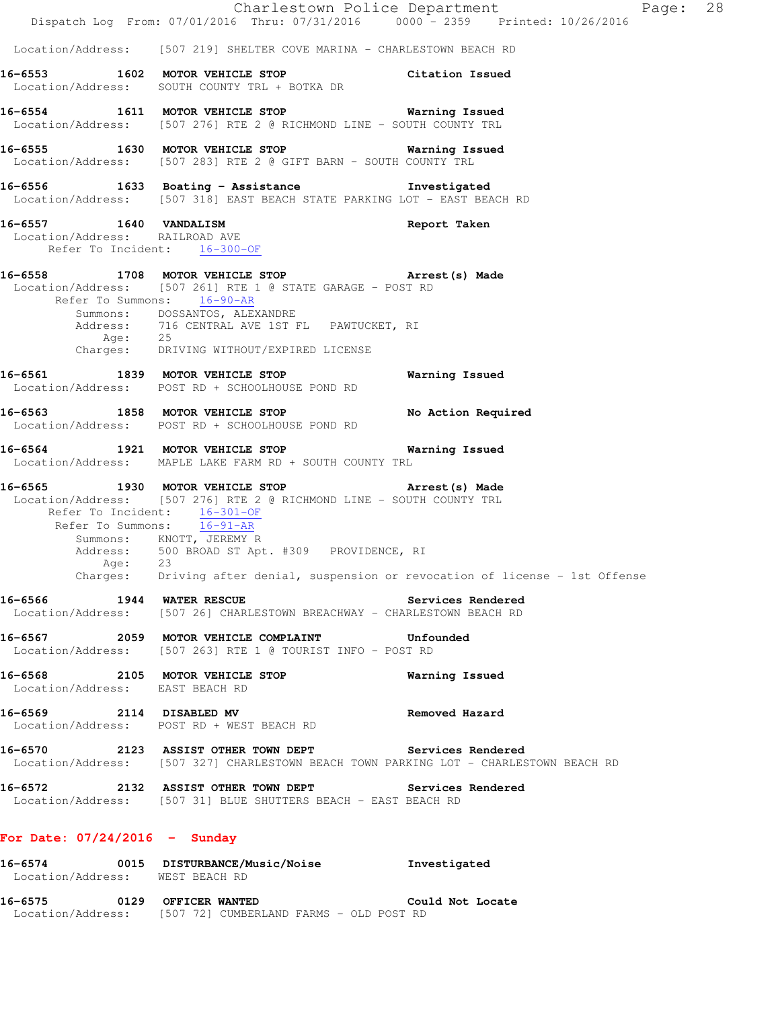|                                                          | Dispatch Log From: 07/01/2016 Thru: 07/31/2016 0000 - 2359 Printed: 10/26/2016                                                                                                                                                                                                                                                                                                              | Charlestown Police Department<br>Page: 28 |  |
|----------------------------------------------------------|---------------------------------------------------------------------------------------------------------------------------------------------------------------------------------------------------------------------------------------------------------------------------------------------------------------------------------------------------------------------------------------------|-------------------------------------------|--|
|                                                          | Location/Address: [507 219] SHELTER COVE MARINA - CHARLESTOWN BEACH RD                                                                                                                                                                                                                                                                                                                      |                                           |  |
|                                                          | 16-6553 1602 MOTOR VEHICLE STOP Citation Issued<br>Location/Address: SOUTH COUNTY TRL + BOTKA DR                                                                                                                                                                                                                                                                                            |                                           |  |
|                                                          | 16-6554 1611 MOTOR VEHICLE STOP 67 Warning Issued<br>Location/Address: [507 276] RTE 2 @ RICHMOND LINE - SOUTH COUNTY TRL                                                                                                                                                                                                                                                                   |                                           |  |
|                                                          | 16-6555 1630 MOTOR VEHICLE STOP 6555 Warning Issued<br>Location/Address: [507 283] RTE 2 @ GIFT BARN - SOUTH COUNTY TRL                                                                                                                                                                                                                                                                     |                                           |  |
|                                                          | 16-6556 1633 Boating - Assistance 10 Investigated<br>Location/Address: [507 318] EAST BEACH STATE PARKING LOT - EAST BEACH RD                                                                                                                                                                                                                                                               |                                           |  |
| 16-6557 1640 VANDALISM<br>Location/Address: RAILROAD AVE | Refer To Incident: 16-300-OF                                                                                                                                                                                                                                                                                                                                                                | Report Taken                              |  |
|                                                          | 16-6558 1708 MOTOR VEHICLE STOP <b>Arrest</b> (s) Made<br>Location/Address: [507 261] RTE 1 @ STATE GARAGE - POST RD<br>Refer To Summons: 16-90-AR<br>Summons: DOSSANTOS, ALEXANDRE<br>Address: 716 CENTRAL AVE 1ST FL PAWTUCKET, RI<br>Age: 25<br>Charges: DRIVING WITHOUT/EXPIRED LICENSE                                                                                                 |                                           |  |
|                                                          | 16-6561 1839 MOTOR VEHICLE STOP 67 Warning Issued<br>Location/Address: POST RD + SCHOOLHOUSE POND RD                                                                                                                                                                                                                                                                                        |                                           |  |
|                                                          | 16-6563 1858 MOTOR VEHICLE STOP<br>Location/Address: POST RD + SCHOOLHOUSE POND RD                                                                                                                                                                                                                                                                                                          | No Action Required                        |  |
|                                                          | 16-6564 1921 MOTOR VEHICLE STOP Warning Issued<br>Location/Address: MAPLE LAKE FARM RD + SOUTH COUNTY TRL                                                                                                                                                                                                                                                                                   |                                           |  |
|                                                          | 16-6565 1930 MOTOR VEHICLE STOP 16-6565 Arrest (s) Made<br>  Location/Address: [507 276] RTE 2 @ RICHMOND LINE - SOUTH COUNTY TRL<br>Refer To Incident: 16-301-OF<br>Refer To Summons: $\frac{2.14}{16-91-AR}$<br>Summons: KNOTT, JEREMY R<br>Address: 500 BROAD ST Apt. #309 PROVIDENCE, RI<br>Age: 23<br>Charges: Driving after denial, suspension or revocation of license - 1st Offense |                                           |  |
| 16-6566 1944 WATER RESCUE                                | Location/Address: [507 26] CHARLESTOWN BREACHWAY - CHARLESTOWN BEACH RD                                                                                                                                                                                                                                                                                                                     | Services Rendered                         |  |
|                                                          | 16-6567 2059 MOTOR VEHICLE COMPLAINT Unfounded<br>Location/Address: [507 263] RTE 1 @ TOURIST INFO - POST RD                                                                                                                                                                                                                                                                                |                                           |  |
| Location/Address: EAST BEACH RD                          | 16-6568 2105 MOTOR VEHICLE STOP                                                                                                                                                                                                                                                                                                                                                             | Warning Issued                            |  |
|                                                          | 16-6569 2114 DISABLED MV<br>Location/Address: POST RD + WEST BEACH RD                                                                                                                                                                                                                                                                                                                       | Removed Hazard                            |  |
|                                                          | 16-6570 2123 ASSIST OTHER TOWN DEPT Services Rendered<br>Location/Address: [507 327] CHARLESTOWN BEACH TOWN PARKING LOT - CHARLESTOWN BEACH RD                                                                                                                                                                                                                                              |                                           |  |
|                                                          | 16-6572 2132 ASSIST OTHER TOWN DEPT Services Rendered<br>Location/Address: [507 31] BLUE SHUTTERS BEACH - EAST BEACH RD                                                                                                                                                                                                                                                                     |                                           |  |
| For Date: $07/24/2016$ - Sunday                          |                                                                                                                                                                                                                                                                                                                                                                                             |                                           |  |
| Location/Address: WEST BEACH RD                          | 16-6574 0015 DISTURBANCE/Music/Noise Investigated                                                                                                                                                                                                                                                                                                                                           |                                           |  |
| 16-6575 0129 OFFICER WANTED                              | Location/Address: [507 72] CUMBERLAND FARMS - OLD POST RD                                                                                                                                                                                                                                                                                                                                   | Could Not Locate                          |  |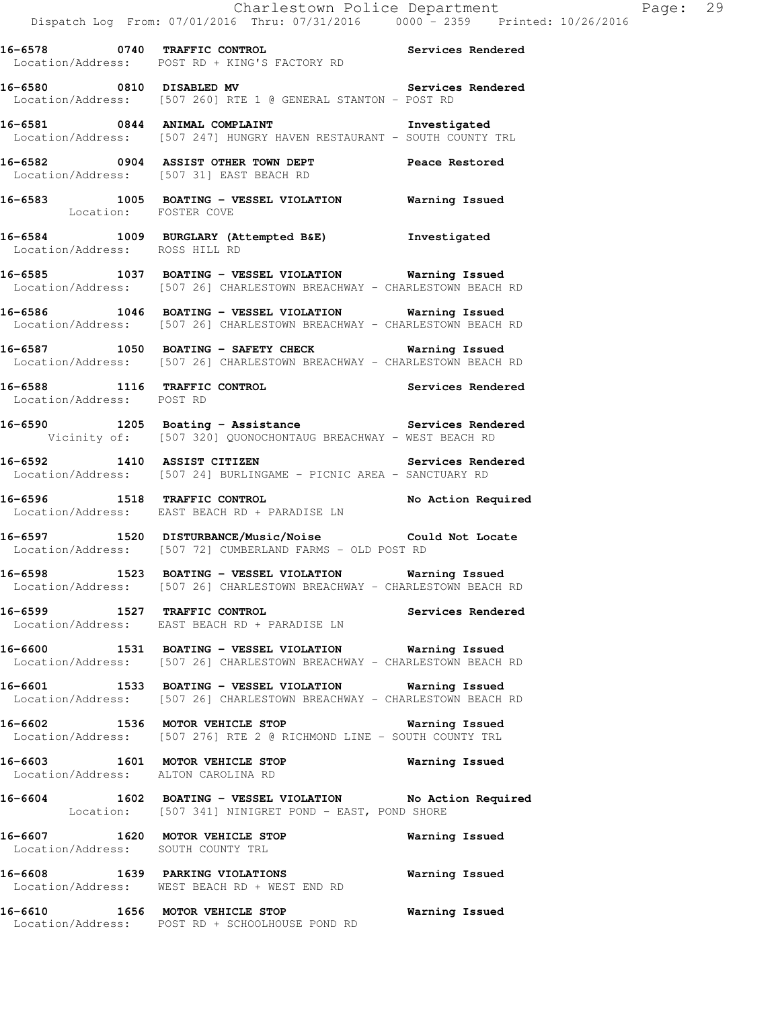**16-6578 0740 TRAFFIC CONTROL Services Rendered**  Location/Address: POST RD + KING'S FACTORY RD

16-6580 0810 DISABLED MV **Services Rendered** Location/Address: [507 260] RTE 1 @ GENERAL STANTON - POST RD

**16-6581 0844 ANIMAL COMPLAINT Investigated**  Location/Address: [507 247] HUNGRY HAVEN RESTAURANT - SOUTH COUNTY TRL

**16-6582 0904 ASSIST OTHER TOWN DEPT Peace Restored**  Location/Address: [507 31] EAST BEACH RD

**16-6583 1005 BOATING - VESSEL VIOLATION Warning Issued**  Location: FOSTER COVE

**16-6584 1009 BURGLARY (Attempted B&E) Investigated**  Location/Address: ROSS HILL RD

**16-6585 1037 BOATING - VESSEL VIOLATION Warning Issued**  Location/Address: [507 26] CHARLESTOWN BREACHWAY - CHARLESTOWN BEACH RD

**16-6586 1046 BOATING - VESSEL VIOLATION Warning Issued**  Location/Address: [507 26] CHARLESTOWN BREACHWAY - CHARLESTOWN BEACH RD

**16-6587 1050 BOATING - SAFETY CHECK Warning Issued**  Location/Address: [507 26] CHARLESTOWN BREACHWAY - CHARLESTOWN BEACH RD

**16-6588 1116 TRAFFIC CONTROL Services Rendered**  Location/Address: POST RD

**16-6590 1205 Boating - Assistance Services Rendered**  Vicinity of: [507 320] QUONOCHONTAUG BREACHWAY - WEST BEACH RD

**16-6592 1410 ASSIST CITIZEN Services Rendered**  Location/Address: [507 24] BURLINGAME - PICNIC AREA - SANCTUARY RD

**16-6596 1518 TRAFFIC CONTROL No Action Required**  Location/Address: EAST BEACH RD + PARADISE LN

**16-6597 1520 DISTURBANCE/Music/Noise Could Not Locate**  Location/Address: [507 72] CUMBERLAND FARMS - OLD POST RD

**16-6598 1523 BOATING - VESSEL VIOLATION Warning Issued**  Location/Address: [507 26] CHARLESTOWN BREACHWAY - CHARLESTOWN BEACH RD

**16-6599 1527 TRAFFIC CONTROL Services Rendered**  Location/Address: EAST BEACH RD + PARADISE LN

**16-6600 1531 BOATING - VESSEL VIOLATION Warning Issued**  Location/Address: [507 26] CHARLESTOWN BREACHWAY - CHARLESTOWN BEACH RD

**16-6601 1533 BOATING - VESSEL VIOLATION Warning Issued**  Location/Address: [507 26] CHARLESTOWN BREACHWAY - CHARLESTOWN BEACH RD

**16-6602 1536 MOTOR VEHICLE STOP Warning Issued**  Location/Address: [507 276] RTE 2 @ RICHMOND LINE - SOUTH COUNTY TRL

**16-6603 1601 MOTOR VEHICLE STOP Warning Issued**  Location/Address: ALTON CAROLINA RD

**16-6604 1602 BOATING - VESSEL VIOLATION No Action Required**  Location: [507 341] NINIGRET POND - EAST, POND SHORE

**16-6607 1620 MOTOR VEHICLE STOP Warning Issued**  Location/Address: SOUTH COUNTY TRL

**16-6608 1639 PARKING VIOLATIONS Warning Issued**  Location/Address: WEST BEACH RD + WEST END RD

**16-6610 1656 MOTOR VEHICLE STOP Warning Issued**  Location/Address: POST RD + SCHOOLHOUSE POND RD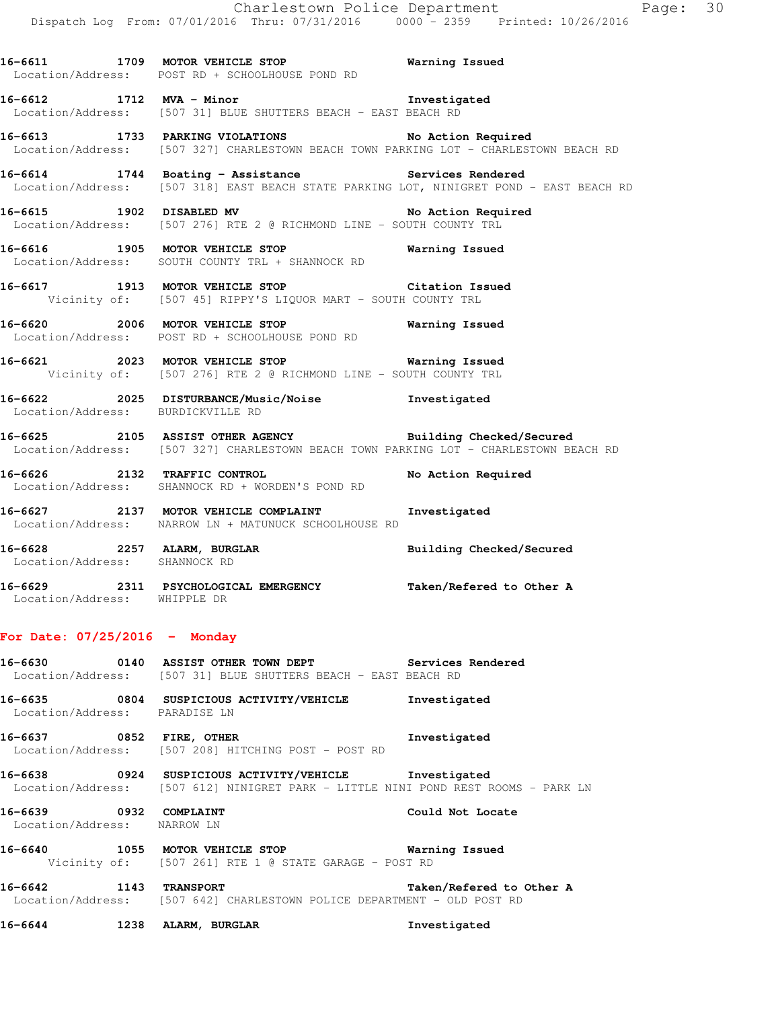|                                                              |                                                                                                                                                     | Charlestown Police Department<br>Page: 30 |  |
|--------------------------------------------------------------|-----------------------------------------------------------------------------------------------------------------------------------------------------|-------------------------------------------|--|
|                                                              | Dispatch Log From: 07/01/2016 Thru: 07/31/2016 0000 - 2359 Printed: 10/26/2016                                                                      |                                           |  |
|                                                              | 16-6611 1709 MOTOR VEHICLE STOP 1999 Warning Issued<br>Location/Address: POST RD + SCHOOLHOUSE POND RD                                              |                                           |  |
|                                                              | 16-6612 1712 MVA - Minor 10 11 Investigated<br>Location/Address: [507 31] BLUE SHUTTERS BEACH - EAST BEACH RD                                       |                                           |  |
|                                                              | 16-6613 1733 PARKING VIOLATIONS No Action Required<br>Location/Address: [507 327] CHARLESTOWN BEACH TOWN PARKING LOT - CHARLESTOWN BEACH RD         |                                           |  |
|                                                              | 16-6614 1744 Boating - Assistance 1988 Services Rendered<br>Location/Address: [507 318] EAST BEACH STATE PARKING LOT, NINIGRET POND - EAST BEACH RD |                                           |  |
|                                                              | 16-6615 1902 DISABLED MV<br>Location/Address: [507 276] RTE 2 @ RICHMOND LINE - SOUTH COUNTY TRL                                                    | No Action Required                        |  |
|                                                              | Location/Address: SOUTH COUNTY TRL + SHANNOCK RD                                                                                                    |                                           |  |
|                                                              | 16-6617 1913 MOTOR VEHICLE STOP Citation Issued<br>Vicinity of: [507 45] RIPPY'S LIQUOR MART - SOUTH COUNTY TRL                                     |                                           |  |
|                                                              | 16-6620 2006 MOTOR VEHICLE STOP <b>Exam and SEAL STOP</b> Warning Issued<br>Location/Address: POST RD + SCHOOLHOUSE POND RD                         |                                           |  |
|                                                              | 16-6621 2023 MOTOR VEHICLE STOP <b>18 Marning Issued</b><br>Vicinity of: [507 276] RTE 2 @ RICHMOND LINE - SOUTH COUNTY TRL                         |                                           |  |
| Location/Address: BURDICKVILLE RD                            | 16-6622 2025 DISTURBANCE/Music/Noise Showshigated                                                                                                   |                                           |  |
|                                                              | 16-6625 2105 ASSIST OTHER AGENCY Building Checked/Secured<br>Location/Address: [507 327] CHARLESTOWN BEACH TOWN PARKING LOT - CHARLESTOWN BEACH RD  |                                           |  |
|                                                              | 16-6626 2132 TRAFFIC CONTROL<br>Location/Address: SHANNOCK RD + WORDEN'S POND RD                                                                    | No Action Required                        |  |
|                                                              | 16-6627 2137 MOTOR VEHICLE COMPLAINT Threstigated<br>Location/Address: NARROW LN + MATUNUCK SCHOOLHOUSE RD                                          |                                           |  |
| 16-6628 2257 ALARM, BURGLAR<br>Location/Address: SHANNOCK RD |                                                                                                                                                     | Building Checked/Secured                  |  |
| Location/Address: WHIPPLE DR                                 | 16-6629 2311 PSYCHOLOGICAL EMERGENCY                                                                                                                | Taken/Refered to Other A                  |  |
| For Date: $07/25/2016$ - Monday                              |                                                                                                                                                     |                                           |  |
| 16-6630 2001                                                 | 0140 ASSIST OTHER TOWN DEPT Services Rendered<br>Location/Address: [507 31] BLUE SHUTTERS BEACH - EAST BEACH RD                                     |                                           |  |
| Location/Address: PARADISE LN                                | 16-6635 0804 SUSPICIOUS ACTIVITY/VEHICLE                                                                                                            | Investigated                              |  |
| 16-6637 0852 FIRE, OTHER                                     | Location/Address: [507 208] HITCHING POST - POST RD                                                                                                 | Investigated                              |  |
|                                                              | 16-6638 		 0924 SUSPICIOUS ACTIVITY/VEHICLE investigated<br>Location/Address: [507 612] NINIGRET PARK - LITTLE NINI POND REST ROOMS - PARK LN       |                                           |  |
| 16-6639 0932 COMPLAINT<br>Location/Address: NARROW LN        |                                                                                                                                                     | Could Not Locate                          |  |

**16-6640 1055 MOTOR VEHICLE STOP Warning Issued**  Vicinity of: [507 261] RTE 1 @ STATE GARAGE - POST RD

**16-6642 1143 TRANSPORT Taken/Refered to Other A**  Location/Address: [507 642] CHARLESTOWN POLICE DEPARTMENT - OLD POST RD

**16-6644 1238 ALARM, BURGLAR Investigated**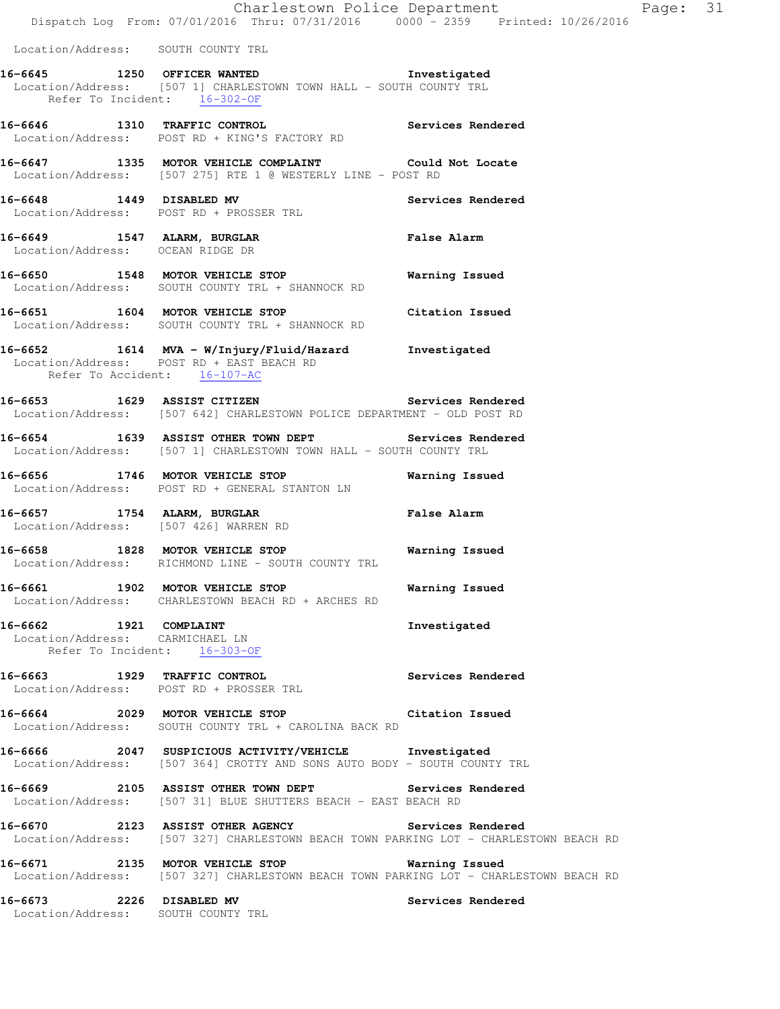|                                                                 | Dispatch Log From: 07/01/2016 Thru: 07/31/2016 0000 - 2359 Printed: 10/26/2016                                                                 | Charlestown Police Department | Page: 31 |  |
|-----------------------------------------------------------------|------------------------------------------------------------------------------------------------------------------------------------------------|-------------------------------|----------|--|
| Location/Address: SOUTH COUNTY TRL                              |                                                                                                                                                |                               |          |  |
| Refer To Incident: 16-302-OF                                    | 16-6645 1250 OFFICER WANTED Truestigated<br>Location/Address: [507 1] CHARLESTOWN TOWN HALL - SOUTH COUNTY TRL                                 |                               |          |  |
|                                                                 | 16-6646 1310 TRAFFIC CONTROL<br>Location/Address: POST RD + KING'S FACTORY RD                                                                  | Services Rendered             |          |  |
|                                                                 | 16-6647 1335 MOTOR VEHICLE COMPLAINT Could Not Locate<br>Location/Address: [507 275] RTE 1 @ WESTERLY LINE - POST RD                           |                               |          |  |
|                                                                 | 16-6648 1449 DISABLED MV<br>Location/Address: POST RD + PROSSER TRL                                                                            | Services Rendered             |          |  |
| Location/Address: OCEAN RIDGE DR                                | 16-6649 1547 ALARM, BURGLAR                                                                                                                    | <b>False Alarm</b>            |          |  |
|                                                                 | 16-6650 1548 MOTOR VEHICLE STOP<br>Location/Address: SOUTH COUNTY TRL + SHANNOCK RD                                                            | Warning Issued                |          |  |
|                                                                 | 16-6651 1604 MOTOR VEHICLE STOP<br>Location/Address: SOUTH COUNTY TRL + SHANNOCK RD                                                            | Citation Issued               |          |  |
| Refer To Accident: 16-107-AC                                    | 16-6652 1614 MVA - W/Injury/Fluid/Hazard Investigated<br>Location/Address: POST RD + EAST BEACH RD                                             |                               |          |  |
|                                                                 | 16-6653 1629 ASSIST CITIZEN 2008 Services Rendered<br>Location/Address: [507 642] CHARLESTOWN POLICE DEPARTMENT - OLD POST RD                  |                               |          |  |
|                                                                 | 16-6654 1639 ASSIST OTHER TOWN DEPT<br>Location/Address: [507 1] CHARLESTOWN TOWN HALL - SOUTH COUNTY TRL                                      | Services Rendered             |          |  |
|                                                                 | 16-6656 1746 MOTOR VEHICLE STOP <b>Warning Issued</b><br>Location/Address: POST RD + GENERAL STANTON LN                                        |                               |          |  |
| 16-6657 1754 ALARM, BURGLAR                                     | Location/Address: [507 426] WARREN RD                                                                                                          | <b>False Alarm</b>            |          |  |
|                                                                 | 16-6658 1828 MOTOR VEHICLE STOP<br>Location/Address: RICHMOND LINE - SOUTH COUNTY TRL                                                          | Warning Issued                |          |  |
|                                                                 | 16-6661 1902 MOTOR VEHICLE STOP <b>Warning Issued</b><br>Location/Address: CHARLESTOWN BEACH RD + ARCHES RD                                    |                               |          |  |
| Location/Address: CARMICHAEL LN<br>Refer To Incident: 16-303-OF | 16-6662 1921 COMPLAINT                                                                                                                         | Investigated                  |          |  |
|                                                                 | Location/Address: POST RD + PROSSER TRL                                                                                                        |                               |          |  |
|                                                                 | 16-6664 2029 MOTOR VEHICLE STOP Citation Issued<br>Location/Address: SOUTH COUNTY TRL + CAROLINA BACK RD                                       |                               |          |  |
|                                                                 | 16-6666 2047 SUSPICIOUS ACTIVITY/VEHICLE Investigated<br>Location/Address: [507 364] CROTTY AND SONS AUTO BODY - SOUTH COUNTY TRL              |                               |          |  |
|                                                                 | 16-6669 2105 ASSIST OTHER TOWN DEPT Services Rendered Location/Address: [507 31] BLUE SHUTTERS BEACH - EAST BEACH RD                           |                               |          |  |
|                                                                 | 16-6670 2123 ASSIST OTHER AGENCY Services Rendered<br>Location/Address: [507 327] CHARLESTOWN BEACH TOWN PARKING LOT - CHARLESTOWN BEACH RD    |                               |          |  |
|                                                                 | 16-6671 2135 MOTOR VEHICLE STOP <b>Warning Issued</b><br>Location/Address: [507 327] CHARLESTOWN BEACH TOWN PARKING LOT - CHARLESTOWN BEACH RD |                               |          |  |
|                                                                 | 16-6673 2226 DISABLED MV                                                                                                                       | Services Rendered             |          |  |

Location/Address: SOUTH COUNTY TRL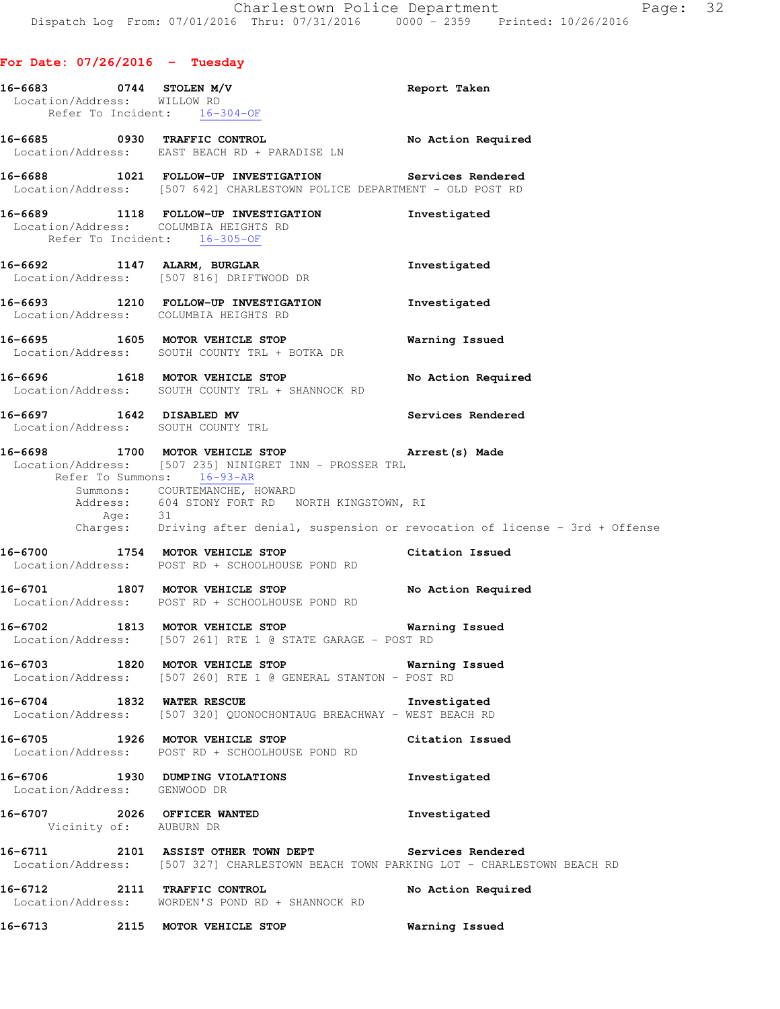## **For Date: 07/26/2016 - Tuesday**

|                              | 16-6683 0744 STOLEN M/V<br>Location/Address: WILLOW RD<br>Refer To Incident: 16-304-OF                                                         | Report Taken                                                                                                                                                                     |
|------------------------------|------------------------------------------------------------------------------------------------------------------------------------------------|----------------------------------------------------------------------------------------------------------------------------------------------------------------------------------|
|                              | 16-6685 0930 TRAFFIC CONTROL<br>Location/Address: EAST BEACH RD + PARADISE LN                                                                  | No Action Required                                                                                                                                                               |
|                              | 16-6688 1021 FOLLOW-UP INVESTIGATION Services Rendered<br>Location/Address: [507 642] CHARLESTOWN POLICE DEPARTMENT - OLD POST RD              |                                                                                                                                                                                  |
|                              | 16-6689 1118 FOLLOW-UP INVESTIGATION<br>Location/Address: COLUMBIA HEIGHTS RD<br>Refer To Incident: 16-305-OF                                  | Investigated                                                                                                                                                                     |
|                              | 16-6692 1147 ALARM, BURGLAR<br>Location/Address: [507 816] DRIFTWOOD DR                                                                        | Investigated                                                                                                                                                                     |
|                              | 16-6693 1210 FOLLOW-UP INVESTIGATION Investigated<br>Location/Address: COLUMBIA HEIGHTS RD                                                     |                                                                                                                                                                                  |
|                              | 16-6695 1605 MOTOR VEHICLE STOP<br>Location/Address: SOUTH COUNTY TRL + BOTKA DR                                                               | Warning Issued                                                                                                                                                                   |
|                              | 16-6696 1618 MOTOR VEHICLE STOP<br>Location/Address: SOUTH COUNTY TRL + SHANNOCK RD                                                            | No Action Required                                                                                                                                                               |
|                              | 16-6697 1642 DISABLED MV 3ervices Rendered<br>Location/Address: SOUTH COUNTY TRL                                                               |                                                                                                                                                                                  |
|                              | 16-6698 1700 MOTOR VEHICLE STOP 3 Arrest (s) Made<br>Location/Address: [507 235] NINIGRET INN - PROSSER TRL<br>Refer To Summons: 16-93-AR      | Summons: COURTEMANCHE, HOWARD<br>Address: 604 STONY FORT RD NORTH KINGSTOWN, RI<br>Age: 31<br>Charges: Driving after denial, suspension or revocation of license – 3rd + Offense |
|                              | 16-6700 1754 MOTOR VEHICLE STOP<br>Location/Address: POST RD + SCHOOLHOUSE POND RD                                                             | Citation Issued                                                                                                                                                                  |
|                              | 16-6701 1807 MOTOR VEHICLE STOP<br>Location/Address: POST RD + SCHOOLHOUSE POND RD                                                             | No Action Required                                                                                                                                                               |
|                              | 16-6702 1813 MOTOR VEHICLE STOP Warning Issued<br>Location/Address: [507 261] RTE 1 @ STATE GARAGE - POST RD                                   |                                                                                                                                                                                  |
|                              | 16-6703 1820 MOTOR VEHICLE STOP 6 Warning Issued<br>Location/Address: [507 260] RTE 1 @ GENERAL STANTON - POST RD                              |                                                                                                                                                                                  |
|                              | 16-6704 1832 WATER RESCUE<br>Location/Address: [507 320] QUONOCHONTAUG BREACHWAY - WEST BEACH RD                                               | Investigated                                                                                                                                                                     |
|                              | 16-6705 1926 MOTOR VEHICLE STOP<br>Location/Address: POST RD + SCHOOLHOUSE POND RD                                                             | Citation Issued                                                                                                                                                                  |
| Location/Address: GENWOOD DR | 16-6706 1930 DUMPING VIOLATIONS                                                                                                                | Investigated                                                                                                                                                                     |
| Vicinity of: AUBURN DR       | 16-6707 2026 OFFICER WANTED                                                                                                                    | Investigated                                                                                                                                                                     |
|                              | 16-6711 2101 ASSIST OTHER TOWN DEPT Services Rendered<br>Location/Address: [507 327] CHARLESTOWN BEACH TOWN PARKING LOT - CHARLESTOWN BEACH RD |                                                                                                                                                                                  |
|                              | 16-6712 2111 TRAFFIC CONTROL<br>Location/Address: WORDEN'S POND RD + SHANNOCK RD                                                               | No Action Required                                                                                                                                                               |
|                              | 16-6713 2115 MOTOR VEHICLE STOP 60 Warning Issued                                                                                              |                                                                                                                                                                                  |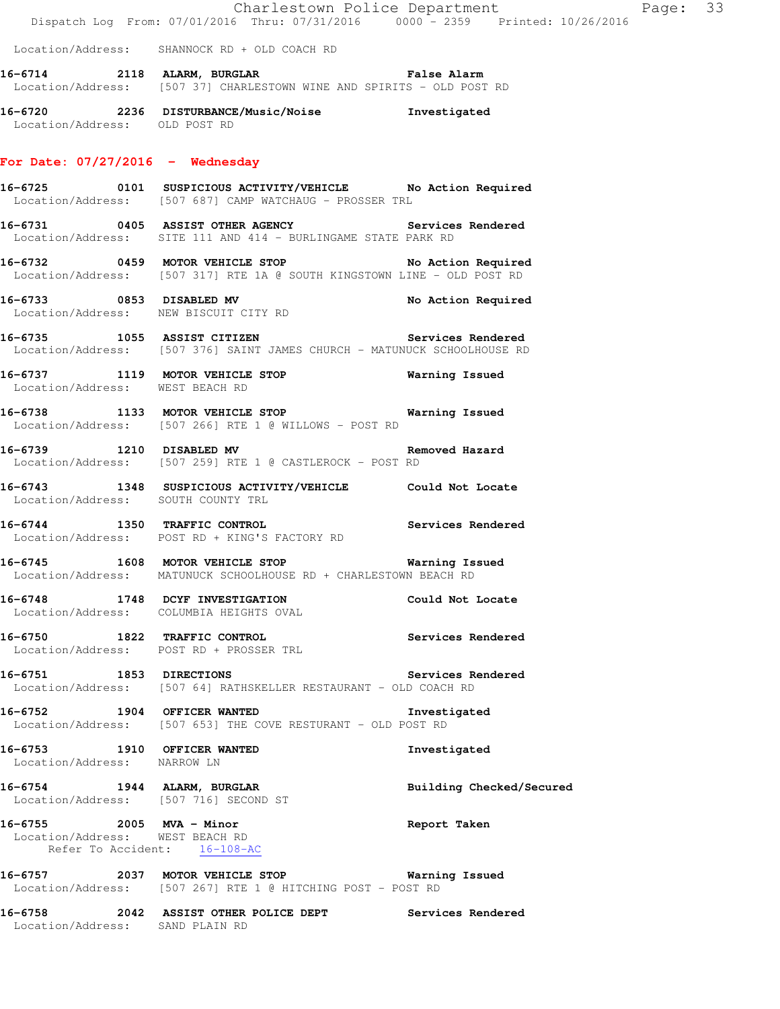Location/Address: SHANNOCK RD + OLD COACH RD

**16-6714 2118 ALARM, BURGLAR False Alarm**  Location/Address: [507 37] CHARLESTOWN WINE AND SPIRITS - OLD POST RD

**16-6720 2236 DISTURBANCE/Music/Noise Investigated**  Location/Address: OLD POST RD

#### **For Date: 07/27/2016 - Wednesday**

**16-6725 0101 SUSPICIOUS ACTIVITY/VEHICLE No Action Required**  Location/Address: [507 687] CAMP WATCHAUG - PROSSER TRL

**16-6731 0405 ASSIST OTHER AGENCY Services Rendered**  Location/Address: SITE 111 AND 414 - BURLINGAME STATE PARK RD

**16-6732 0459 MOTOR VEHICLE STOP No Action Required**  Location/Address: [507 317] RTE 1A @ SOUTH KINGSTOWN LINE - OLD POST RD

**16-6733 0853 DISABLED MV No Action Required**  Location/Address: NEW BISCUIT CITY RD

**16-6735 1055 ASSIST CITIZEN Services Rendered**  Location/Address: [507 376] SAINT JAMES CHURCH - MATUNUCK SCHOOLHOUSE RD

**16-6737 1119 MOTOR VEHICLE STOP Warning Issued**  Location/Address: WEST BEACH RD

**16-6738 1133 MOTOR VEHICLE STOP Warning Issued**  Location/Address: [507 266] RTE 1 @ WILLOWS - POST RD

**16-6739 1210 DISABLED MV Removed Hazard**  Location/Address: [507 259] RTE 1 @ CASTLEROCK - POST RD

**16-6743 1348 SUSPICIOUS ACTIVITY/VEHICLE Could Not Locate**  Location/Address: SOUTH COUNTY TRL

**16-6744 1350 TRAFFIC CONTROL Services Rendered**  Location/Address: POST RD + KING'S FACTORY RD

**16-6745 1608 MOTOR VEHICLE STOP Warning Issued**  Location/Address: MATUNUCK SCHOOLHOUSE RD + CHARLESTOWN BEACH RD

**16-6748 1748 DCYF INVESTIGATION Could Not Locate**  Location/Address: COLUMBIA HEIGHTS OVAL

**16-6750 1822 TRAFFIC CONTROL Services Rendered**  Location/Address: POST RD + PROSSER TRL

**16-6751 1853 DIRECTIONS Services Rendered**  Location/Address: [507 64] RATHSKELLER RESTAURANT - OLD COACH RD

**16-6752 1904 OFFICER WANTED Investigated**  Location/Address: [507 653] THE COVE RESTURANT - OLD POST RD

**16-6753 1910 OFFICER WANTED Investigated**  Location/Address: NARROW LN

**16-6754 1944 ALARM, BURGLAR Building Checked/Secured**  Location/Address: [507 716] SECOND ST

**16-6755 2005 MVA - Minor Report Taken**  Location/Address: WEST BEACH RD Refer To Accident: 16-108-AC

**16-6757 2037 MOTOR VEHICLE STOP Warning Issued**  Location/Address: [507 267] RTE 1 @ HITCHING POST - POST RD

**16-6758 2042 ASSIST OTHER POLICE DEPT Services Rendered**  Location/Address: SAND PLAIN RD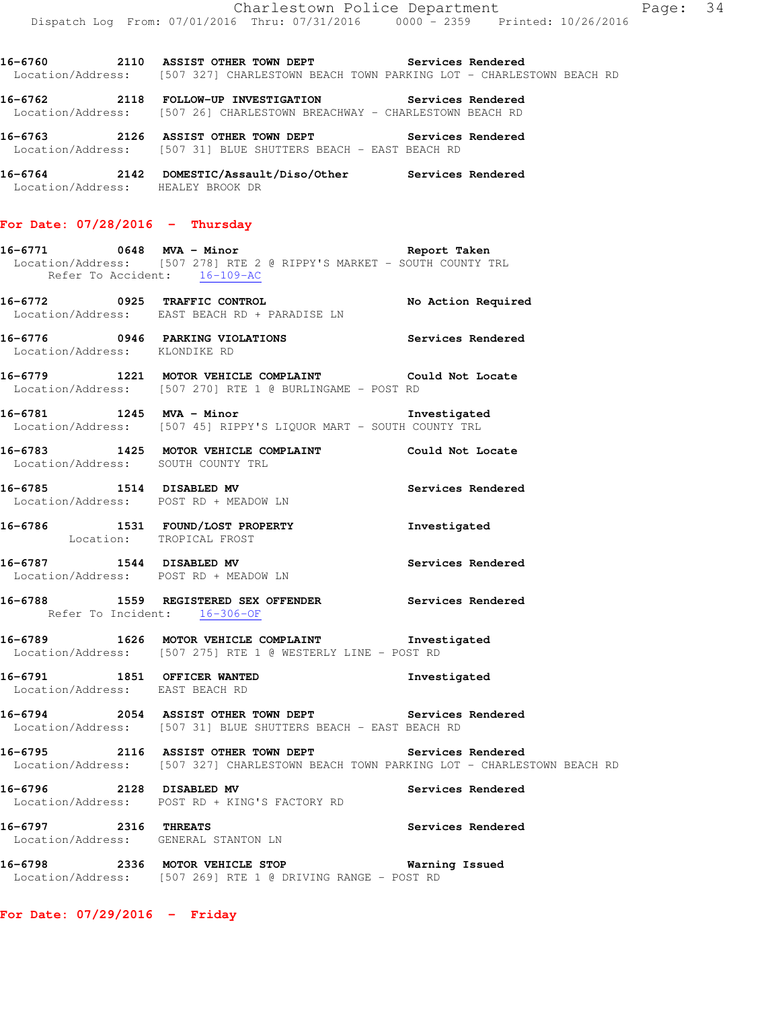**16-6760 2110 ASSIST OTHER TOWN DEPT Services Rendered**  Location/Address: [507 327] CHARLESTOWN BEACH TOWN PARKING LOT - CHARLESTOWN BEACH RD

**16-6762 2118 FOLLOW-UP INVESTIGATION Services Rendered**  Location/Address: [507 26] CHARLESTOWN BREACHWAY - CHARLESTOWN BEACH RD

**16-6763 2126 ASSIST OTHER TOWN DEPT Services Rendered**  Location/Address: [507 31] BLUE SHUTTERS BEACH - EAST BEACH RD

**16-6764 2142 DOMESTIC/Assault/Diso/Other Services Rendered**  Location/Address: HEALEY BROOK DR

## **For Date: 07/28/2016 - Thursday**

**16-6771 0648 MVA - Minor Report Taken**  Location/Address: [507 278] RTE 2 @ RIPPY'S MARKET - SOUTH COUNTY TRL Refer To Accident: 16-109-AC

**16-6772 0925 TRAFFIC CONTROL No Action Required**  Location/Address: EAST BEACH RD + PARADISE LN

**16-6776 0946 PARKING VIOLATIONS Services Rendered**  Location/Address: KLONDIKE RD

**16-6779 1221 MOTOR VEHICLE COMPLAINT Could Not Locate**  Location/Address: [507 270] RTE 1 @ BURLINGAME - POST RD

**16-6781 1245 MVA - Minor Investigated**  Location/Address: [507 45] RIPPY'S LIQUOR MART - SOUTH COUNTY TRL

**16-6783 1425 MOTOR VEHICLE COMPLAINT Could Not Locate**  Location/Address: SOUTH COUNTY TRL

**16-6785 1514 DISABLED MV Services Rendered**  Location/Address: POST RD + MEADOW LN

**16-6786 1531 FOUND/LOST PROPERTY Investigated**  Location: TROPICAL FROST

**16-6787 1544 DISABLED MV Services Rendered**  Location/Address: POST RD + MEADOW LN

## **16-6788 1559 REGISTERED SEX OFFENDER Services Rendered**  Refer To Incident: 16-306-OF

**16-6789 1626 MOTOR VEHICLE COMPLAINT Investigated**  Location/Address: [507 275] RTE 1 @ WESTERLY LINE - POST RD

**16-6791 1851 OFFICER WANTED Investigated**  Location/Address: EAST BEACH RD

**16-6794 2054 ASSIST OTHER TOWN DEPT Services Rendered**  Location/Address: [507 31] BLUE SHUTTERS BEACH - EAST BEACH RD

**16-6795 2116 ASSIST OTHER TOWN DEPT Services Rendered**  Location/Address: [507 327] CHARLESTOWN BEACH TOWN PARKING LOT - CHARLESTOWN BEACH RD

**16-6796 2128 DISABLED MV Services Rendered**  Location/Address: POST RD + KING'S FACTORY RD

**16-6797 2316 THREATS Services Rendered**  Location/Address: GENERAL STANTON LN

**16-6798 2336 MOTOR VEHICLE STOP Warning Issued**  Location/Address: [507 269] RTE 1 @ DRIVING RANGE - POST RD

**For Date: 07/29/2016 - Friday**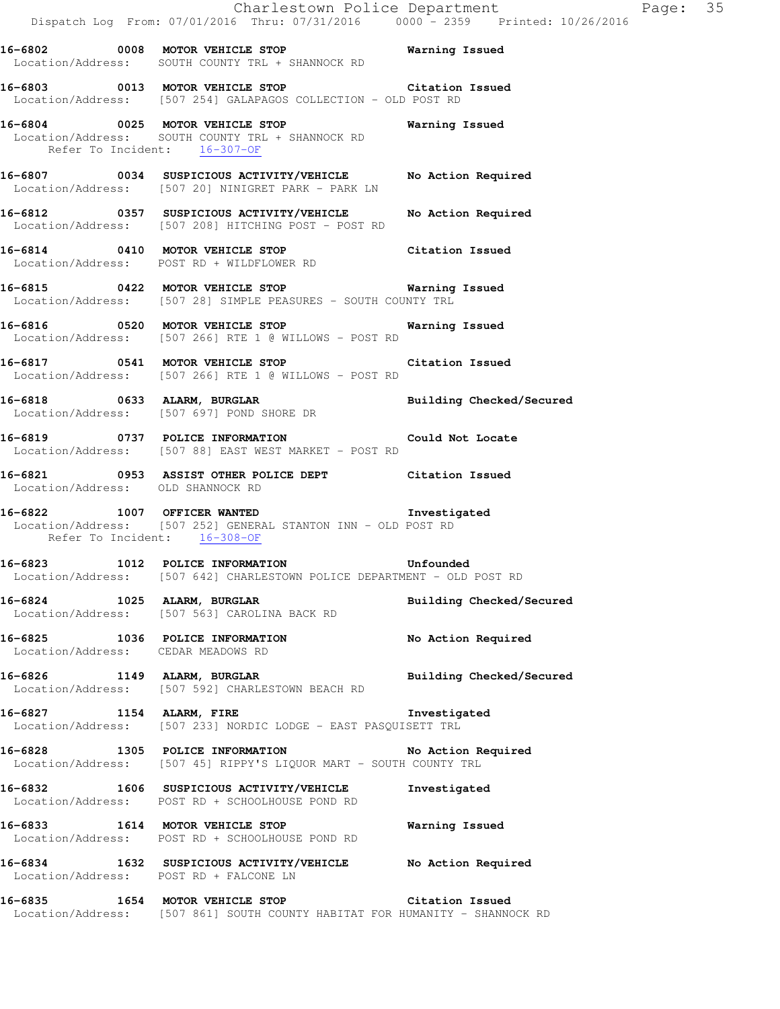|  | Dispatch Log From: 07/01/2016 Thru: 07/31/2016 0000 <sup>-</sup> 2359 Printed: 10/26/2016                                                    | Charlestown Police Department | Page: 35 |  |
|--|----------------------------------------------------------------------------------------------------------------------------------------------|-------------------------------|----------|--|
|  | 16-6802 0008 MOTOR VEHICLE STOP 6 Warning Issued<br>Location/Address: SOUTH COUNTY TRL + SHANNOCK RD                                         |                               |          |  |
|  | 16-6803 0013 MOTOR VEHICLE STOP Citation Issued<br>Location/Address: [507 254] GALAPAGOS COLLECTION - OLD POST RD                            |                               |          |  |
|  | 16-6804 0025 MOTOR VEHICLE STOP<br>Location/Address: SOUTH COUNTY TRL + SHANNOCK RD<br>Refer To Incident: 16-307-OF                          | Warning Issued                |          |  |
|  | 16-6807 0034 SUSPICIOUS ACTIVITY/VEHICLE No Action Required<br>Location/Address: [507 20] NINIGRET PARK - PARK LN                            |                               |          |  |
|  | 16-6812 0357 SUSPICIOUS ACTIVITY/VEHICLE<br>Location/Address: [507 208] HITCHING POST - POST RD                                              | No Action Required            |          |  |
|  | 16-6814 0410 MOTOR VEHICLE STOP<br>Location/Address: POST RD + WILDFLOWER RD                                                                 | Citation Issued               |          |  |
|  | 16-6815 0422 MOTOR VEHICLE STOP 6815 Warning Issued<br>Location/Address: [507 28] SIMPLE PEASURES - SOUTH COUNTY TRL                         |                               |          |  |
|  | 16-6816 		 0520 MOTOR VEHICLE STOP 		 Warning Issued<br>Location/Address: [507 266] RTE 1 @ WILLOWS - POST RD                                |                               |          |  |
|  | 16-6817 0541 MOTOR VEHICLE STOP<br>Location/Address: [507 266] RTE 1 @ WILLOWS - POST RD                                                     | Citation Issued               |          |  |
|  | 16-6818 0633 ALARM, BURGLAR<br>Location/Address: [507 697] POND SHORE DR                                                                     | Building Checked/Secured      |          |  |
|  | 16-6819 0737 POLICE INFORMATION<br>Location/Address: [507 88] EAST WEST MARKET - POST RD                                                     | Could Not Locate              |          |  |
|  | 16-6821 0953 ASSIST OTHER POLICE DEPT Citation Issued<br>Location/Address: OLD SHANNOCK RD                                                   |                               |          |  |
|  | Investigated<br>16-6822 1007 OFFICER WANTED<br>Location/Address: [507 252] GENERAL STANTON INN - OLD POST RD<br>Refer To Incident: 16-308-OF |                               |          |  |
|  | 16-6823 1012 POLICE INFORMATION<br>Location/Address: [507 642] CHARLESTOWN POLICE DEPARTMENT - OLD POST RD                                   | Unfounded                     |          |  |
|  | 16-6824 1025 ALARM, BURGLAR<br>Location/Address: [507 563] CAROLINA BACK RD                                                                  | Building Checked/Secured      |          |  |
|  | 16-6825 1036 POLICE INFORMATION<br>Location/Address: CEDAR MEADOWS RD                                                                        | No Action Required            |          |  |
|  | 16-6826 1149 ALARM, BURGLAR<br>Location/Address: [507 592] CHARLESTOWN BEACH RD                                                              | Building Checked/Secured      |          |  |
|  | 16-6827 1154 ALARM, FIRE 10 Investigated<br>Location/Address: [507 233] NORDIC LODGE - EAST PASQUISETT TRL                                   |                               |          |  |
|  | 16-6828 1305 POLICE INFORMATION<br>Location/Address: [507 45] RIPPY'S LIQUOR MART - SOUTH COUNTY TRL                                         | No Action Required            |          |  |
|  | 16-6832 1606 SUSPICIOUS ACTIVITY/VEHICLE<br>Location/Address: POST RD + SCHOOLHOUSE POND RD                                                  | Investigated                  |          |  |
|  | 16-6833 1614 MOTOR VEHICLE STOP<br>Location/Address: POST RD + SCHOOLHOUSE POND RD                                                           | Warning Issued                |          |  |
|  | 16-6834 1632 SUSPICIOUS ACTIVITY/VEHICLE No Action Required<br>Location/Address: POST RD + FALCONE LN                                        |                               |          |  |
|  | 16-6835 1654 MOTOR VEHICLE STOP Citation Issued<br>Location/Address: [507 861] SOUTH COUNTY HABITAT FOR HUMANITY - SHANNOCK RD               |                               |          |  |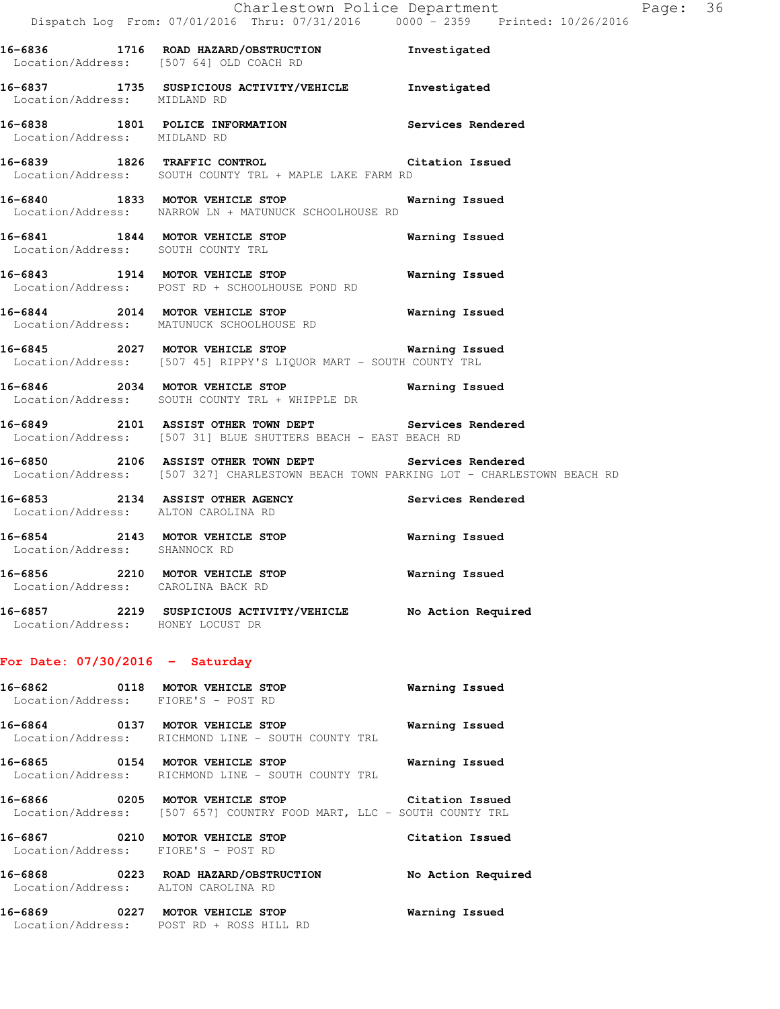|                                                                        | Charlestown Police Department<br>Dispatch Log From: 07/01/2016 Thru: 07/31/2016 0000 - 2359 Printed: 10/26/2016                                |                 | Page: 36 |  |
|------------------------------------------------------------------------|------------------------------------------------------------------------------------------------------------------------------------------------|-----------------|----------|--|
|                                                                        | 16-6836 1716 ROAD HAZARD/OBSTRUCTION Investigated<br>Location/Address: [507 64] OLD COACH RD                                                   |                 |          |  |
|                                                                        | 16-6837 1735 SUSPICIOUS ACTIVITY/VEHICLE Investigated<br>Location/Address: MIDLAND RD                                                          |                 |          |  |
| Location/Address: MIDLAND RD                                           | 16-6838 1801 POLICE INFORMATION Services Rendered                                                                                              |                 |          |  |
|                                                                        | 16-6839 1826 TRAFFIC CONTROL CONTROL Citation Issued<br>Location/Address: SOUTH COUNTY TRL + MAPLE LAKE FARM RD                                |                 |          |  |
|                                                                        | 16-6840 1833 MOTOR VEHICLE STOP 60 Warning Issued<br>Location/Address: NARROW LN + MATUNUCK SCHOOLHOUSE RD                                     |                 |          |  |
|                                                                        | 16-6841 1844 MOTOR VEHICLE STOP<br>Location/Address: SOUTH COUNTY TRL                                                                          | Warning Issued  |          |  |
|                                                                        | 16-6843 1914 MOTOR VEHICLE STOP<br>Location/Address: POST RD + SCHOOLHOUSE POND RD                                                             | Warning Issued  |          |  |
|                                                                        | 16-6844 2014 MOTOR VEHICLE STOP<br>Location/Address: MATUNUCK SCHOOLHOUSE RD                                                                   | Warning Issued  |          |  |
|                                                                        | 16-6845 2027 MOTOR VEHICLE STOP 60 Warning Issued<br>Location/Address: [507 45] RIPPY'S LIQUOR MART - SOUTH COUNTY TRL                         |                 |          |  |
|                                                                        | 16-6846 2034 MOTOR VEHICLE STOP<br>Location/Address: SOUTH COUNTY TRL + WHIPPLE DR                                                             | Warning Issued  |          |  |
|                                                                        | 16-6849 2101 ASSIST OTHER TOWN DEPT Services Rendered<br>Location/Address: [507 31] BLUE SHUTTERS BEACH - EAST BEACH RD                        |                 |          |  |
|                                                                        | 16-6850 2106 ASSIST OTHER TOWN DEPT Services Rendered<br>Location/Address: [507 327] CHARLESTOWN BEACH TOWN PARKING LOT - CHARLESTOWN BEACH RD |                 |          |  |
| Location/Address: ALTON CAROLINA RD                                    | 16-6853 2134 ASSIST OTHER AGENCY Services Rendered                                                                                             |                 |          |  |
| Location/Address: SHANNOCK RD                                          | 16-6854 2143 MOTOR VEHICLE STOP                                                                                                                | Warning Issued  |          |  |
| 16-6856 2210 MOTOR VEHICLE STOP<br>Location/Address: CAROLINA BACK RD  |                                                                                                                                                | Warning Issued  |          |  |
| Location/Address: HONEY LOCUST DR                                      | 16-6857 2219 SUSPICIOUS ACTIVITY/VEHICLE No Action Required                                                                                    |                 |          |  |
| For Date: $07/30/2016$ - Saturday                                      |                                                                                                                                                |                 |          |  |
| Location/Address: FIORE'S - POST RD                                    | 16-6862 0118 MOTOR VEHICLE STOP                                                                                                                | Warning Issued  |          |  |
|                                                                        | 16-6864 0137 MOTOR VEHICLE STOP<br>Location/Address: RICHMOND LINE - SOUTH COUNTY TRL                                                          | Warning Issued  |          |  |
|                                                                        | 16-6865 0154 MOTOR VEHICLE STOP<br>Location/Address: RICHMOND LINE - SOUTH COUNTY TRL                                                          | Warning Issued  |          |  |
|                                                                        | 16-6866 0205 MOTOR VEHICLE STOP Citation Issued<br>Location/Address: [507 657] COUNTRY FOOD MART, LLC - SOUTH COUNTY TRL                       |                 |          |  |
| 16-6867 0210 MOTOR VEHICLE STOP<br>Location/Address: FIORE'S - POST RD |                                                                                                                                                | Citation Issued |          |  |

 Location/Address: ALTON CAROLINA RD **16-6869 0227 MOTOR VEHICLE STOP Warning Issued** 

Location/Address: POST RD + ROSS HILL RD

**16-6868 0223 ROAD HAZARD/OBSTRUCTION No Action Required**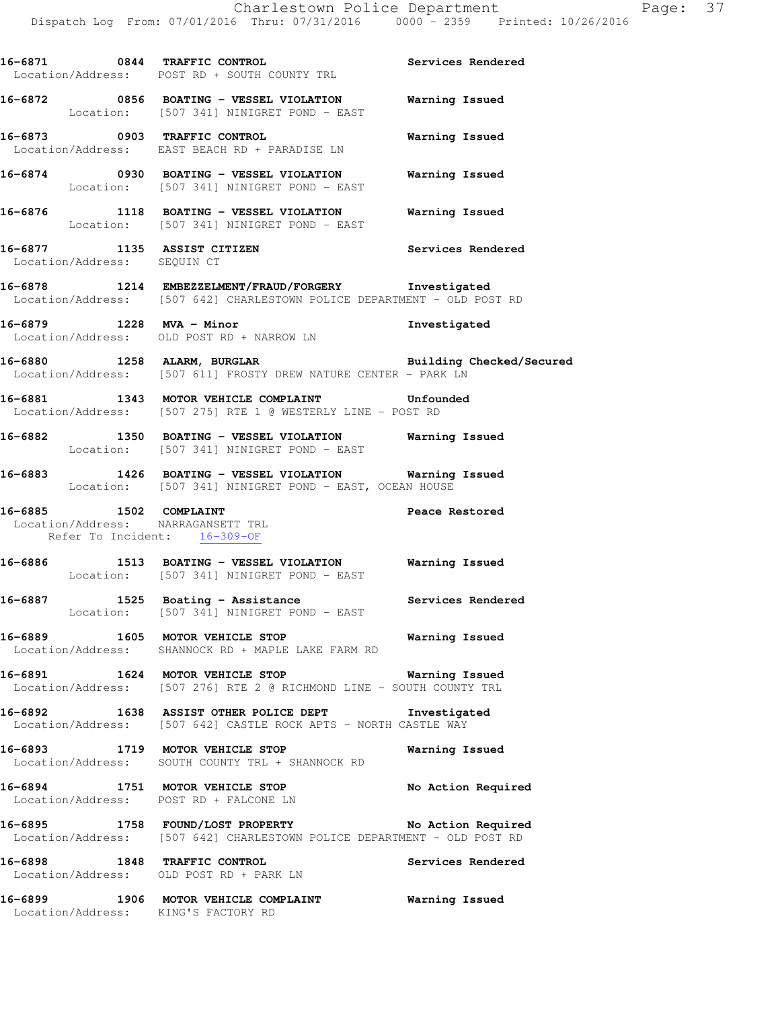**16-6871 0844 TRAFFIC CONTROL Services Rendered**  Location/Address: POST RD + SOUTH COUNTY TRL **16-6872 0856 BOATING - VESSEL VIOLATION Warning Issued**  Location: [507 341] NINIGRET POND - EAST **16-6873 0903 TRAFFIC CONTROL Warning Issued**  Location/Address: EAST BEACH RD + PARADISE LN **16-6874 0930 BOATING - VESSEL VIOLATION Warning Issued**  Location: [507 341] NINIGRET POND - EAST **16-6876 1118 BOATING - VESSEL VIOLATION Warning Issued**  Location: [507 341] NINIGRET POND - EAST **16-6877 1135 ASSIST CITIZEN Services Rendered**  Location/Address: SEQUIN CT **16-6878 1214 EMBEZZELMENT/FRAUD/FORGERY Investigated**  Location/Address: [507 642] CHARLESTOWN POLICE DEPARTMENT - OLD POST RD **16-6879 1228 MVA - Minor Investigated**  Location/Address: OLD POST RD + NARROW LN **16-6880 1258 ALARM, BURGLAR Building Checked/Secured**  Location/Address: [507 611] FROSTY DREW NATURE CENTER - PARK LN **16-6881 1343 MOTOR VEHICLE COMPLAINT Unfounded**  Location/Address: [507 275] RTE 1 @ WESTERLY LINE - POST RD **16-6882 1350 BOATING - VESSEL VIOLATION Warning Issued**  Location: [507 341] NINIGRET POND - EAST **16-6883 1426 BOATING - VESSEL VIOLATION Warning Issued**  Location: [507 341] NINIGRET POND - EAST, OCEAN HOUSE **16-6885 1502 COMPLAINT Peace Restored**  Location/Address: NARRAGANSETT TRL Refer To Incident: 16-309-OF **16-6886 1513 BOATING - VESSEL VIOLATION Warning Issued**  Location: [507 341] NINIGRET POND - EAST 16-6887 **1525** Boating - Assistance **Services Rendered**  Location: [507 341] NINIGRET POND - EAST **16-6889 1605 MOTOR VEHICLE STOP Warning Issued**  Location/Address: SHANNOCK RD + MAPLE LAKE FARM RD **16-6891 1624 MOTOR VEHICLE STOP Warning Issued**  Location/Address: [507 276] RTE 2 @ RICHMOND LINE - SOUTH COUNTY TRL **16-6892 1638 ASSIST OTHER POLICE DEPT Investigated**  Location/Address: [507 642] CASTLE ROCK APTS - NORTH CASTLE WAY **16-6893 1719 MOTOR VEHICLE STOP Warning Issued**  Location/Address: SOUTH COUNTY TRL + SHANNOCK RD 16-6894 1751 MOTOR VEHICLE STOP No Action Required Location/Address: POST RD + FALCONE LN **16-6895 1758 FOUND/LOST PROPERTY No Action Required**  Location/Address: [507 642] CHARLESTOWN POLICE DEPARTMENT - OLD POST RD **16-6898 1848 TRAFFIC CONTROL Services Rendered**  Location/Address: OLD POST RD + PARK LN **16-6899 1906 MOTOR VEHICLE COMPLAINT Warning Issued**  Location/Address: KING'S FACTORY RD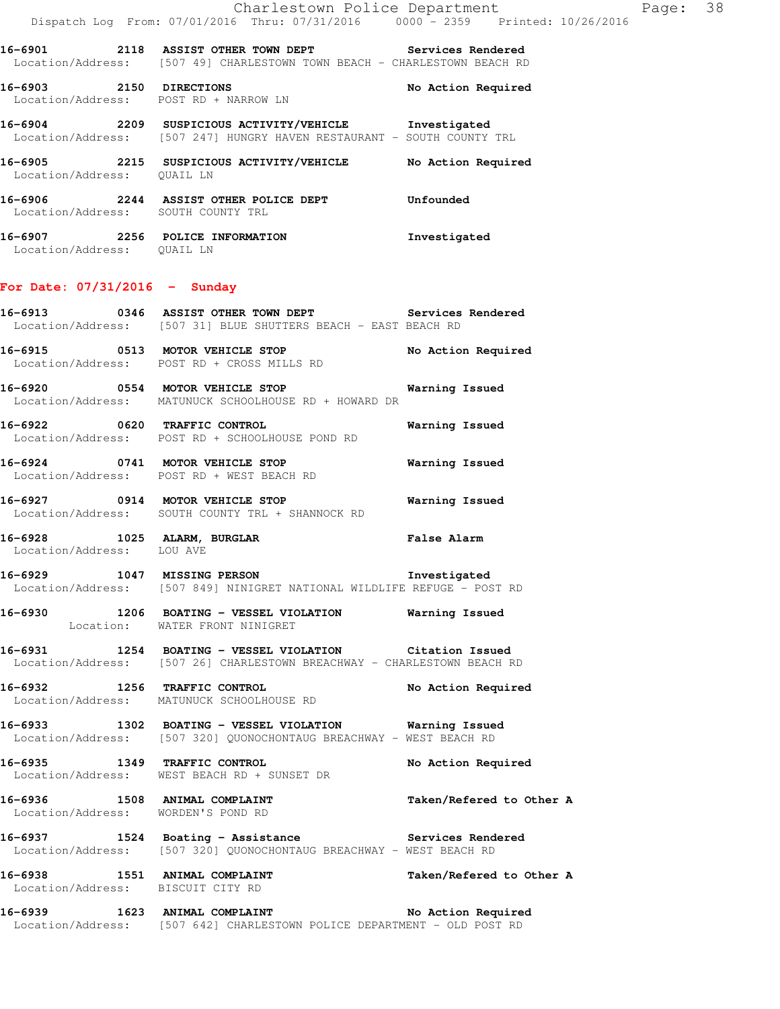**16-6901 2118 ASSIST OTHER TOWN DEPT Services Rendered**  Location/Address: [507 49] CHARLESTOWN TOWN BEACH - CHARLESTOWN BEACH RD

**16-6903 2150 DIRECTIONS No Action Required**  Location/Address: POST RD + NARROW LN

**16-6904 2209 SUSPICIOUS ACTIVITY/VEHICLE Investigated**  Location/Address: [507 247] HUNGRY HAVEN RESTAURANT - SOUTH COUNTY TRL

**16-6905 2215 SUSPICIOUS ACTIVITY/VEHICLE No Action Required**  Location/Address: QUAIL LN

**16-6906 2244 ASSIST OTHER POLICE DEPT Unfounded**  Location/Address: SOUTH COUNTY TRL

**16-6907 2256 POLICE INFORMATION Investigated**  Location/Address: QUAIL LN

## **For Date: 07/31/2016 - Sunday**

**16-6913 0346 ASSIST OTHER TOWN DEPT Services Rendered**  Location/Address: [507 31] BLUE SHUTTERS BEACH - EAST BEACH RD

**16-6915 0513 MOTOR VEHICLE STOP No Action Required**  Location/Address: POST RD + CROSS MILLS RD

**16-6920 0554 MOTOR VEHICLE STOP Warning Issued**  Location/Address: MATUNUCK SCHOOLHOUSE RD + HOWARD DR

**16-6922 0620 TRAFFIC CONTROL Warning Issued**  Location/Address: POST RD + SCHOOLHOUSE POND RD

**16-6924 0741 MOTOR VEHICLE STOP Warning Issued**  Location/Address: POST RD + WEST BEACH RD

**16-6927 0914 MOTOR VEHICLE STOP Warning Issued**  Location/Address: SOUTH COUNTY TRL + SHANNOCK RD

**16-6928 1025 ALARM, BURGLAR False Alarm**  Location/Address: LOU AVE

**16-6929 1047 MISSING PERSON Investigated**  Location/Address: [507 849] NINIGRET NATIONAL WILDLIFE REFUGE - POST RD

**16-6930 1206 BOATING - VESSEL VIOLATION Warning Issued**  Location: WATER FRONT NINIGRET

**16-6931 1254 BOATING - VESSEL VIOLATION Citation Issued**  Location/Address: [507 26] CHARLESTOWN BREACHWAY - CHARLESTOWN BEACH RD

**16-6932 1256 TRAFFIC CONTROL No Action Required**  Location/Address: MATUNUCK SCHOOLHOUSE RD

**16-6933 1302 BOATING - VESSEL VIOLATION Warning Issued**  Location/Address: [507 320] QUONOCHONTAUG BREACHWAY - WEST BEACH RD

**16-6935 1349 TRAFFIC CONTROL No Action Required**  Location/Address: WEST BEACH RD + SUNSET DR

**16-6936 1508 ANIMAL COMPLAINT Taken/Refered to Other A**  Location/Address: WORDEN'S POND RD

**16-6937 1524 Boating - Assistance Services Rendered** 

Location/Address: [507 320] QUONOCHONTAUG BREACHWAY - WEST BEACH RD

16-6938 1551 ANIMAL COMPLAINT **16-6938** Taken/Refered to Other A Location/Address: BISCUIT CITY RD

**16-6939 1623 ANIMAL COMPLAINT No Action Required**  Location/Address: [507 642] CHARLESTOWN POLICE DEPARTMENT - OLD POST RD